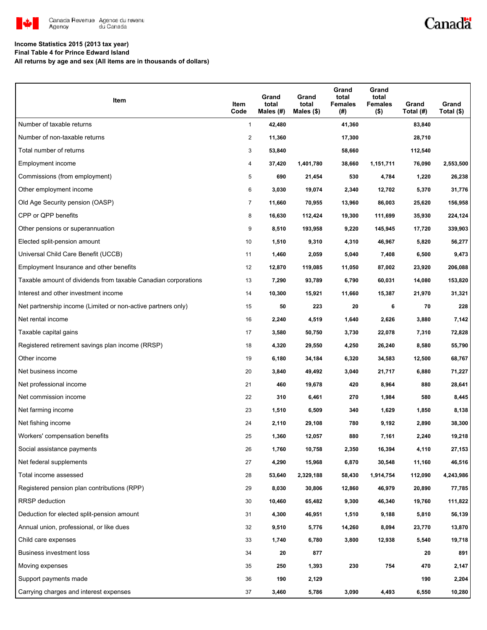

## Canadä

### **Income Statistics 2015 (2013 tax year)**

**Final Table 4 for Prince Edward Island**

**All returns by age and sex (All items are in thousands of dollars)**

| Item                                                           | Item<br>Code   | Grand<br>total<br>Males (#) | Grand<br>total<br>Males $(\$)$ | Grand<br>total<br><b>Females</b><br>(#) | Grand<br>total<br><b>Females</b><br>$($ \$) | Grand<br>Total (#) | Grand<br>Total (\$) |
|----------------------------------------------------------------|----------------|-----------------------------|--------------------------------|-----------------------------------------|---------------------------------------------|--------------------|---------------------|
| Number of taxable returns                                      | $\mathbf{1}$   | 42,480                      |                                | 41,360                                  |                                             | 83,840             |                     |
| Number of non-taxable returns                                  | 2              | 11,360                      |                                | 17,300                                  |                                             | 28,710             |                     |
| Total number of returns                                        | 3              | 53,840                      |                                | 58,660                                  |                                             | 112,540            |                     |
| Employment income                                              | 4              | 37,420                      | 1,401,780                      | 38,660                                  | 1,151,711                                   | 76,090             | 2,553,500           |
| Commissions (from employment)                                  | 5              | 690                         | 21,454                         | 530                                     | 4,784                                       | 1,220              | 26,238              |
| Other employment income                                        | 6              | 3,030                       | 19,074                         | 2,340                                   | 12,702                                      | 5,370              | 31,776              |
| Old Age Security pension (OASP)                                | $\overline{7}$ | 11,660                      | 70,955                         | 13,960                                  | 86,003                                      | 25,620             | 156,958             |
| CPP or QPP benefits                                            | 8              | 16,630                      | 112,424                        | 19,300                                  | 111,699                                     | 35,930             | 224,124             |
| Other pensions or superannuation                               | 9              | 8,510                       | 193,958                        | 9,220                                   | 145,945                                     | 17,720             | 339,903             |
| Elected split-pension amount                                   | 10             | 1,510                       | 9,310                          | 4,310                                   | 46,967                                      | 5,820              | 56,277              |
| Universal Child Care Benefit (UCCB)                            | 11             | 1,460                       | 2,059                          | 5,040                                   | 7,408                                       | 6,500              | 9,473               |
| Employment Insurance and other benefits                        | 12             | 12,870                      | 119,085                        | 11,050                                  | 87,002                                      | 23,920             | 206,088             |
| Taxable amount of dividends from taxable Canadian corporations | 13             | 7,290                       | 93,789                         | 6,790                                   | 60,031                                      | 14,080             | 153,820             |
| Interest and other investment income                           | 14             | 10,300                      | 15,921                         | 11,660                                  | 15,387                                      | 21,970             | 31,321              |
| Net partnership income (Limited or non-active partners only)   | 15             | 50                          | 223                            | 20                                      | 6                                           | 70                 | 228                 |
| Net rental income                                              | 16             | 2,240                       | 4,519                          | 1,640                                   | 2,626                                       | 3,880              | 7,142               |
| Taxable capital gains                                          | 17             | 3,580                       | 50,750                         | 3,730                                   | 22,078                                      | 7,310              | 72,828              |
| Registered retirement savings plan income (RRSP)               | 18             | 4,320                       | 29,550                         | 4,250                                   | 26,240                                      | 8,580              | 55,790              |
| Other income                                                   | 19             | 6,180                       | 34,184                         | 6,320                                   | 34,583                                      | 12,500             | 68,767              |
| Net business income                                            | 20             | 3,840                       | 49,492                         | 3,040                                   | 21,717                                      | 6,880              | 71,227              |
| Net professional income                                        | 21             | 460                         | 19,678                         | 420                                     | 8,964                                       | 880                | 28,641              |
| Net commission income                                          | 22             | 310                         | 6,461                          | 270                                     | 1,984                                       | 580                | 8,445               |
| Net farming income                                             | 23             | 1,510                       | 6,509                          | 340                                     | 1,629                                       | 1,850              | 8,138               |
| Net fishing income                                             | 24             | 2,110                       | 29,108                         | 780                                     | 9,192                                       | 2,890              | 38,300              |
| Workers' compensation benefits                                 | 25             | 1,360                       | 12,057                         | 880                                     | 7,161                                       | 2,240              | 19,218              |
| Social assistance payments                                     | 26             | 1,760                       | 10,758                         | 2,350                                   | 16,394                                      | 4,110              | 27,153              |
| Net federal supplements                                        | 27             | 4,290                       | 15,968                         | 6,870                                   | 30,548                                      | 11,160             | 46,516              |
| Total income assessed                                          | 28             | 53,640                      | 2,329,188                      | 58,430                                  | 1,914,754                                   | 112,090            | 4,243,986           |
| Registered pension plan contributions (RPP)                    | 29             | 8,030                       | 30,806                         | 12,860                                  | 46,979                                      | 20,890             | 77,785              |
| <b>RRSP</b> deduction                                          | 30             | 10,460                      | 65,482                         | 9,300                                   | 46,340                                      | 19,760             | 111,822             |
| Deduction for elected split-pension amount                     | 31             | 4,300                       | 46,951                         | 1,510                                   | 9,188                                       | 5,810              | 56,139              |
| Annual union, professional, or like dues                       | 32             | 9,510                       | 5,776                          | 14,260                                  | 8,094                                       | 23,770             | 13,870              |
| Child care expenses                                            | 33             | 1,740                       | 6,780                          | 3,800                                   | 12,938                                      | 5,540              | 19,718              |
| Business investment loss                                       | 34             | 20                          | 877                            |                                         |                                             | 20                 | 891                 |
| Moving expenses                                                | 35             | 250                         | 1,393                          | 230                                     | 754                                         | 470                | 2,147               |
| Support payments made                                          | 36             | 190                         | 2,129                          |                                         |                                             | 190                | 2,204               |
| Carrying charges and interest expenses                         | 37             | 3,460                       | 5,786                          | 3,090                                   | 4,493                                       | 6,550              | 10,280              |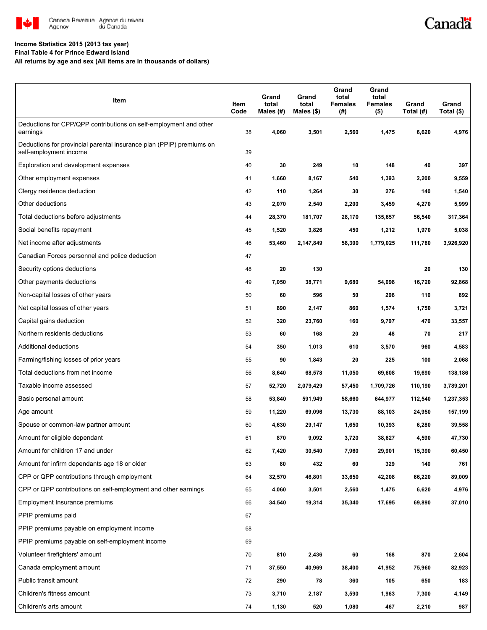

# Canadä

### **Income Statistics 2015 (2013 tax year)**

**Final Table 4 for Prince Edward Island**

**All returns by age and sex (All items are in thousands of dollars)**

| Item                                                                                           | Item<br>Code | Grand<br>total<br>Males $(H)$ | Grand<br>total<br>Males $(\$)$ | Grand<br>total<br><b>Females</b><br>(#) | Grand<br>total<br><b>Females</b><br>$($ \$) | Grand<br>Total (#) | Grand<br>Total $(\$)$ |
|------------------------------------------------------------------------------------------------|--------------|-------------------------------|--------------------------------|-----------------------------------------|---------------------------------------------|--------------------|-----------------------|
| Deductions for CPP/QPP contributions on self-employment and other<br>earnings                  | 38           | 4,060                         | 3,501                          | 2,560                                   | 1,475                                       | 6,620              | 4,976                 |
| Deductions for provincial parental insurance plan (PPIP) premiums on<br>self-employment income | 39           |                               |                                |                                         |                                             |                    |                       |
| Exploration and development expenses                                                           | 40           | 30                            | 249                            | 10                                      | 148                                         | 40                 | 397                   |
| Other employment expenses                                                                      | 41           | 1,660                         | 8,167                          | 540                                     | 1,393                                       | 2,200              | 9,559                 |
| Clergy residence deduction                                                                     | 42           | 110                           | 1,264                          | 30                                      | 276                                         | 140                | 1,540                 |
| Other deductions                                                                               | 43           | 2,070                         | 2,540                          | 2,200                                   | 3,459                                       | 4,270              | 5,999                 |
| Total deductions before adjustments                                                            | 44           | 28,370                        | 181,707                        | 28,170                                  | 135,657                                     | 56,540             | 317,364               |
| Social benefits repayment                                                                      | 45           | 1,520                         | 3,826                          | 450                                     | 1,212                                       | 1,970              | 5,038                 |
| Net income after adjustments                                                                   | 46           | 53,460                        | 2,147,849                      | 58,300                                  | 1,779,025                                   | 111,780            | 3,926,920             |
| Canadian Forces personnel and police deduction                                                 | 47           |                               |                                |                                         |                                             |                    |                       |
| Security options deductions                                                                    | 48           | 20                            | 130                            |                                         |                                             | 20                 | 130                   |
| Other payments deductions                                                                      | 49           | 7,050                         | 38,771                         | 9,680                                   | 54,098                                      | 16,720             | 92,868                |
| Non-capital losses of other years                                                              | 50           | 60                            | 596                            | 50                                      | 296                                         | 110                | 892                   |
| Net capital losses of other years                                                              | 51           | 890                           | 2,147                          | 860                                     | 1,574                                       | 1,750              | 3,721                 |
| Capital gains deduction                                                                        | 52           | 320                           | 23,760                         | 160                                     | 9,797                                       | 470                | 33,557                |
| Northern residents deductions                                                                  | 53           | 60                            | 168                            | 20                                      | 48                                          | 70                 | 217                   |
| Additional deductions                                                                          | 54           | 350                           | 1,013                          | 610                                     | 3,570                                       | 960                | 4,583                 |
| Farming/fishing losses of prior years                                                          | 55           | 90                            | 1,843                          | 20                                      | 225                                         | 100                | 2,068                 |
| Total deductions from net income                                                               | 56           | 8,640                         | 68,578                         | 11,050                                  | 69,608                                      | 19,690             | 138,186               |
| Taxable income assessed                                                                        | 57           | 52,720                        | 2,079,429                      | 57,450                                  | 1,709,726                                   | 110,190            | 3,789,201             |
| Basic personal amount                                                                          | 58           | 53,840                        | 591,949                        | 58,660                                  | 644,977                                     | 112,540            | 1,237,353             |
| Age amount                                                                                     | 59           | 11,220                        | 69,096                         | 13,730                                  | 88,103                                      | 24,950             | 157,199               |
| Spouse or common-law partner amount                                                            | 60           | 4,630                         | 29,147                         | 1,650                                   | 10,393                                      | 6,280              | 39,558                |
| Amount for eligible dependant                                                                  | 61           | 870                           | 9,092                          | 3,720                                   | 38,627                                      | 4,590              | 47,730                |
| Amount for children 17 and under                                                               | 62           | 7,420                         | 30,540                         | 7,960                                   | 29,901                                      | 15,390             | 60,450                |
| Amount for infirm dependants age 18 or older                                                   | 63           | 80                            | 432                            | 60                                      | 329                                         | 140                | 761                   |
| CPP or QPP contributions through employment                                                    | 64           | 32,570                        | 46,801                         | 33,650                                  | 42,208                                      | 66,220             | 89,009                |
| CPP or QPP contributions on self-employment and other earnings                                 | 65           | 4,060                         | 3,501                          | 2,560                                   | 1,475                                       | 6,620              | 4,976                 |
| Employment Insurance premiums                                                                  | 66           | 34,540                        | 19,314                         | 35,340                                  | 17,695                                      | 69,890             | 37,010                |
| PPIP premiums paid                                                                             | 67           |                               |                                |                                         |                                             |                    |                       |
| PPIP premiums payable on employment income                                                     | 68           |                               |                                |                                         |                                             |                    |                       |
| PPIP premiums payable on self-employment income                                                | 69           |                               |                                |                                         |                                             |                    |                       |
| Volunteer firefighters' amount                                                                 | 70           | 810                           | 2,436                          | 60                                      | 168                                         | 870                | 2,604                 |
| Canada employment amount                                                                       | 71           | 37,550                        | 40,969                         | 38,400                                  | 41,952                                      | 75,960             | 82,923                |
| Public transit amount                                                                          | 72           | 290                           | 78                             | 360                                     | 105                                         | 650                | 183                   |
| Children's fitness amount                                                                      | 73           | 3,710                         | 2,187                          | 3,590                                   | 1,963                                       | 7,300              | 4,149                 |
| Children's arts amount                                                                         | 74           | 1,130                         | 520                            | 1,080                                   | 467                                         | 2,210              | 987                   |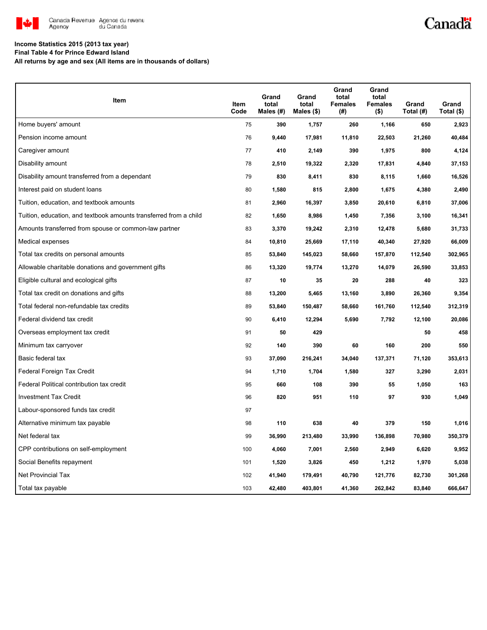

## Canadä

#### **Income Statistics 2015 (2013 tax year)**

**Final Table 4 for Prince Edward Island**

**All returns by age and sex (All items are in thousands of dollars)**

| Item                                                              | Item<br>Code | Grand<br>total<br>Males (#) | Grand<br>total<br>Males $(\$)$ | Grand<br>total<br><b>Females</b><br>(#) | Grand<br>total<br><b>Females</b><br>$($ \$) | Grand<br>Total (#) | Grand<br>Total (\$) |
|-------------------------------------------------------------------|--------------|-----------------------------|--------------------------------|-----------------------------------------|---------------------------------------------|--------------------|---------------------|
| Home buyers' amount                                               | 75           | 390                         | 1,757                          | 260                                     | 1,166                                       | 650                | 2,923               |
| Pension income amount                                             | 76           | 9,440                       | 17,981                         | 11,810                                  | 22,503                                      | 21,260             | 40,484              |
| Caregiver amount                                                  | 77           | 410                         | 2,149                          | 390                                     | 1,975                                       | 800                | 4,124               |
| Disability amount                                                 | 78           | 2,510                       | 19,322                         | 2,320                                   | 17,831                                      | 4,840              | 37,153              |
| Disability amount transferred from a dependant                    | 79           | 830                         | 8,411                          | 830                                     | 8,115                                       | 1,660              | 16,526              |
| Interest paid on student loans                                    | 80           | 1,580                       | 815                            | 2,800                                   | 1,675                                       | 4,380              | 2,490               |
| Tuition, education, and textbook amounts                          | 81           | 2,960                       | 16,397                         | 3,850                                   | 20,610                                      | 6,810              | 37,006              |
| Tuition, education, and textbook amounts transferred from a child | 82           | 1,650                       | 8,986                          | 1,450                                   | 7,356                                       | 3,100              | 16,341              |
| Amounts transferred from spouse or common-law partner             | 83           | 3,370                       | 19,242                         | 2,310                                   | 12,478                                      | 5,680              | 31,733              |
| Medical expenses                                                  | 84           | 10,810                      | 25,669                         | 17,110                                  | 40,340                                      | 27,920             | 66,009              |
| Total tax credits on personal amounts                             | 85           | 53,840                      | 145,023                        | 58,660                                  | 157,870                                     | 112,540            | 302,965             |
| Allowable charitable donations and government gifts               | 86           | 13,320                      | 19,774                         | 13,270                                  | 14,079                                      | 26,590             | 33,853              |
| Eligible cultural and ecological gifts                            | 87           | 10                          | 35                             | 20                                      | 288                                         | 40                 | 323                 |
| Total tax credit on donations and gifts                           | 88           | 13,200                      | 5,465                          | 13,160                                  | 3,890                                       | 26,360             | 9,354               |
| Total federal non-refundable tax credits                          | 89           | 53,840                      | 150,487                        | 58,660                                  | 161,760                                     | 112,540            | 312,319             |
| Federal dividend tax credit                                       | 90           | 6,410                       | 12,294                         | 5,690                                   | 7,792                                       | 12,100             | 20,086              |
| Overseas employment tax credit                                    | 91           | 50                          | 429                            |                                         |                                             | 50                 | 458                 |
| Minimum tax carryover                                             | 92           | 140                         | 390                            | 60                                      | 160                                         | 200                | 550                 |
| Basic federal tax                                                 | 93           | 37,090                      | 216,241                        | 34,040                                  | 137,371                                     | 71,120             | 353,613             |
| Federal Foreign Tax Credit                                        | 94           | 1,710                       | 1,704                          | 1,580                                   | 327                                         | 3,290              | 2,031               |
| Federal Political contribution tax credit                         | 95           | 660                         | 108                            | 390                                     | 55                                          | 1,050              | 163                 |
| <b>Investment Tax Credit</b>                                      | 96           | 820                         | 951                            | 110                                     | 97                                          | 930                | 1,049               |
| Labour-sponsored funds tax credit                                 | 97           |                             |                                |                                         |                                             |                    |                     |
| Alternative minimum tax payable                                   | 98           | 110                         | 638                            | 40                                      | 379                                         | 150                | 1,016               |
| Net federal tax                                                   | 99           | 36,990                      | 213,480                        | 33,990                                  | 136,898                                     | 70,980             | 350,379             |
| CPP contributions on self-employment                              | 100          | 4,060                       | 7,001                          | 2,560                                   | 2,949                                       | 6,620              | 9,952               |
| Social Benefits repayment                                         | 101          | 1,520                       | 3,826                          | 450                                     | 1,212                                       | 1,970              | 5,038               |
| Net Provincial Tax                                                | 102          | 41,940                      | 179,491                        | 40,790                                  | 121,776                                     | 82,730             | 301,268             |
| Total tax payable                                                 | 103          | 42,480                      | 403,801                        | 41,360                                  | 262,842                                     | 83,840             | 666,647             |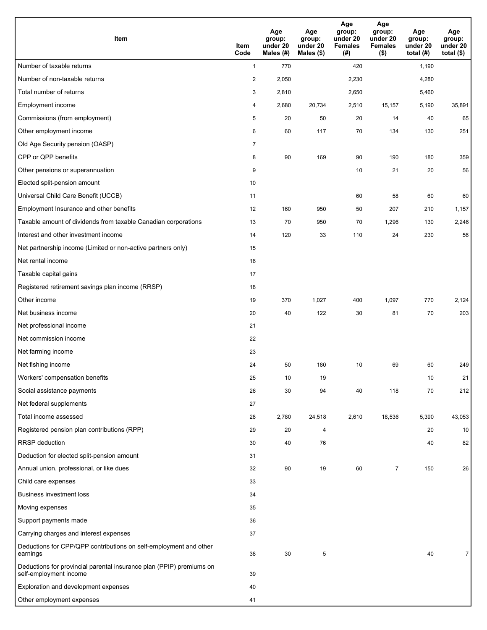| <b>Item</b>                                                                                    | Item<br>Code            | Age<br>group:<br>under 20<br>Males (#) | Age<br>group:<br>under 20<br>Males (\$) | Age<br>group:<br>under 20<br><b>Females</b><br>(# ) | Age<br>group:<br>under 20<br><b>Females</b><br>$($ \$) | Age<br>group:<br>under 20<br>total $(#)$ | Age<br>group:<br>under 20<br>total $($)$ |
|------------------------------------------------------------------------------------------------|-------------------------|----------------------------------------|-----------------------------------------|-----------------------------------------------------|--------------------------------------------------------|------------------------------------------|------------------------------------------|
| Number of taxable returns                                                                      | $\mathbf{1}$            | 770                                    |                                         | 420                                                 |                                                        | 1,190                                    |                                          |
| Number of non-taxable returns                                                                  | $\overline{\mathbf{c}}$ | 2,050                                  |                                         | 2,230                                               |                                                        | 4,280                                    |                                          |
| Total number of returns                                                                        | 3                       | 2,810                                  |                                         | 2,650                                               |                                                        | 5,460                                    |                                          |
| Employment income                                                                              | 4                       | 2,680                                  | 20,734                                  | 2,510                                               | 15,157                                                 | 5,190                                    | 35,891                                   |
| Commissions (from employment)                                                                  | 5                       | 20                                     | 50                                      | 20                                                  | 14                                                     | 40                                       | 65                                       |
| Other employment income                                                                        | 6                       | 60                                     | 117                                     | 70                                                  | 134                                                    | 130                                      | 251                                      |
| Old Age Security pension (OASP)                                                                | $\overline{7}$          |                                        |                                         |                                                     |                                                        |                                          |                                          |
| CPP or QPP benefits                                                                            | 8                       | 90                                     | 169                                     | 90                                                  | 190                                                    | 180                                      | 359                                      |
| Other pensions or superannuation                                                               | 9                       |                                        |                                         | 10                                                  | 21                                                     | 20                                       | 56                                       |
| Elected split-pension amount                                                                   | 10                      |                                        |                                         |                                                     |                                                        |                                          |                                          |
| Universal Child Care Benefit (UCCB)                                                            | 11                      |                                        |                                         | 60                                                  | 58                                                     | 60                                       | 60                                       |
| Employment Insurance and other benefits                                                        | 12                      | 160                                    | 950                                     | 50                                                  | 207                                                    | 210                                      | 1,157                                    |
| Taxable amount of dividends from taxable Canadian corporations                                 | 13                      | 70                                     | 950                                     | 70                                                  | 1,296                                                  | 130                                      | 2,246                                    |
| Interest and other investment income                                                           | 14                      | 120                                    | 33                                      | 110                                                 | 24                                                     | 230                                      | 56                                       |
| Net partnership income (Limited or non-active partners only)                                   | 15                      |                                        |                                         |                                                     |                                                        |                                          |                                          |
| Net rental income                                                                              | 16                      |                                        |                                         |                                                     |                                                        |                                          |                                          |
| Taxable capital gains                                                                          | 17                      |                                        |                                         |                                                     |                                                        |                                          |                                          |
| Registered retirement savings plan income (RRSP)                                               | 18                      |                                        |                                         |                                                     |                                                        |                                          |                                          |
| Other income                                                                                   | 19                      | 370                                    | 1,027                                   | 400                                                 | 1,097                                                  | 770                                      | 2,124                                    |
| Net business income                                                                            | 20                      | 40                                     | 122                                     | 30                                                  | 81                                                     | 70                                       | 203                                      |
| Net professional income                                                                        | 21                      |                                        |                                         |                                                     |                                                        |                                          |                                          |
| Net commission income                                                                          | 22                      |                                        |                                         |                                                     |                                                        |                                          |                                          |
| Net farming income                                                                             | 23                      |                                        |                                         |                                                     |                                                        |                                          |                                          |
| Net fishing income                                                                             | 24                      | 50                                     | 180                                     | 10                                                  | 69                                                     | 60                                       | 249                                      |
| Workers' compensation benefits                                                                 | 25                      | 10                                     | 19                                      |                                                     |                                                        | 10                                       | 21                                       |
| Social assistance payments                                                                     | 26                      | 30                                     | 94                                      | 40                                                  | 118                                                    | 70                                       | 212                                      |
| Net federal supplements                                                                        | 27                      |                                        |                                         |                                                     |                                                        |                                          |                                          |
| Total income assessed                                                                          | 28                      | 2,780                                  | 24,518                                  | 2,610                                               | 18,536                                                 | 5,390                                    | 43,053                                   |
| Registered pension plan contributions (RPP)                                                    | 29                      | 20                                     | 4                                       |                                                     |                                                        | 20                                       | 10                                       |
| RRSP deduction                                                                                 | 30                      | 40                                     | 76                                      |                                                     |                                                        | 40                                       | 82                                       |
| Deduction for elected split-pension amount                                                     | 31                      |                                        |                                         |                                                     |                                                        |                                          |                                          |
| Annual union, professional, or like dues                                                       | 32                      | 90                                     | 19                                      | 60                                                  | 7                                                      | 150                                      | 26                                       |
| Child care expenses                                                                            | 33                      |                                        |                                         |                                                     |                                                        |                                          |                                          |
| <b>Business investment loss</b>                                                                | 34                      |                                        |                                         |                                                     |                                                        |                                          |                                          |
| Moving expenses                                                                                | 35                      |                                        |                                         |                                                     |                                                        |                                          |                                          |
| Support payments made                                                                          | 36                      |                                        |                                         |                                                     |                                                        |                                          |                                          |
| Carrying charges and interest expenses                                                         | 37                      |                                        |                                         |                                                     |                                                        |                                          |                                          |
| Deductions for CPP/QPP contributions on self-employment and other<br>earnings                  | 38                      | 30                                     | $\sqrt{5}$                              |                                                     |                                                        | 40                                       | $\overline{7}$                           |
| Deductions for provincial parental insurance plan (PPIP) premiums on<br>self-employment income | 39                      |                                        |                                         |                                                     |                                                        |                                          |                                          |
| Exploration and development expenses                                                           | 40                      |                                        |                                         |                                                     |                                                        |                                          |                                          |
| Other employment expenses                                                                      | 41                      |                                        |                                         |                                                     |                                                        |                                          |                                          |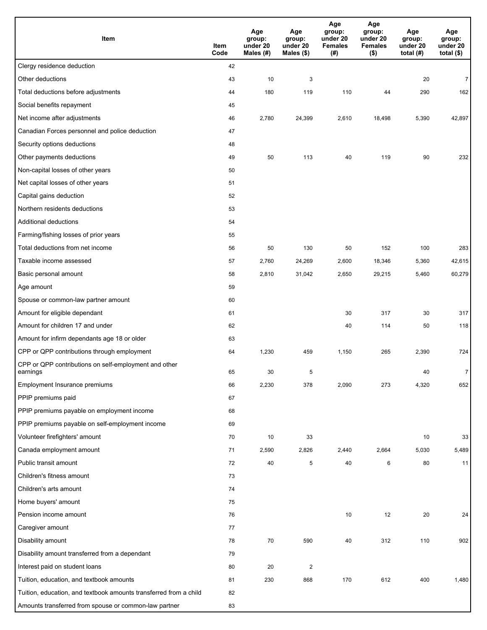| Item                                                              | Item<br>Code | Age<br>group:<br>under 20<br>Males (#) | Age<br>group:<br>under 20<br>Males (\$) | Age<br>group:<br>under 20<br><b>Females</b><br>(# ) | Age<br>group:<br>under 20<br><b>Females</b><br>$($ \$) | Age<br>group:<br>under 20<br>total $(H)$ | Age<br>group:<br>under 20<br>total $($)$ |
|-------------------------------------------------------------------|--------------|----------------------------------------|-----------------------------------------|-----------------------------------------------------|--------------------------------------------------------|------------------------------------------|------------------------------------------|
| Clergy residence deduction                                        | 42           |                                        |                                         |                                                     |                                                        |                                          |                                          |
| Other deductions                                                  | 43           | 10                                     | 3                                       |                                                     |                                                        | 20                                       | $\overline{7}$                           |
| Total deductions before adjustments                               | 44           | 180                                    | 119                                     | 110                                                 | 44                                                     | 290                                      | 162                                      |
| Social benefits repayment                                         | 45           |                                        |                                         |                                                     |                                                        |                                          |                                          |
| Net income after adjustments                                      | 46           | 2,780                                  | 24,399                                  | 2,610                                               | 18,498                                                 | 5,390                                    | 42,897                                   |
| Canadian Forces personnel and police deduction                    | 47           |                                        |                                         |                                                     |                                                        |                                          |                                          |
| Security options deductions                                       | 48           |                                        |                                         |                                                     |                                                        |                                          |                                          |
| Other payments deductions                                         | 49           | 50                                     | 113                                     | 40                                                  | 119                                                    | 90                                       | 232                                      |
| Non-capital losses of other years                                 | 50           |                                        |                                         |                                                     |                                                        |                                          |                                          |
| Net capital losses of other years                                 | 51           |                                        |                                         |                                                     |                                                        |                                          |                                          |
| Capital gains deduction                                           | 52           |                                        |                                         |                                                     |                                                        |                                          |                                          |
| Northern residents deductions                                     | 53           |                                        |                                         |                                                     |                                                        |                                          |                                          |
| Additional deductions                                             | 54           |                                        |                                         |                                                     |                                                        |                                          |                                          |
| Farming/fishing losses of prior years                             | 55           |                                        |                                         |                                                     |                                                        |                                          |                                          |
| Total deductions from net income                                  | 56           | 50                                     | 130                                     | 50                                                  | 152                                                    | 100                                      | 283                                      |
| Taxable income assessed                                           | 57           | 2,760                                  | 24,269                                  | 2,600                                               | 18,346                                                 | 5,360                                    | 42,615                                   |
| Basic personal amount                                             | 58           | 2,810                                  | 31,042                                  | 2,650                                               | 29,215                                                 | 5,460                                    | 60,279                                   |
| Age amount                                                        | 59           |                                        |                                         |                                                     |                                                        |                                          |                                          |
| Spouse or common-law partner amount                               | 60           |                                        |                                         |                                                     |                                                        |                                          |                                          |
| Amount for eligible dependant                                     | 61           |                                        |                                         | 30                                                  | 317                                                    | 30                                       | 317                                      |
| Amount for children 17 and under                                  | 62           |                                        |                                         | 40                                                  | 114                                                    | 50                                       | 118                                      |
| Amount for infirm dependants age 18 or older                      | 63           |                                        |                                         |                                                     |                                                        |                                          |                                          |
| CPP or QPP contributions through employment                       | 64           | 1,230                                  | 459                                     | 1,150                                               | 265                                                    | 2,390                                    | 724                                      |
| CPP or QPP contributions on self-employment and other<br>earnings | 65           | 30                                     | 5                                       |                                                     |                                                        | 40                                       | 7                                        |
| Employment Insurance premiums                                     | 66           | 2,230                                  | 378                                     | 2,090                                               | 273                                                    | 4,320                                    | 652                                      |
| PPIP premiums paid                                                | 67           |                                        |                                         |                                                     |                                                        |                                          |                                          |
| PPIP premiums payable on employment income                        | 68           |                                        |                                         |                                                     |                                                        |                                          |                                          |
| PPIP premiums payable on self-employment income                   | 69           |                                        |                                         |                                                     |                                                        |                                          |                                          |
| Volunteer firefighters' amount                                    | 70           | 10                                     | 33                                      |                                                     |                                                        | 10                                       | 33                                       |
| Canada employment amount                                          | 71           | 2,590                                  | 2,826                                   | 2,440                                               | 2,664                                                  | 5,030                                    | 5,489                                    |
| Public transit amount                                             | 72           | 40                                     | 5                                       | 40                                                  | 6                                                      | 80                                       | 11                                       |
| Children's fitness amount                                         | 73           |                                        |                                         |                                                     |                                                        |                                          |                                          |
| Children's arts amount                                            | 74           |                                        |                                         |                                                     |                                                        |                                          |                                          |
| Home buyers' amount                                               | 75           |                                        |                                         |                                                     |                                                        |                                          |                                          |
| Pension income amount                                             | 76           |                                        |                                         | 10                                                  | 12                                                     | 20                                       | 24                                       |
| Caregiver amount                                                  | 77           |                                        |                                         |                                                     |                                                        |                                          |                                          |
| Disability amount                                                 | 78           | 70                                     | 590                                     | 40                                                  | 312                                                    | 110                                      | 902                                      |
| Disability amount transferred from a dependant                    | 79           |                                        |                                         |                                                     |                                                        |                                          |                                          |
| Interest paid on student loans                                    | 80           | 20                                     | $\overline{2}$                          |                                                     |                                                        |                                          |                                          |
| Tuition, education, and textbook amounts                          | 81           | 230                                    | 868                                     | 170                                                 | 612                                                    | 400                                      | 1,480                                    |
| Tuition, education, and textbook amounts transferred from a child | 82           |                                        |                                         |                                                     |                                                        |                                          |                                          |
| Amounts transferred from spouse or common-law partner             | 83           |                                        |                                         |                                                     |                                                        |                                          |                                          |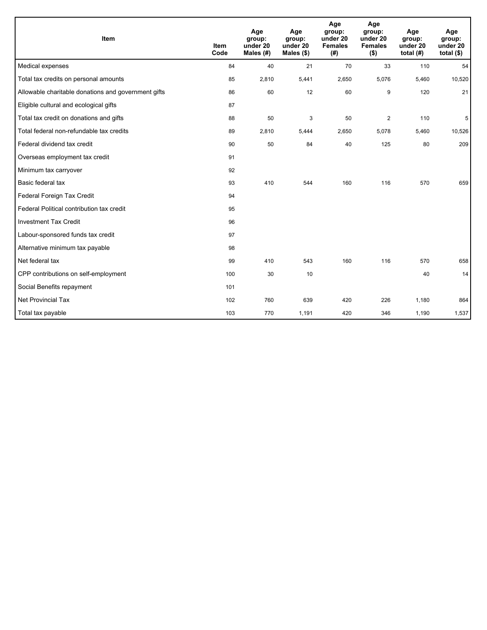| <b>Item</b>                                         | <b>Item</b><br>Code | Age<br>group:<br>under 20<br>Males $(H)$ | Age<br>group:<br>under 20<br>Males $(\$)$ | Age<br>group:<br>under 20<br><b>Females</b><br>(# ) | Age<br>group:<br>under 20<br><b>Females</b><br>$($ \$) | Age<br>group:<br>under 20<br>total $(H)$ | Age<br>group:<br>under 20<br>total $($)$ |
|-----------------------------------------------------|---------------------|------------------------------------------|-------------------------------------------|-----------------------------------------------------|--------------------------------------------------------|------------------------------------------|------------------------------------------|
| Medical expenses                                    | 84                  | 40                                       | 21                                        | 70                                                  | 33                                                     | 110                                      | 54                                       |
| Total tax credits on personal amounts               | 85                  | 2,810                                    | 5,441                                     | 2,650                                               | 5,076                                                  | 5,460                                    | 10,520                                   |
| Allowable charitable donations and government gifts | 86                  | 60                                       | 12                                        | 60                                                  | 9                                                      | 120                                      | 21                                       |
| Eligible cultural and ecological gifts              | 87                  |                                          |                                           |                                                     |                                                        |                                          |                                          |
| Total tax credit on donations and gifts             | 88                  | 50                                       | 3                                         | 50                                                  | $\overline{2}$                                         | 110                                      | 5                                        |
| Total federal non-refundable tax credits            | 89                  | 2,810                                    | 5,444                                     | 2,650                                               | 5,078                                                  | 5,460                                    | 10,526                                   |
| Federal dividend tax credit                         | 90                  | 50                                       | 84                                        | 40                                                  | 125                                                    | 80                                       | 209                                      |
| Overseas employment tax credit                      | 91                  |                                          |                                           |                                                     |                                                        |                                          |                                          |
| Minimum tax carryover                               | 92                  |                                          |                                           |                                                     |                                                        |                                          |                                          |
| Basic federal tax                                   | 93                  | 410                                      | 544                                       | 160                                                 | 116                                                    | 570                                      | 659                                      |
| Federal Foreign Tax Credit                          | 94                  |                                          |                                           |                                                     |                                                        |                                          |                                          |
| Federal Political contribution tax credit           | 95                  |                                          |                                           |                                                     |                                                        |                                          |                                          |
| <b>Investment Tax Credit</b>                        | 96                  |                                          |                                           |                                                     |                                                        |                                          |                                          |
| Labour-sponsored funds tax credit                   | 97                  |                                          |                                           |                                                     |                                                        |                                          |                                          |
| Alternative minimum tax payable                     | 98                  |                                          |                                           |                                                     |                                                        |                                          |                                          |
| Net federal tax                                     | 99                  | 410                                      | 543                                       | 160                                                 | 116                                                    | 570                                      | 658                                      |
| CPP contributions on self-employment                | 100                 | 30                                       | 10                                        |                                                     |                                                        | 40                                       | 14                                       |
| Social Benefits repayment                           | 101                 |                                          |                                           |                                                     |                                                        |                                          |                                          |
| <b>Net Provincial Tax</b>                           | 102                 | 760                                      | 639                                       | 420                                                 | 226                                                    | 1,180                                    | 864                                      |
| Total tax payable                                   | 103                 | 770                                      | 1,191                                     | 420                                                 | 346                                                    | 1,190                                    | 1,537                                    |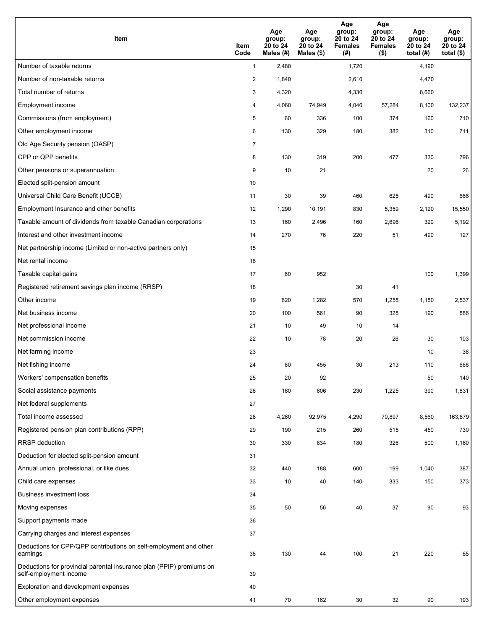| <b>Item</b>                                                                                    | Item<br>Code            | Age<br>group:<br>20 to 24<br>Males (#) | Age<br>group:<br>20 to 24<br>Males (\$) | Age<br>group:<br>20 to 24<br><b>Females</b><br>(#) | Age<br>group:<br>20 to 24<br><b>Females</b><br>$($ \$) | Age<br>group:<br>20 to 24<br>total $(#)$ | Age<br>group:<br>20 to 24<br>total $($)$ |
|------------------------------------------------------------------------------------------------|-------------------------|----------------------------------------|-----------------------------------------|----------------------------------------------------|--------------------------------------------------------|------------------------------------------|------------------------------------------|
| Number of taxable returns                                                                      | $\mathbf{1}$            | 2,480                                  |                                         | 1,720                                              |                                                        | 4,190                                    |                                          |
| Number of non-taxable returns                                                                  | $\overline{\mathbf{c}}$ | 1,840                                  |                                         | 2,610                                              |                                                        | 4,470                                    |                                          |
| Total number of returns                                                                        | 3                       | 4,320                                  |                                         | 4,330                                              |                                                        | 8,660                                    |                                          |
| Employment income                                                                              | 4                       | 4,060                                  | 74,949                                  | 4,040                                              | 57,284                                                 | 8,100                                    | 132,237                                  |
| Commissions (from employment)                                                                  | 5                       | 60                                     | 336                                     | 100                                                | 374                                                    | 160                                      | 710                                      |
| Other employment income                                                                        | 6                       | 130                                    | 329                                     | 180                                                | 382                                                    | 310                                      | 711                                      |
| Old Age Security pension (OASP)                                                                | $\overline{7}$          |                                        |                                         |                                                    |                                                        |                                          |                                          |
| CPP or QPP benefits                                                                            | 8                       | 130                                    | 319                                     | 200                                                | 477                                                    | 330                                      | 796                                      |
| Other pensions or superannuation                                                               | 9                       | 10                                     | 21                                      |                                                    |                                                        | 20                                       | 26                                       |
| Elected split-pension amount                                                                   | 10                      |                                        |                                         |                                                    |                                                        |                                          |                                          |
| Universal Child Care Benefit (UCCB)                                                            | 11                      | 30                                     | 39                                      | 460                                                | 625                                                    | 490                                      | 666                                      |
| Employment Insurance and other benefits                                                        | 12                      | 1,290                                  | 10,191                                  | 830                                                | 5,359                                                  | 2,120                                    | 15,550                                   |
| Taxable amount of dividends from taxable Canadian corporations                                 | 13                      | 160                                    | 2,496                                   | 160                                                | 2,696                                                  | 320                                      | 5,192                                    |
| Interest and other investment income                                                           | 14                      | 270                                    | 76                                      | 220                                                | 51                                                     | 490                                      | 127                                      |
| Net partnership income (Limited or non-active partners only)                                   | 15                      |                                        |                                         |                                                    |                                                        |                                          |                                          |
| Net rental income                                                                              | 16                      |                                        |                                         |                                                    |                                                        |                                          |                                          |
| Taxable capital gains                                                                          | 17                      | 60                                     | 952                                     |                                                    |                                                        | 100                                      | 1,399                                    |
| Registered retirement savings plan income (RRSP)                                               | 18                      |                                        |                                         | 30                                                 | 41                                                     |                                          |                                          |
| Other income                                                                                   | 19                      | 620                                    | 1,282                                   | 570                                                | 1,255                                                  | 1,180                                    | 2,537                                    |
| Net business income                                                                            | 20                      | 100                                    | 561                                     | 90                                                 | 325                                                    | 190                                      | 886                                      |
| Net professional income                                                                        | 21                      | 10                                     | 49                                      | 10                                                 | 14                                                     |                                          |                                          |
| Net commission income                                                                          | 22                      | 10                                     | 78                                      | 20                                                 | 26                                                     | 30                                       | 103                                      |
| Net farming income                                                                             | 23                      |                                        |                                         |                                                    |                                                        | 10                                       | 36                                       |
| Net fishing income                                                                             | 24                      | 80                                     | 455                                     | 30                                                 | 213                                                    | 110                                      | 668                                      |
| Workers' compensation benefits                                                                 | 25                      | 20                                     | 92                                      |                                                    |                                                        | 50                                       | 140                                      |
| Social assistance payments                                                                     | 26                      | 160                                    | 606                                     | 230                                                | 1,225                                                  | 390                                      | 1,831                                    |
| Net federal supplements                                                                        | 27                      |                                        |                                         |                                                    |                                                        |                                          |                                          |
| Total income assessed                                                                          | 28                      | 4,260                                  | 92,975                                  | 4,290                                              | 70,897                                                 | 8,560                                    | 163,879                                  |
| Registered pension plan contributions (RPP)                                                    | 29                      | 190                                    | 215                                     | 260                                                | 515                                                    | 450                                      | 730                                      |
| RRSP deduction                                                                                 | 30                      | 330                                    | 834                                     | 180                                                | 326                                                    | 500                                      | 1,160                                    |
| Deduction for elected split-pension amount                                                     | 31                      |                                        |                                         |                                                    |                                                        |                                          |                                          |
| Annual union, professional, or like dues                                                       | 32                      | 440                                    | 188                                     | 600                                                | 199                                                    | 1,040                                    | 387                                      |
| Child care expenses                                                                            | 33                      | 10                                     | 40                                      | 140                                                | 333                                                    | 150                                      | 373                                      |
| <b>Business investment loss</b>                                                                | 34                      |                                        |                                         |                                                    |                                                        |                                          |                                          |
| Moving expenses                                                                                | 35                      | 50                                     | 56                                      | 40                                                 | 37                                                     | 90                                       | 93                                       |
| Support payments made                                                                          | 36                      |                                        |                                         |                                                    |                                                        |                                          |                                          |
| Carrying charges and interest expenses                                                         | 37                      |                                        |                                         |                                                    |                                                        |                                          |                                          |
| Deductions for CPP/QPP contributions on self-employment and other<br>earnings                  | 38                      | 130                                    | 44                                      | 100                                                | 21                                                     | 220                                      | 65                                       |
| Deductions for provincial parental insurance plan (PPIP) premiums on<br>self-employment income | 39                      |                                        |                                         |                                                    |                                                        |                                          |                                          |
| Exploration and development expenses                                                           | 40                      |                                        |                                         |                                                    |                                                        |                                          |                                          |
| Other employment expenses                                                                      | 41                      | 70                                     | 162                                     | 30                                                 | 32                                                     | 90                                       | 193                                      |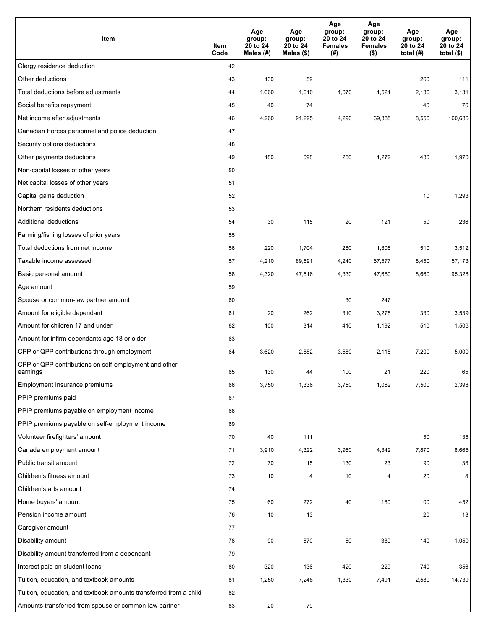| Item                                                              | Item<br>Code | Age<br>group:<br>20 to 24<br>Males (#) | Age<br>group:<br>20 to 24<br>Males (\$) | Age<br>group:<br>20 to 24<br><b>Females</b><br>(#) | Age<br>group:<br>20 to 24<br><b>Females</b><br>$($ \$) | Age<br>group:<br>20 to 24<br>total $(H)$ | Age<br>group:<br>20 to 24<br>total $($)$ |
|-------------------------------------------------------------------|--------------|----------------------------------------|-----------------------------------------|----------------------------------------------------|--------------------------------------------------------|------------------------------------------|------------------------------------------|
| Clergy residence deduction                                        | 42           |                                        |                                         |                                                    |                                                        |                                          |                                          |
| Other deductions                                                  | 43           | 130                                    | 59                                      |                                                    |                                                        | 260                                      | 111                                      |
| Total deductions before adjustments                               | 44           | 1,060                                  | 1,610                                   | 1,070                                              | 1,521                                                  | 2,130                                    | 3,131                                    |
| Social benefits repayment                                         | 45           | 40                                     | 74                                      |                                                    |                                                        | 40                                       | 76                                       |
| Net income after adjustments                                      | 46           | 4,260                                  | 91,295                                  | 4,290                                              | 69,385                                                 | 8,550                                    | 160,686                                  |
| Canadian Forces personnel and police deduction                    | 47           |                                        |                                         |                                                    |                                                        |                                          |                                          |
| Security options deductions                                       | 48           |                                        |                                         |                                                    |                                                        |                                          |                                          |
| Other payments deductions                                         | 49           | 180                                    | 698                                     | 250                                                | 1,272                                                  | 430                                      | 1,970                                    |
| Non-capital losses of other years                                 | 50           |                                        |                                         |                                                    |                                                        |                                          |                                          |
| Net capital losses of other years                                 | 51           |                                        |                                         |                                                    |                                                        |                                          |                                          |
| Capital gains deduction                                           | 52           |                                        |                                         |                                                    |                                                        | 10                                       | 1,293                                    |
| Northern residents deductions                                     | 53           |                                        |                                         |                                                    |                                                        |                                          |                                          |
| Additional deductions                                             | 54           | 30                                     | 115                                     | 20                                                 | 121                                                    | 50                                       | 236                                      |
| Farming/fishing losses of prior years                             | 55           |                                        |                                         |                                                    |                                                        |                                          |                                          |
| Total deductions from net income                                  | 56           | 220                                    | 1,704                                   | 280                                                | 1,808                                                  | 510                                      | 3,512                                    |
| Taxable income assessed                                           | 57           | 4,210                                  | 89,591                                  | 4,240                                              | 67,577                                                 | 8,450                                    | 157,173                                  |
| Basic personal amount                                             | 58           | 4,320                                  | 47,516                                  | 4,330                                              | 47,680                                                 | 8,660                                    | 95,328                                   |
| Age amount                                                        | 59           |                                        |                                         |                                                    |                                                        |                                          |                                          |
| Spouse or common-law partner amount                               | 60           |                                        |                                         | 30                                                 | 247                                                    |                                          |                                          |
| Amount for eligible dependant                                     | 61           | 20                                     | 262                                     | 310                                                | 3,278                                                  | 330                                      | 3,539                                    |
| Amount for children 17 and under                                  | 62           | 100                                    | 314                                     | 410                                                | 1,192                                                  | 510                                      | 1,506                                    |
| Amount for infirm dependants age 18 or older                      | 63           |                                        |                                         |                                                    |                                                        |                                          |                                          |
| CPP or QPP contributions through employment                       | 64           | 3,620                                  | 2,882                                   | 3,580                                              | 2,118                                                  | 7,200                                    | 5,000                                    |
| CPP or QPP contributions on self-employment and other<br>earnings | 65           | 130                                    | 44                                      | 100                                                | 21                                                     | 220                                      | 65                                       |
| Employment Insurance premiums                                     | 66           | 3,750                                  | 1,336                                   | 3,750                                              | 1,062                                                  | 7,500                                    | 2,398                                    |
| PPIP premiums paid                                                | 67           |                                        |                                         |                                                    |                                                        |                                          |                                          |
| PPIP premiums payable on employment income                        | 68           |                                        |                                         |                                                    |                                                        |                                          |                                          |
| PPIP premiums payable on self-employment income                   | 69           |                                        |                                         |                                                    |                                                        |                                          |                                          |
| Volunteer firefighters' amount                                    | 70           | 40                                     | 111                                     |                                                    |                                                        | 50                                       | 135                                      |
| Canada employment amount                                          | 71           | 3,910                                  | 4,322                                   | 3,950                                              | 4,342                                                  | 7,870                                    | 8,665                                    |
| Public transit amount                                             | 72           | 70                                     | 15                                      | 130                                                | 23                                                     | 190                                      | 38                                       |
| Children's fitness amount                                         | 73           | 10                                     | 4                                       | 10                                                 | $\overline{4}$                                         | 20                                       | 8                                        |
| Children's arts amount                                            | 74           |                                        |                                         |                                                    |                                                        |                                          |                                          |
| Home buyers' amount                                               | 75           | 60                                     | 272                                     | 40                                                 | 180                                                    | 100                                      | 452                                      |
| Pension income amount                                             | 76           | 10                                     | 13                                      |                                                    |                                                        | 20                                       | 18                                       |
| Caregiver amount                                                  | 77           |                                        |                                         |                                                    |                                                        |                                          |                                          |
| Disability amount                                                 | 78           | 90                                     | 670                                     | 50                                                 | 380                                                    | 140                                      | 1,050                                    |
| Disability amount transferred from a dependant                    | 79           |                                        |                                         |                                                    |                                                        |                                          |                                          |
| Interest paid on student loans                                    | 80           | 320                                    | 136                                     | 420                                                | 220                                                    | 740                                      | 356                                      |
| Tuition, education, and textbook amounts                          | 81           | 1,250                                  | 7,248                                   | 1,330                                              | 7,491                                                  | 2,580                                    | 14,739                                   |
| Tuition, education, and textbook amounts transferred from a child | 82           |                                        |                                         |                                                    |                                                        |                                          |                                          |
| Amounts transferred from spouse or common-law partner             | 83           | 20                                     | 79                                      |                                                    |                                                        |                                          |                                          |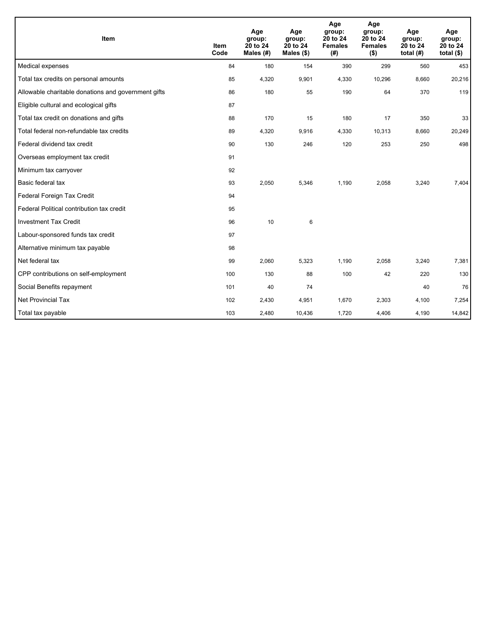| <b>Item</b>                                         | <b>Item</b><br>Code | Age<br>group:<br>20 to 24<br>Males (#) | Age<br>group:<br>20 to 24<br>Males $(\$)$ | Age<br>group:<br>20 to 24<br><b>Females</b><br>(# ) | Age<br>group:<br>20 to 24<br><b>Females</b><br>$($ \$) | Age<br>group:<br>20 to 24<br>total $(H)$ | Age<br>group:<br>20 to 24<br>total $($ math) |
|-----------------------------------------------------|---------------------|----------------------------------------|-------------------------------------------|-----------------------------------------------------|--------------------------------------------------------|------------------------------------------|----------------------------------------------|
| Medical expenses                                    | 84                  | 180                                    | 154                                       | 390                                                 | 299                                                    | 560                                      | 453                                          |
| Total tax credits on personal amounts               | 85                  | 4,320                                  | 9,901                                     | 4,330                                               | 10,296                                                 | 8,660                                    | 20,216                                       |
| Allowable charitable donations and government gifts | 86                  | 180                                    | 55                                        | 190                                                 | 64                                                     | 370                                      | 119                                          |
| Eligible cultural and ecological gifts              | 87                  |                                        |                                           |                                                     |                                                        |                                          |                                              |
| Total tax credit on donations and gifts             | 88                  | 170                                    | 15                                        | 180                                                 | 17                                                     | 350                                      | 33                                           |
| Total federal non-refundable tax credits            | 89                  | 4,320                                  | 9,916                                     | 4,330                                               | 10,313                                                 | 8,660                                    | 20,249                                       |
| Federal dividend tax credit                         | 90                  | 130                                    | 246                                       | 120                                                 | 253                                                    | 250                                      | 498                                          |
| Overseas employment tax credit                      | 91                  |                                        |                                           |                                                     |                                                        |                                          |                                              |
| Minimum tax carryover                               | 92                  |                                        |                                           |                                                     |                                                        |                                          |                                              |
| Basic federal tax                                   | 93                  | 2,050                                  | 5,346                                     | 1,190                                               | 2,058                                                  | 3,240                                    | 7,404                                        |
| Federal Foreign Tax Credit                          | 94                  |                                        |                                           |                                                     |                                                        |                                          |                                              |
| Federal Political contribution tax credit           | 95                  |                                        |                                           |                                                     |                                                        |                                          |                                              |
| <b>Investment Tax Credit</b>                        | 96                  | 10                                     | 6                                         |                                                     |                                                        |                                          |                                              |
| Labour-sponsored funds tax credit                   | 97                  |                                        |                                           |                                                     |                                                        |                                          |                                              |
| Alternative minimum tax payable                     | 98                  |                                        |                                           |                                                     |                                                        |                                          |                                              |
| Net federal tax                                     | 99                  | 2,060                                  | 5,323                                     | 1,190                                               | 2,058                                                  | 3,240                                    | 7,381                                        |
| CPP contributions on self-employment                | 100                 | 130                                    | 88                                        | 100                                                 | 42                                                     | 220                                      | 130                                          |
| Social Benefits repayment                           | 101                 | 40                                     | 74                                        |                                                     |                                                        | 40                                       | 76                                           |
| Net Provincial Tax                                  | 102                 | 2,430                                  | 4,951                                     | 1,670                                               | 2,303                                                  | 4,100                                    | 7,254                                        |
| Total tax payable                                   | 103                 | 2,480                                  | 10,436                                    | 1,720                                               | 4,406                                                  | 4,190                                    | 14,842                                       |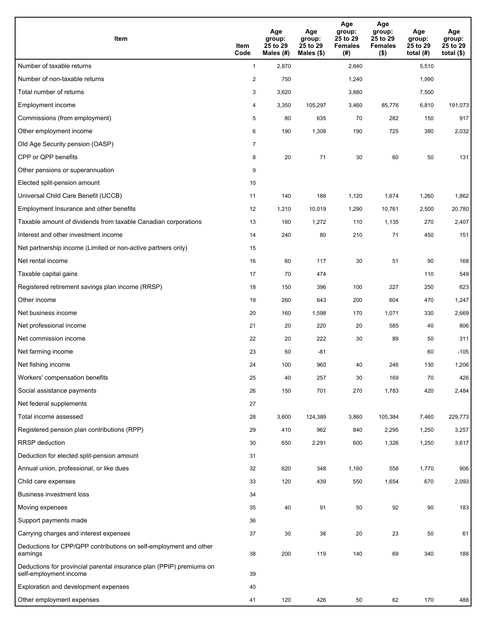| <b>Item</b>                                                                                    | Item<br>Code            | Age<br>group:<br>25 to 29<br>Males (#) | Age<br>group:<br>25 to 29<br>Males (\$) | Age<br>group:<br>25 to 29<br><b>Females</b><br>(#) | Age<br>group:<br>25 to 29<br><b>Females</b><br>$($ \$) | Age<br>group:<br>25 to 29<br>total $(#)$ | Age<br>group:<br>25 to 29<br>total $($)$ |
|------------------------------------------------------------------------------------------------|-------------------------|----------------------------------------|-----------------------------------------|----------------------------------------------------|--------------------------------------------------------|------------------------------------------|------------------------------------------|
| Number of taxable returns                                                                      | $\mathbf{1}$            | 2,870                                  |                                         | 2,640                                              |                                                        | 5,510                                    |                                          |
| Number of non-taxable returns                                                                  | $\overline{\mathbf{c}}$ | 750                                    |                                         | 1,240                                              |                                                        | 1,990                                    |                                          |
| Total number of returns                                                                        | 3                       | 3,620                                  |                                         | 3,880                                              |                                                        | 7,500                                    |                                          |
| Employment income                                                                              | 4                       | 3,350                                  | 105,297                                 | 3,460                                              | 85,776                                                 | 6,810                                    | 191,073                                  |
| Commissions (from employment)                                                                  | 5                       | 80                                     | 635                                     | 70                                                 | 282                                                    | 150                                      | 917                                      |
| Other employment income                                                                        | 6                       | 190                                    | 1,308                                   | 190                                                | 725                                                    | 380                                      | 2,032                                    |
| Old Age Security pension (OASP)                                                                | $\overline{7}$          |                                        |                                         |                                                    |                                                        |                                          |                                          |
| CPP or QPP benefits                                                                            | 8                       | 20                                     | 71                                      | 30                                                 | 60                                                     | 50                                       | 131                                      |
| Other pensions or superannuation                                                               | 9                       |                                        |                                         |                                                    |                                                        |                                          |                                          |
| Elected split-pension amount                                                                   | 10                      |                                        |                                         |                                                    |                                                        |                                          |                                          |
| Universal Child Care Benefit (UCCB)                                                            | 11                      | 140                                    | 188                                     | 1,120                                              | 1,674                                                  | 1,260                                    | 1,862                                    |
| Employment Insurance and other benefits                                                        | 12                      | 1,210                                  | 10,019                                  | 1,290                                              | 10,761                                                 | 2,500                                    | 20,780                                   |
| Taxable amount of dividends from taxable Canadian corporations                                 | 13                      | 160                                    | 1,272                                   | 110                                                | 1,135                                                  | 270                                      | 2,407                                    |
| Interest and other investment income                                                           | 14                      | 240                                    | 80                                      | 210                                                | 71                                                     | 450                                      | 151                                      |
| Net partnership income (Limited or non-active partners only)                                   | 15                      |                                        |                                         |                                                    |                                                        |                                          |                                          |
| Net rental income                                                                              | 16                      | 60                                     | 117                                     | 30                                                 | 51                                                     | 90                                       | 168                                      |
| Taxable capital gains                                                                          | 17                      | 70                                     | 474                                     |                                                    |                                                        | 110                                      | 549                                      |
| Registered retirement savings plan income (RRSP)                                               | 18                      | 150                                    | 396                                     | 100                                                | 227                                                    | 250                                      | 623                                      |
| Other income                                                                                   | 19                      | 260                                    | 643                                     | 200                                                | 604                                                    | 470                                      | 1,247                                    |
| Net business income                                                                            | 20                      | 160                                    | 1,598                                   | 170                                                | 1,071                                                  | 330                                      | 2,669                                    |
| Net professional income                                                                        | 21                      | 20                                     | 220                                     | 20                                                 | 585                                                    | 40                                       | 806                                      |
| Net commission income                                                                          | 22                      | 20                                     | 222                                     | 30                                                 | 89                                                     | 50                                       | 311                                      |
| Net farming income                                                                             | 23                      | 50                                     | -81                                     |                                                    |                                                        | 60                                       | $-105$                                   |
| Net fishing income                                                                             | 24                      | 100                                    | 960                                     | 40                                                 | 246                                                    | 130                                      | 1,206                                    |
| Workers' compensation benefits                                                                 | 25                      | 40                                     | 257                                     | 30                                                 | 169                                                    | 70                                       | 426                                      |
| Social assistance payments                                                                     | 26                      | 150                                    | 701                                     | 270                                                | 1,783                                                  | 420                                      | 2,484                                    |
| Net federal supplements                                                                        | 27                      |                                        |                                         |                                                    |                                                        |                                          |                                          |
| Total income assessed                                                                          | 28                      | 3,600                                  | 124,389                                 | 3,860                                              | 105,384                                                | 7,460                                    | 229,773                                  |
| Registered pension plan contributions (RPP)                                                    | 29                      | 410                                    | 962                                     | 840                                                | 2,295                                                  | 1,250                                    | 3,257                                    |
| RRSP deduction                                                                                 | 30                      | 650                                    | 2,291                                   | 600                                                | 1,326                                                  | 1,250                                    | 3,617                                    |
| Deduction for elected split-pension amount                                                     | 31                      |                                        |                                         |                                                    |                                                        |                                          |                                          |
| Annual union, professional, or like dues                                                       | 32                      | 620                                    | 348                                     | 1,160                                              | 558                                                    | 1,770                                    | 906                                      |
| Child care expenses                                                                            | 33                      | 120                                    | 439                                     | 550                                                | 1,654                                                  | 670                                      | 2,093                                    |
| <b>Business investment loss</b>                                                                | 34                      |                                        |                                         |                                                    |                                                        |                                          |                                          |
| Moving expenses                                                                                | 35                      | 40                                     | 91                                      | 50                                                 | 92                                                     | 90                                       | 183                                      |
| Support payments made                                                                          | 36                      |                                        |                                         |                                                    |                                                        |                                          |                                          |
| Carrying charges and interest expenses                                                         | 37                      | 30                                     | 38                                      | 20                                                 | 23                                                     | 50                                       | 61                                       |
| Deductions for CPP/QPP contributions on self-employment and other<br>earnings                  | 38                      | 200                                    | 119                                     | 140                                                | 69                                                     | 340                                      | 188                                      |
| Deductions for provincial parental insurance plan (PPIP) premiums on<br>self-employment income | 39                      |                                        |                                         |                                                    |                                                        |                                          |                                          |
| Exploration and development expenses                                                           | 40                      |                                        |                                         |                                                    |                                                        |                                          |                                          |
| Other employment expenses                                                                      | 41                      | 120                                    | 426                                     | 50                                                 | 62                                                     | 170                                      | 488                                      |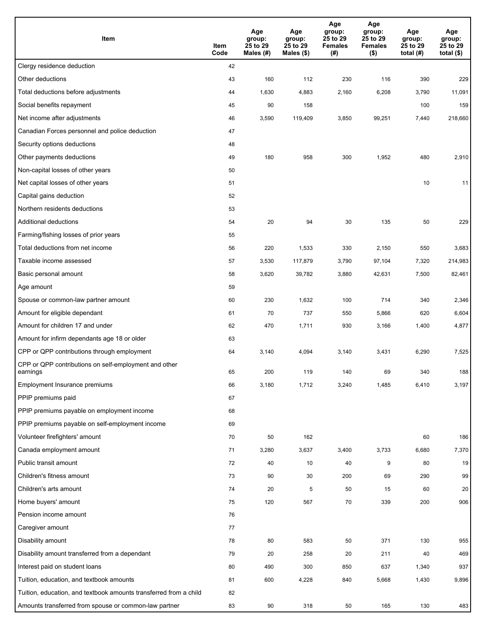| Item                                                              | Item<br>Code | Age<br>group:<br>25 to 29<br>Males (#) | Age<br>group:<br>25 to 29<br>Males (\$) | Age<br>group:<br>25 to 29<br><b>Females</b><br>(#) | Age<br>group:<br>25 to 29<br><b>Females</b><br>$($ \$) | Age<br>group:<br>25 to 29<br>total $(H)$ | Age<br>group:<br>25 to 29<br>total $($)$ |
|-------------------------------------------------------------------|--------------|----------------------------------------|-----------------------------------------|----------------------------------------------------|--------------------------------------------------------|------------------------------------------|------------------------------------------|
| Clergy residence deduction                                        | 42           |                                        |                                         |                                                    |                                                        |                                          |                                          |
| Other deductions                                                  | 43           | 160                                    | 112                                     | 230                                                | 116                                                    | 390                                      | 229                                      |
| Total deductions before adjustments                               | 44           | 1,630                                  | 4,883                                   | 2,160                                              | 6,208                                                  | 3,790                                    | 11,091                                   |
| Social benefits repayment                                         | 45           | 90                                     | 158                                     |                                                    |                                                        | 100                                      | 159                                      |
| Net income after adjustments                                      | 46           | 3,590                                  | 119,409                                 | 3,850                                              | 99,251                                                 | 7,440                                    | 218,660                                  |
| Canadian Forces personnel and police deduction                    | 47           |                                        |                                         |                                                    |                                                        |                                          |                                          |
| Security options deductions                                       | 48           |                                        |                                         |                                                    |                                                        |                                          |                                          |
| Other payments deductions                                         | 49           | 180                                    | 958                                     | 300                                                | 1,952                                                  | 480                                      | 2,910                                    |
| Non-capital losses of other years                                 | 50           |                                        |                                         |                                                    |                                                        |                                          |                                          |
| Net capital losses of other years                                 | 51           |                                        |                                         |                                                    |                                                        | 10                                       | 11                                       |
| Capital gains deduction                                           | 52           |                                        |                                         |                                                    |                                                        |                                          |                                          |
| Northern residents deductions                                     | 53           |                                        |                                         |                                                    |                                                        |                                          |                                          |
| Additional deductions                                             | 54           | 20                                     | 94                                      | 30                                                 | 135                                                    | 50                                       | 229                                      |
| Farming/fishing losses of prior years                             | 55           |                                        |                                         |                                                    |                                                        |                                          |                                          |
| Total deductions from net income                                  | 56           | 220                                    | 1,533                                   | 330                                                | 2,150                                                  | 550                                      | 3,683                                    |
| Taxable income assessed                                           | 57           | 3,530                                  | 117,879                                 | 3,790                                              | 97,104                                                 | 7,320                                    | 214,983                                  |
| Basic personal amount                                             | 58           | 3,620                                  | 39,782                                  | 3,880                                              | 42,631                                                 | 7,500                                    | 82,461                                   |
| Age amount                                                        | 59           |                                        |                                         |                                                    |                                                        |                                          |                                          |
| Spouse or common-law partner amount                               | 60           | 230                                    | 1,632                                   | 100                                                | 714                                                    | 340                                      | 2,346                                    |
| Amount for eligible dependant                                     | 61           | 70                                     | 737                                     | 550                                                | 5,866                                                  | 620                                      | 6,604                                    |
| Amount for children 17 and under                                  | 62           | 470                                    | 1,711                                   | 930                                                | 3,166                                                  | 1,400                                    | 4,877                                    |
| Amount for infirm dependants age 18 or older                      | 63           |                                        |                                         |                                                    |                                                        |                                          |                                          |
| CPP or QPP contributions through employment                       | 64           | 3,140                                  | 4,094                                   | 3,140                                              | 3,431                                                  | 6,290                                    | 7,525                                    |
| CPP or QPP contributions on self-employment and other<br>earnings | 65           | 200                                    | 119                                     | 140                                                | 69                                                     | 340                                      | 188                                      |
| Employment Insurance premiums                                     | 66           | 3,180                                  | 1,712                                   | 3,240                                              | 1,485                                                  | 6,410                                    | 3,197                                    |
| PPIP premiums paid                                                | 67           |                                        |                                         |                                                    |                                                        |                                          |                                          |
| PPIP premiums payable on employment income                        | 68           |                                        |                                         |                                                    |                                                        |                                          |                                          |
| PPIP premiums payable on self-employment income                   | 69           |                                        |                                         |                                                    |                                                        |                                          |                                          |
| Volunteer firefighters' amount                                    | 70           | 50                                     | 162                                     |                                                    |                                                        | 60                                       | 186                                      |
| Canada employment amount                                          | 71           | 3,280                                  | 3,637                                   | 3,400                                              | 3,733                                                  | 6,680                                    | 7,370                                    |
| Public transit amount                                             | 72           | 40                                     | 10                                      | 40                                                 | 9                                                      | 80                                       | 19                                       |
| Children's fitness amount                                         | 73           | 90                                     | 30                                      | 200                                                | 69                                                     | 290                                      | 99                                       |
| Children's arts amount                                            | 74           | 20                                     | 5                                       | 50                                                 | 15                                                     | 60                                       | 20                                       |
| Home buyers' amount                                               | 75           | 120                                    | 567                                     | 70                                                 | 339                                                    | 200                                      | 906                                      |
| Pension income amount                                             | 76           |                                        |                                         |                                                    |                                                        |                                          |                                          |
| Caregiver amount                                                  | 77           |                                        |                                         |                                                    |                                                        |                                          |                                          |
| Disability amount                                                 | 78           | 80                                     | 583                                     | 50                                                 | 371                                                    | 130                                      | 955                                      |
| Disability amount transferred from a dependant                    | 79           | 20                                     | 258                                     | 20                                                 | 211                                                    | 40                                       | 469                                      |
| Interest paid on student loans                                    | 80           | 490                                    | 300                                     | 850                                                | 637                                                    | 1,340                                    | 937                                      |
| Tuition, education, and textbook amounts                          | 81           | 600                                    | 4,228                                   | 840                                                | 5,668                                                  | 1,430                                    | 9,896                                    |
| Tuition, education, and textbook amounts transferred from a child | 82           |                                        |                                         |                                                    |                                                        |                                          |                                          |
| Amounts transferred from spouse or common-law partner             | 83           | 90                                     | 318                                     | 50                                                 | 165                                                    | 130                                      | 483                                      |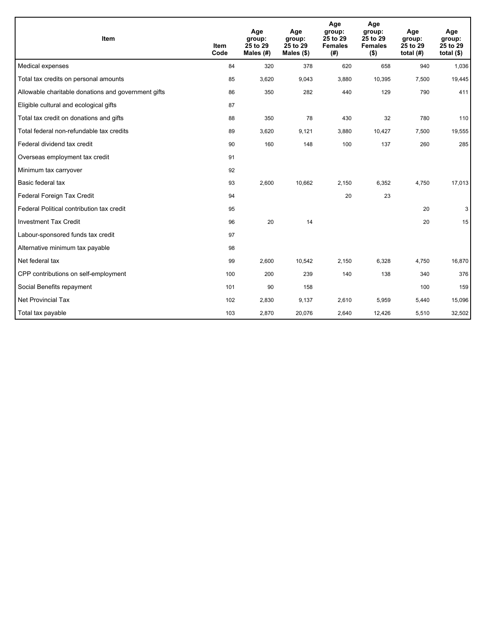| Item                                                | <b>Item</b><br>Code | Age<br>group:<br>25 to 29<br>Males $(H)$ | Age<br>group:<br>25 to 29<br>Males $(\$)$ | Age<br>group:<br>25 to 29<br><b>Females</b><br>(#) | Age<br>group:<br>25 to 29<br><b>Females</b><br>$($ \$) | Age<br>group:<br>25 to 29<br>total $(H)$ | Age<br>group:<br>25 to 29<br>total $($)$ |
|-----------------------------------------------------|---------------------|------------------------------------------|-------------------------------------------|----------------------------------------------------|--------------------------------------------------------|------------------------------------------|------------------------------------------|
| Medical expenses                                    | 84                  | 320                                      | 378                                       | 620                                                | 658                                                    | 940                                      | 1,036                                    |
| Total tax credits on personal amounts               | 85                  | 3,620                                    | 9,043                                     | 3,880                                              | 10,395                                                 | 7,500                                    | 19,445                                   |
| Allowable charitable donations and government gifts | 86                  | 350                                      | 282                                       | 440                                                | 129                                                    | 790                                      | 411                                      |
| Eligible cultural and ecological gifts              | 87                  |                                          |                                           |                                                    |                                                        |                                          |                                          |
| Total tax credit on donations and gifts             | 88                  | 350                                      | 78                                        | 430                                                | 32                                                     | 780                                      | 110                                      |
| Total federal non-refundable tax credits            | 89                  | 3,620                                    | 9,121                                     | 3,880                                              | 10,427                                                 | 7,500                                    | 19,555                                   |
| Federal dividend tax credit                         | 90                  | 160                                      | 148                                       | 100                                                | 137                                                    | 260                                      | 285                                      |
| Overseas employment tax credit                      | 91                  |                                          |                                           |                                                    |                                                        |                                          |                                          |
| Minimum tax carryover                               | 92                  |                                          |                                           |                                                    |                                                        |                                          |                                          |
| Basic federal tax                                   | 93                  | 2,600                                    | 10,662                                    | 2,150                                              | 6,352                                                  | 4,750                                    | 17,013                                   |
| Federal Foreign Tax Credit                          | 94                  |                                          |                                           | 20                                                 | 23                                                     |                                          |                                          |
| Federal Political contribution tax credit           | 95                  |                                          |                                           |                                                    |                                                        | 20                                       | 3                                        |
| <b>Investment Tax Credit</b>                        | 96                  | 20                                       | 14                                        |                                                    |                                                        | 20                                       | 15                                       |
| Labour-sponsored funds tax credit                   | 97                  |                                          |                                           |                                                    |                                                        |                                          |                                          |
| Alternative minimum tax payable                     | 98                  |                                          |                                           |                                                    |                                                        |                                          |                                          |
| Net federal tax                                     | 99                  | 2,600                                    | 10,542                                    | 2.150                                              | 6,328                                                  | 4.750                                    | 16,870                                   |
| CPP contributions on self-employment                | 100                 | 200                                      | 239                                       | 140                                                | 138                                                    | 340                                      | 376                                      |
| Social Benefits repayment                           | 101                 | 90                                       | 158                                       |                                                    |                                                        | 100                                      | 159                                      |
| Net Provincial Tax                                  | 102                 | 2,830                                    | 9,137                                     | 2,610                                              | 5,959                                                  | 5,440                                    | 15,096                                   |
| Total tax payable                                   | 103                 | 2,870                                    | 20,076                                    | 2,640                                              | 12,426                                                 | 5,510                                    | 32,502                                   |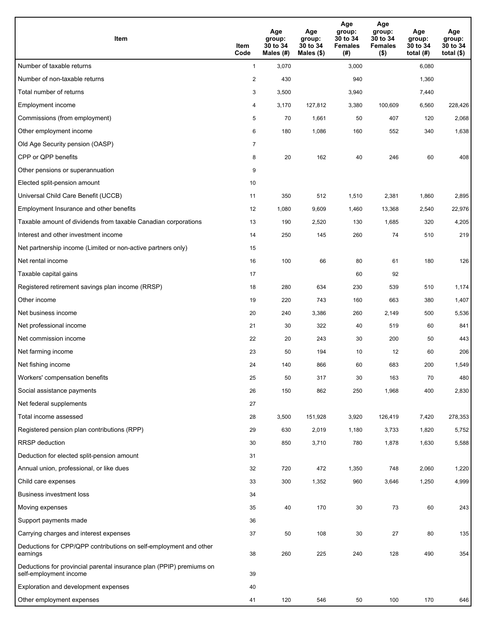| Item                                                                                           | Item<br>Code   | Age<br>group:<br>30 to 34<br>Males (#) | Age<br>group:<br>30 to 34<br>Males (\$) | Age<br>group:<br>30 to 34<br><b>Females</b><br>(#) | Age<br>group:<br>30 to 34<br><b>Females</b><br>$($ \$) | Age<br>group:<br>30 to 34<br>total $(#)$ | Age<br>group:<br>30 to 34<br>total $($ |
|------------------------------------------------------------------------------------------------|----------------|----------------------------------------|-----------------------------------------|----------------------------------------------------|--------------------------------------------------------|------------------------------------------|----------------------------------------|
| Number of taxable returns                                                                      | $\mathbf{1}$   | 3,070                                  |                                         | 3,000                                              |                                                        | 6,080                                    |                                        |
| Number of non-taxable returns                                                                  | $\overline{2}$ | 430                                    |                                         | 940                                                |                                                        | 1,360                                    |                                        |
| Total number of returns                                                                        | 3              | 3,500                                  |                                         | 3,940                                              |                                                        | 7,440                                    |                                        |
| Employment income                                                                              | 4              | 3,170                                  | 127,812                                 | 3,380                                              | 100,609                                                | 6,560                                    | 228,426                                |
| Commissions (from employment)                                                                  | 5              | 70                                     | 1,661                                   | 50                                                 | 407                                                    | 120                                      | 2,068                                  |
| Other employment income                                                                        | 6              | 180                                    | 1,086                                   | 160                                                | 552                                                    | 340                                      | 1,638                                  |
| Old Age Security pension (OASP)                                                                | $\overline{7}$ |                                        |                                         |                                                    |                                                        |                                          |                                        |
| CPP or QPP benefits                                                                            | 8              | 20                                     | 162                                     | 40                                                 | 246                                                    | 60                                       | 408                                    |
| Other pensions or superannuation                                                               | 9              |                                        |                                         |                                                    |                                                        |                                          |                                        |
| Elected split-pension amount                                                                   | 10             |                                        |                                         |                                                    |                                                        |                                          |                                        |
| Universal Child Care Benefit (UCCB)                                                            | 11             | 350                                    | 512                                     | 1,510                                              | 2,381                                                  | 1,860                                    | 2,895                                  |
| Employment Insurance and other benefits                                                        | 12             | 1,080                                  | 9,609                                   | 1,460                                              | 13,368                                                 | 2,540                                    | 22,976                                 |
| Taxable amount of dividends from taxable Canadian corporations                                 | 13             | 190                                    | 2,520                                   | 130                                                | 1,685                                                  | 320                                      | 4,205                                  |
| Interest and other investment income                                                           | 14             | 250                                    | 145                                     | 260                                                | 74                                                     | 510                                      | 219                                    |
| Net partnership income (Limited or non-active partners only)                                   | 15             |                                        |                                         |                                                    |                                                        |                                          |                                        |
| Net rental income                                                                              | 16             | 100                                    | 66                                      | 80                                                 | 61                                                     | 180                                      | 126                                    |
| Taxable capital gains                                                                          | 17             |                                        |                                         | 60                                                 | 92                                                     |                                          |                                        |
| Registered retirement savings plan income (RRSP)                                               | 18             | 280                                    | 634                                     | 230                                                | 539                                                    | 510                                      | 1,174                                  |
| Other income                                                                                   | 19             | 220                                    | 743                                     | 160                                                | 663                                                    | 380                                      | 1,407                                  |
| Net business income                                                                            | 20             | 240                                    | 3,386                                   | 260                                                | 2,149                                                  | 500                                      | 5,536                                  |
| Net professional income                                                                        | 21             | 30                                     | 322                                     | 40                                                 | 519                                                    | 60                                       | 841                                    |
| Net commission income                                                                          | 22             | 20                                     | 243                                     | 30                                                 | 200                                                    | 50                                       | 443                                    |
| Net farming income                                                                             | 23             | 50                                     | 194                                     | 10                                                 | 12                                                     | 60                                       | 206                                    |
| Net fishing income                                                                             | 24             | 140                                    | 866                                     | 60                                                 | 683                                                    | 200                                      | 1,549                                  |
| Workers' compensation benefits                                                                 | 25             | 50                                     | 317                                     | 30                                                 | 163                                                    | 70                                       | 480                                    |
| Social assistance payments                                                                     | 26             | 150                                    | 862                                     | 250                                                | 1,968                                                  | 400                                      | 2,830                                  |
| Net federal supplements                                                                        | 27             |                                        |                                         |                                                    |                                                        |                                          |                                        |
| Total income assessed                                                                          | 28             | 3,500                                  | 151,928                                 | 3,920                                              | 126,419                                                | 7,420                                    | 278,353                                |
| Registered pension plan contributions (RPP)                                                    | 29             | 630                                    | 2,019                                   | 1,180                                              | 3,733                                                  | 1,820                                    | 5,752                                  |
| <b>RRSP</b> deduction                                                                          | 30             | 850                                    | 3,710                                   | 780                                                | 1,878                                                  | 1,630                                    | 5,588                                  |
| Deduction for elected split-pension amount                                                     | 31             |                                        |                                         |                                                    |                                                        |                                          |                                        |
| Annual union, professional, or like dues                                                       | 32             | 720                                    | 472                                     | 1,350                                              | 748                                                    | 2,060                                    | 1,220                                  |
| Child care expenses                                                                            | 33             | 300                                    | 1,352                                   | 960                                                | 3,646                                                  | 1,250                                    | 4,999                                  |
| <b>Business investment loss</b>                                                                | 34             |                                        |                                         |                                                    |                                                        |                                          |                                        |
| Moving expenses                                                                                | 35             | 40                                     | 170                                     | 30                                                 | 73                                                     | 60                                       | 243                                    |
| Support payments made                                                                          | 36             |                                        |                                         |                                                    |                                                        |                                          |                                        |
| Carrying charges and interest expenses                                                         | 37             | 50                                     | 108                                     | 30                                                 | 27                                                     | 80                                       | 135                                    |
| Deductions for CPP/QPP contributions on self-employment and other<br>earnings                  | 38             | 260                                    | 225                                     | 240                                                | 128                                                    | 490                                      | 354                                    |
| Deductions for provincial parental insurance plan (PPIP) premiums on<br>self-employment income | 39             |                                        |                                         |                                                    |                                                        |                                          |                                        |
| Exploration and development expenses                                                           | 40             |                                        |                                         |                                                    |                                                        |                                          |                                        |
| Other employment expenses                                                                      | 41             | 120                                    | 546                                     | 50                                                 | 100                                                    | 170                                      | 646                                    |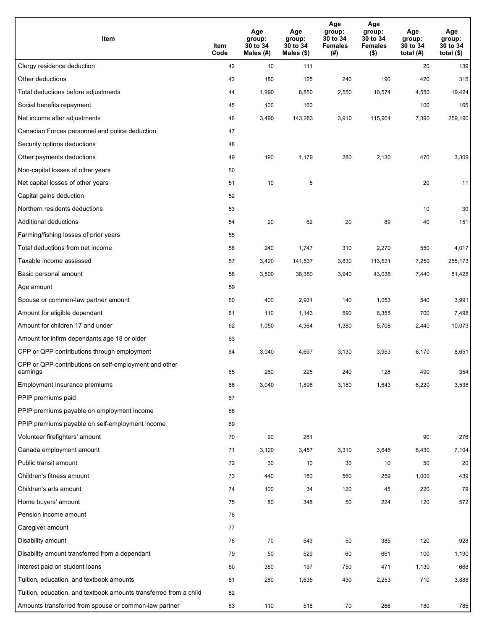| Item                                                              | Item<br>Code | Age<br>group:<br>30 to 34<br>Males (#) | Age<br>group:<br>30 to 34<br>Males (\$) | Age<br>group:<br>30 to 34<br><b>Females</b><br>(# ) | Age<br>group:<br>30 to 34<br><b>Females</b><br>$($ \$) | Age<br>group:<br>30 to 34<br>total $(#)$ | Age<br>group:<br>30 to 34<br>total $($)$ |
|-------------------------------------------------------------------|--------------|----------------------------------------|-----------------------------------------|-----------------------------------------------------|--------------------------------------------------------|------------------------------------------|------------------------------------------|
| Clergy residence deduction                                        | 42           | 10                                     | 111                                     |                                                     |                                                        | 20                                       | 139                                      |
| Other deductions                                                  | 43           | 180                                    | 125                                     | 240                                                 | 190                                                    | 420                                      | 315                                      |
| Total deductions before adjustments                               | 44           | 1,990                                  | 8,850                                   | 2,550                                               | 10,574                                                 | 4,550                                    | 19,424                                   |
| Social benefits repayment                                         | 45           | 100                                    | 160                                     |                                                     |                                                        | 100                                      | 165                                      |
| Net income after adjustments                                      | 46           | 3,490                                  | 143,283                                 | 3,910                                               | 115,901                                                | 7,390                                    | 259,190                                  |
| Canadian Forces personnel and police deduction                    | 47           |                                        |                                         |                                                     |                                                        |                                          |                                          |
| Security options deductions                                       | 48           |                                        |                                         |                                                     |                                                        |                                          |                                          |
| Other payments deductions                                         | 49           | 190                                    | 1,179                                   | 280                                                 | 2,130                                                  | 470                                      | 3,309                                    |
| Non-capital losses of other years                                 | 50           |                                        |                                         |                                                     |                                                        |                                          |                                          |
| Net capital losses of other years                                 | 51           | 10                                     | 5                                       |                                                     |                                                        | 20                                       | 11                                       |
| Capital gains deduction                                           | 52           |                                        |                                         |                                                     |                                                        |                                          |                                          |
| Northern residents deductions                                     | 53           |                                        |                                         |                                                     |                                                        | 10                                       | 30                                       |
| Additional deductions                                             | 54           | 20                                     | 62                                      | 20                                                  | 89                                                     | 40                                       | 151                                      |
| Farming/fishing losses of prior years                             | 55           |                                        |                                         |                                                     |                                                        |                                          |                                          |
| Total deductions from net income                                  | 56           | 240                                    | 1,747                                   | 310                                                 | 2,270                                                  | 550                                      | 4,017                                    |
| Taxable income assessed                                           | 57           | 3,420                                  | 141,537                                 | 3,830                                               | 113,631                                                | 7,250                                    | 255,173                                  |
| Basic personal amount                                             | 58           | 3,500                                  | 38,380                                  | 3,940                                               | 43,038                                                 | 7,440                                    | 81,428                                   |
| Age amount                                                        | 59           |                                        |                                         |                                                     |                                                        |                                          |                                          |
| Spouse or common-law partner amount                               | 60           | 400                                    | 2,931                                   | 140                                                 | 1,053                                                  | 540                                      | 3,991                                    |
| Amount for eligible dependant                                     | 61           | 110                                    | 1,143                                   | 590                                                 | 6,355                                                  | 700                                      | 7,498                                    |
| Amount for children 17 and under                                  | 62           | 1,050                                  | 4,364                                   | 1,380                                               | 5,708                                                  | 2,440                                    | 10,073                                   |
| Amount for infirm dependants age 18 or older                      | 63           |                                        |                                         |                                                     |                                                        |                                          |                                          |
| CPP or QPP contributions through employment                       | 64           | 3,040                                  | 4,697                                   | 3,130                                               | 3,953                                                  | 6,170                                    | 8,651                                    |
| CPP or QPP contributions on self-employment and other<br>earnings | 65           | 260                                    | 225                                     | 240                                                 | 128                                                    | 490                                      | 354                                      |
| Employment Insurance premiums                                     | 66           | 3,040                                  | 1,896                                   | 3,180                                               | 1,643                                                  | 6,220                                    | 3,538                                    |
| PPIP premiums paid                                                | 67           |                                        |                                         |                                                     |                                                        |                                          |                                          |
| PPIP premiums payable on employment income                        | 68           |                                        |                                         |                                                     |                                                        |                                          |                                          |
| PPIP premiums payable on self-employment income                   | 69           |                                        |                                         |                                                     |                                                        |                                          |                                          |
| Volunteer firefighters' amount                                    | 70           | 90                                     | 261                                     |                                                     |                                                        | 90                                       | 276                                      |
| Canada employment amount                                          | 71           | 3,120                                  | 3,457                                   | 3,310                                               | 3,646                                                  | 6,430                                    | 7,104                                    |
| Public transit amount                                             | 72           | 30                                     | 10                                      | 30                                                  | 10                                                     | 50                                       | 20                                       |
| Children's fitness amount                                         | 73           | 440                                    | 180                                     | 560                                                 | 259                                                    | 1,000                                    | 439                                      |
| Children's arts amount                                            | 74           | 100                                    | 34                                      | 120                                                 | 45                                                     | 220                                      | 79                                       |
| Home buyers' amount                                               | 75           | 80                                     | 348                                     | 50                                                  | 224                                                    | 120                                      | 572                                      |
| Pension income amount                                             | 76           |                                        |                                         |                                                     |                                                        |                                          |                                          |
| Caregiver amount                                                  | 77           |                                        |                                         |                                                     |                                                        |                                          |                                          |
| Disability amount                                                 | 78           | 70                                     | 543                                     | 50                                                  | 385                                                    | 120                                      | 928                                      |
| Disability amount transferred from a dependant                    | 79           | 50                                     | 529                                     | 60                                                  | 661                                                    | 100                                      | 1,190                                    |
| Interest paid on student loans                                    | 80           | 380                                    | 197                                     | 750                                                 | 471                                                    | 1,130                                    | 668                                      |
| Tuition, education, and textbook amounts                          | 81           | 280                                    | 1,635                                   | 430                                                 | 2,253                                                  | 710                                      | 3,888                                    |
| Tuition, education, and textbook amounts transferred from a child | 82           |                                        |                                         |                                                     |                                                        |                                          |                                          |
| Amounts transferred from spouse or common-law partner             | 83           | 110                                    | 518                                     | 70                                                  | 266                                                    | 180                                      | 785                                      |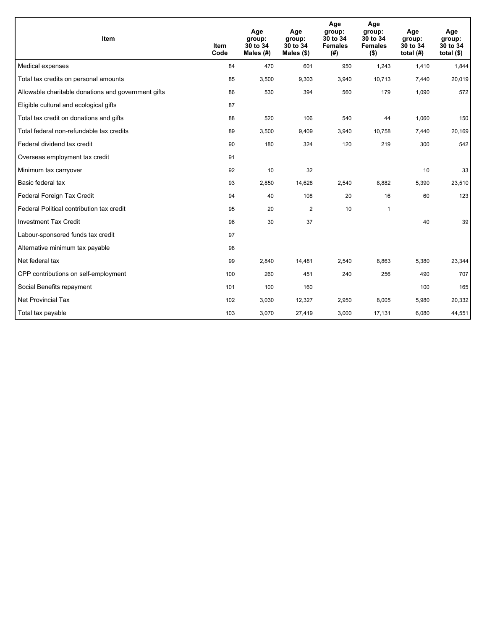| Item                                                | <b>Item</b><br>Code | Age<br>group:<br>30 to 34<br>Males (#) | Age<br>group:<br>30 to 34<br>Males $(\$)$ | Age<br>group:<br>30 to 34<br><b>Females</b><br>(# ) | Age<br>group:<br>30 to 34<br><b>Females</b><br>$($ \$) | Age<br>group:<br>30 to 34<br>total $(H)$ | Age<br>group:<br>30 to 34<br>total $($)$ |
|-----------------------------------------------------|---------------------|----------------------------------------|-------------------------------------------|-----------------------------------------------------|--------------------------------------------------------|------------------------------------------|------------------------------------------|
| Medical expenses                                    | 84                  | 470                                    | 601                                       | 950                                                 | 1,243                                                  | 1,410                                    | 1,844                                    |
| Total tax credits on personal amounts               | 85                  | 3,500                                  | 9,303                                     | 3,940                                               | 10,713                                                 | 7,440                                    | 20,019                                   |
| Allowable charitable donations and government gifts | 86                  | 530                                    | 394                                       | 560                                                 | 179                                                    | 1,090                                    | 572                                      |
| Eligible cultural and ecological gifts              | 87                  |                                        |                                           |                                                     |                                                        |                                          |                                          |
| Total tax credit on donations and gifts             | 88                  | 520                                    | 106                                       | 540                                                 | 44                                                     | 1,060                                    | 150                                      |
| Total federal non-refundable tax credits            | 89                  | 3,500                                  | 9,409                                     | 3,940                                               | 10,758                                                 | 7,440                                    | 20,169                                   |
| Federal dividend tax credit                         | 90                  | 180                                    | 324                                       | 120                                                 | 219                                                    | 300                                      | 542                                      |
| Overseas employment tax credit                      | 91                  |                                        |                                           |                                                     |                                                        |                                          |                                          |
| Minimum tax carryover                               | 92                  | 10                                     | 32                                        |                                                     |                                                        | 10                                       | 33                                       |
| Basic federal tax                                   | 93                  | 2,850                                  | 14,628                                    | 2,540                                               | 8,882                                                  | 5,390                                    | 23,510                                   |
| Federal Foreign Tax Credit                          | 94                  | 40                                     | 108                                       | 20                                                  | 16                                                     | 60                                       | 123                                      |
| Federal Political contribution tax credit           | 95                  | 20                                     | $\overline{2}$                            | 10                                                  | $\mathbf{1}$                                           |                                          |                                          |
| <b>Investment Tax Credit</b>                        | 96                  | 30                                     | 37                                        |                                                     |                                                        | 40                                       | 39                                       |
| Labour-sponsored funds tax credit                   | 97                  |                                        |                                           |                                                     |                                                        |                                          |                                          |
| Alternative minimum tax payable                     | 98                  |                                        |                                           |                                                     |                                                        |                                          |                                          |
| Net federal tax                                     | 99                  | 2,840                                  | 14,481                                    | 2,540                                               | 8,863                                                  | 5,380                                    | 23,344                                   |
| CPP contributions on self-employment                | 100                 | 260                                    | 451                                       | 240                                                 | 256                                                    | 490                                      | 707                                      |
| Social Benefits repayment                           | 101                 | 100                                    | 160                                       |                                                     |                                                        | 100                                      | 165                                      |
| Net Provincial Tax                                  | 102                 | 3,030                                  | 12,327                                    | 2,950                                               | 8,005                                                  | 5,980                                    | 20,332                                   |
| Total tax payable                                   | 103                 | 3,070                                  | 27,419                                    | 3,000                                               | 17,131                                                 | 6,080                                    | 44,551                                   |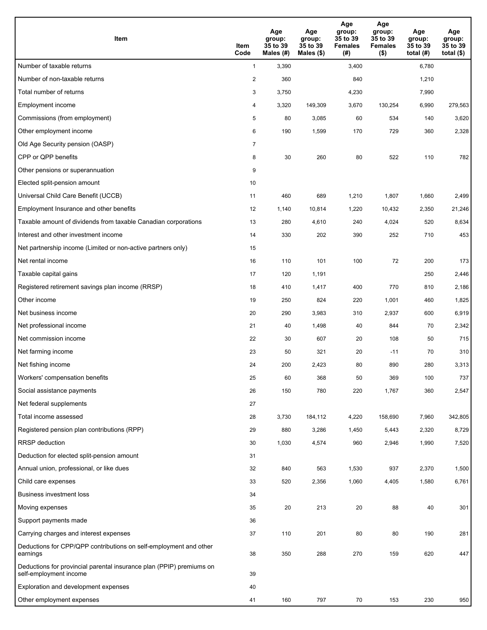| <b>Item</b>                                                                                    | Item<br>Code            | Age<br>group:<br>35 to 39<br>Males (#) | Age<br>group:<br>35 to 39<br>Males (\$) | Age<br>group:<br>35 to 39<br><b>Females</b><br>(#) | Age<br>group:<br>35 to 39<br><b>Females</b><br>$($ \$) | Age<br>group:<br>35 to 39<br>total $(#)$ | Age<br>group:<br>35 to 39<br>total $($)$ |
|------------------------------------------------------------------------------------------------|-------------------------|----------------------------------------|-----------------------------------------|----------------------------------------------------|--------------------------------------------------------|------------------------------------------|------------------------------------------|
| Number of taxable returns                                                                      | $\mathbf{1}$            | 3,390                                  |                                         | 3,400                                              |                                                        | 6,780                                    |                                          |
| Number of non-taxable returns                                                                  | $\overline{\mathbf{c}}$ | 360                                    |                                         | 840                                                |                                                        | 1,210                                    |                                          |
| Total number of returns                                                                        | 3                       | 3,750                                  |                                         | 4,230                                              |                                                        | 7,990                                    |                                          |
| Employment income                                                                              | 4                       | 3,320                                  | 149.309                                 | 3,670                                              | 130,254                                                | 6,990                                    | 279,563                                  |
| Commissions (from employment)                                                                  | 5                       | 80                                     | 3,085                                   | 60                                                 | 534                                                    | 140                                      | 3,620                                    |
| Other employment income                                                                        | 6                       | 190                                    | 1,599                                   | 170                                                | 729                                                    | 360                                      | 2,328                                    |
| Old Age Security pension (OASP)                                                                | $\overline{7}$          |                                        |                                         |                                                    |                                                        |                                          |                                          |
| CPP or QPP benefits                                                                            | 8                       | 30                                     | 260                                     | 80                                                 | 522                                                    | 110                                      | 782                                      |
| Other pensions or superannuation                                                               | 9                       |                                        |                                         |                                                    |                                                        |                                          |                                          |
| Elected split-pension amount                                                                   | 10                      |                                        |                                         |                                                    |                                                        |                                          |                                          |
| Universal Child Care Benefit (UCCB)                                                            | 11                      | 460                                    | 689                                     | 1,210                                              | 1,807                                                  | 1,660                                    | 2,499                                    |
| Employment Insurance and other benefits                                                        | 12                      | 1,140                                  | 10,814                                  | 1,220                                              | 10,432                                                 | 2,350                                    | 21,246                                   |
| Taxable amount of dividends from taxable Canadian corporations                                 | 13                      | 280                                    | 4,610                                   | 240                                                | 4,024                                                  | 520                                      | 8,634                                    |
| Interest and other investment income                                                           | 14                      | 330                                    | 202                                     | 390                                                | 252                                                    | 710                                      | 453                                      |
| Net partnership income (Limited or non-active partners only)                                   | 15                      |                                        |                                         |                                                    |                                                        |                                          |                                          |
| Net rental income                                                                              | 16                      | 110                                    | 101                                     | 100                                                | 72                                                     | 200                                      | 173                                      |
| Taxable capital gains                                                                          | 17                      | 120                                    | 1,191                                   |                                                    |                                                        | 250                                      | 2,446                                    |
| Registered retirement savings plan income (RRSP)                                               | 18                      | 410                                    | 1,417                                   | 400                                                | 770                                                    | 810                                      | 2,186                                    |
| Other income                                                                                   | 19                      | 250                                    | 824                                     | 220                                                | 1,001                                                  | 460                                      | 1,825                                    |
| Net business income                                                                            | 20                      | 290                                    | 3,983                                   | 310                                                | 2,937                                                  | 600                                      | 6,919                                    |
| Net professional income                                                                        | 21                      | 40                                     | 1,498                                   | 40                                                 | 844                                                    | 70                                       | 2,342                                    |
| Net commission income                                                                          | 22                      | 30                                     | 607                                     | 20                                                 | 108                                                    | 50                                       | 715                                      |
| Net farming income                                                                             | 23                      | 50                                     | 321                                     | 20                                                 | $-11$                                                  | 70                                       | 310                                      |
| Net fishing income                                                                             | 24                      | 200                                    | 2,423                                   | 80                                                 | 890                                                    | 280                                      | 3,313                                    |
| Workers' compensation benefits                                                                 | 25                      | 60                                     | 368                                     | 50                                                 | 369                                                    | 100                                      | 737                                      |
| Social assistance payments                                                                     | 26                      | 150                                    | 780                                     | 220                                                | 1,767                                                  | 360                                      | 2,547                                    |
| Net federal supplements                                                                        | 27                      |                                        |                                         |                                                    |                                                        |                                          |                                          |
| Total income assessed                                                                          | 28                      | 3,730                                  | 184,112                                 | 4,220                                              | 158,690                                                | 7,960                                    | 342,805                                  |
| Registered pension plan contributions (RPP)                                                    | 29                      | 880                                    | 3,286                                   | 1,450                                              | 5,443                                                  | 2,320                                    | 8,729                                    |
| RRSP deduction                                                                                 | 30                      | 1,030                                  | 4,574                                   | 960                                                | 2,946                                                  | 1,990                                    | 7,520                                    |
| Deduction for elected split-pension amount                                                     | 31                      |                                        |                                         |                                                    |                                                        |                                          |                                          |
| Annual union, professional, or like dues                                                       | 32                      | 840                                    | 563                                     | 1,530                                              | 937                                                    | 2,370                                    | 1,500                                    |
| Child care expenses                                                                            | 33                      | 520                                    | 2,356                                   | 1,060                                              | 4,405                                                  | 1,580                                    | 6,761                                    |
| <b>Business investment loss</b>                                                                | 34                      |                                        |                                         |                                                    |                                                        |                                          |                                          |
| Moving expenses                                                                                | 35                      | 20                                     | 213                                     | 20                                                 | 88                                                     | 40                                       | 301                                      |
| Support payments made                                                                          | 36                      |                                        |                                         |                                                    |                                                        |                                          |                                          |
| Carrying charges and interest expenses                                                         | 37                      | 110                                    | 201                                     | 80                                                 | 80                                                     | 190                                      | 281                                      |
| Deductions for CPP/QPP contributions on self-employment and other<br>earnings                  | 38                      | 350                                    | 288                                     | 270                                                | 159                                                    | 620                                      | 447                                      |
| Deductions for provincial parental insurance plan (PPIP) premiums on<br>self-employment income | 39                      |                                        |                                         |                                                    |                                                        |                                          |                                          |
| Exploration and development expenses                                                           | 40                      |                                        |                                         |                                                    |                                                        |                                          |                                          |
| Other employment expenses                                                                      | 41                      | 160                                    | 797                                     | 70                                                 | 153                                                    | 230                                      | 950                                      |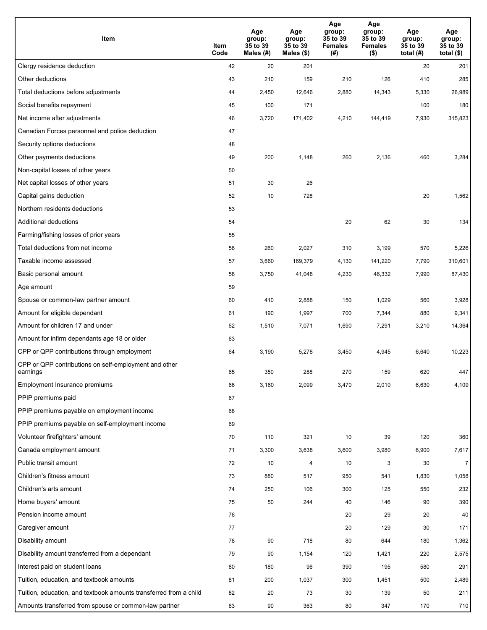| Item                                                              | Item<br>Code | Age<br>group:<br>35 to 39<br>Males (#) | Age<br>group:<br>35 to 39<br>Males $(\$)$ | Age<br>group:<br>35 to 39<br><b>Females</b><br>(# ) | Age<br>group:<br>35 to 39<br>Females<br>$($ \$) | Age<br>group:<br>35 to 39<br>total $(H)$ | Age<br>group:<br>35 to 39<br>total $($)$ |
|-------------------------------------------------------------------|--------------|----------------------------------------|-------------------------------------------|-----------------------------------------------------|-------------------------------------------------|------------------------------------------|------------------------------------------|
| Clergy residence deduction                                        | 42           | 20                                     | 201                                       |                                                     |                                                 | 20                                       | 201                                      |
| Other deductions                                                  | 43           | 210                                    | 159                                       | 210                                                 | 126                                             | 410                                      | 285                                      |
| Total deductions before adjustments                               | 44           | 2,450                                  | 12,646                                    | 2,880                                               | 14,343                                          | 5,330                                    | 26,989                                   |
| Social benefits repayment                                         | 45           | 100                                    | 171                                       |                                                     |                                                 | 100                                      | 180                                      |
| Net income after adjustments                                      | 46           | 3,720                                  | 171,402                                   | 4,210                                               | 144,419                                         | 7,930                                    | 315,823                                  |
| Canadian Forces personnel and police deduction                    | 47           |                                        |                                           |                                                     |                                                 |                                          |                                          |
| Security options deductions                                       | 48           |                                        |                                           |                                                     |                                                 |                                          |                                          |
| Other payments deductions                                         | 49           | 200                                    | 1,148                                     | 260                                                 | 2,136                                           | 460                                      | 3,284                                    |
| Non-capital losses of other years                                 | 50           |                                        |                                           |                                                     |                                                 |                                          |                                          |
| Net capital losses of other years                                 | 51           | 30                                     | 26                                        |                                                     |                                                 |                                          |                                          |
| Capital gains deduction                                           | 52           | 10                                     | 728                                       |                                                     |                                                 | 20                                       | 1,562                                    |
| Northern residents deductions                                     | 53           |                                        |                                           |                                                     |                                                 |                                          |                                          |
| Additional deductions                                             | 54           |                                        |                                           | 20                                                  | 62                                              | 30                                       | 134                                      |
| Farming/fishing losses of prior years                             | 55           |                                        |                                           |                                                     |                                                 |                                          |                                          |
| Total deductions from net income                                  | 56           | 260                                    | 2,027                                     | 310                                                 | 3,199                                           | 570                                      | 5,226                                    |
| Taxable income assessed                                           | 57           | 3,660                                  | 169,379                                   | 4,130                                               | 141,220                                         | 7,790                                    | 310,601                                  |
| Basic personal amount                                             | 58           | 3,750                                  | 41,048                                    | 4,230                                               | 46,332                                          | 7,990                                    | 87,430                                   |
| Age amount                                                        | 59           |                                        |                                           |                                                     |                                                 |                                          |                                          |
| Spouse or common-law partner amount                               | 60           | 410                                    | 2,888                                     | 150                                                 | 1,029                                           | 560                                      | 3,928                                    |
| Amount for eligible dependant                                     | 61           | 190                                    | 1,997                                     | 700                                                 | 7,344                                           | 880                                      | 9,341                                    |
| Amount for children 17 and under                                  | 62           | 1,510                                  | 7,071                                     | 1,690                                               | 7,291                                           | 3,210                                    | 14,364                                   |
| Amount for infirm dependants age 18 or older                      | 63           |                                        |                                           |                                                     |                                                 |                                          |                                          |
| CPP or QPP contributions through employment                       | 64           | 3,190                                  | 5,278                                     | 3,450                                               | 4,945                                           | 6,640                                    | 10,223                                   |
| CPP or QPP contributions on self-employment and other<br>earnings | 65           | 350                                    | 288                                       | 270                                                 | 159                                             | 620                                      | 447                                      |
| Employment Insurance premiums                                     | 66           | 3,160                                  | 2,099                                     | 3,470                                               | 2,010                                           | 6,630                                    | 4,109                                    |
| PPIP premiums paid                                                | 67           |                                        |                                           |                                                     |                                                 |                                          |                                          |
| PPIP premiums payable on employment income                        | 68           |                                        |                                           |                                                     |                                                 |                                          |                                          |
| PPIP premiums payable on self-employment income                   | 69           |                                        |                                           |                                                     |                                                 |                                          |                                          |
| Volunteer firefighters' amount                                    | 70           | 110                                    | 321                                       | 10                                                  | 39                                              | 120                                      | 360                                      |
| Canada employment amount                                          | 71           | 3,300                                  | 3,638                                     | 3,600                                               | 3,980                                           | 6,900                                    | 7,617                                    |
| Public transit amount                                             | 72           | 10                                     | 4                                         | 10                                                  | 3                                               | 30                                       | 7 <sup>1</sup>                           |
| Children's fitness amount                                         | 73           | 880                                    | 517                                       | 950                                                 | 541                                             | 1,830                                    | 1,058                                    |
| Children's arts amount                                            | 74           | 250                                    | 106                                       | 300                                                 | 125                                             | 550                                      | 232                                      |
| Home buyers' amount                                               | 75           | 50                                     | 244                                       | 40                                                  | 146                                             | 90                                       | 390                                      |
| Pension income amount                                             | 76           |                                        |                                           | 20                                                  | 29                                              | 20                                       | 40                                       |
| Caregiver amount                                                  | 77           |                                        |                                           | 20                                                  | 129                                             | 30                                       | 171                                      |
| Disability amount                                                 | 78           | 90                                     | 718                                       | 80                                                  | 644                                             | 180                                      | 1,362                                    |
| Disability amount transferred from a dependant                    | 79           | 90                                     | 1,154                                     | 120                                                 | 1,421                                           | 220                                      | 2,575                                    |
| Interest paid on student loans                                    | 80           | 180                                    | 96                                        | 390                                                 | 195                                             | 580                                      | 291                                      |
| Tuition, education, and textbook amounts                          | 81           | 200                                    | 1,037                                     | 300                                                 | 1,451                                           | 500                                      | 2,489                                    |
| Tuition, education, and textbook amounts transferred from a child | 82           | 20                                     | 73                                        | 30                                                  | 139                                             | 50                                       | 211                                      |
| Amounts transferred from spouse or common-law partner             | 83           | 90                                     | 363                                       | 80                                                  | 347                                             | 170                                      | 710                                      |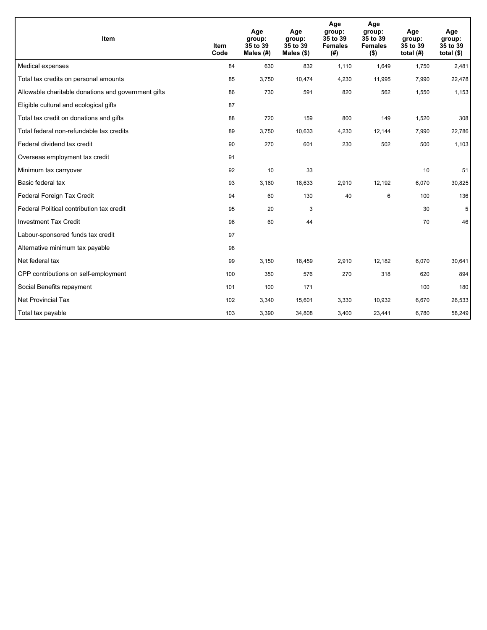| Item                                                | <b>Item</b><br>Code | Age<br>group:<br>35 to 39<br>Males (#) | Age<br>group:<br>35 to 39<br>Males $(\$)$ | Age<br>group:<br>35 to 39<br><b>Females</b><br>(# ) | Age<br>group:<br>35 to 39<br><b>Females</b><br>$($ \$) | Age<br>group:<br>35 to 39<br>total $(H)$ | Age<br>group:<br>35 to 39<br>total $($)$ |
|-----------------------------------------------------|---------------------|----------------------------------------|-------------------------------------------|-----------------------------------------------------|--------------------------------------------------------|------------------------------------------|------------------------------------------|
| Medical expenses                                    | 84                  | 630                                    | 832                                       | 1,110                                               | 1,649                                                  | 1,750                                    | 2,481                                    |
| Total tax credits on personal amounts               | 85                  | 3,750                                  | 10,474                                    | 4,230                                               | 11,995                                                 | 7,990                                    | 22,478                                   |
| Allowable charitable donations and government gifts | 86                  | 730                                    | 591                                       | 820                                                 | 562                                                    | 1,550                                    | 1,153                                    |
| Eligible cultural and ecological gifts              | 87                  |                                        |                                           |                                                     |                                                        |                                          |                                          |
| Total tax credit on donations and gifts             | 88                  | 720                                    | 159                                       | 800                                                 | 149                                                    | 1,520                                    | 308                                      |
| Total federal non-refundable tax credits            | 89                  | 3,750                                  | 10,633                                    | 4,230                                               | 12,144                                                 | 7,990                                    | 22,786                                   |
| Federal dividend tax credit                         | 90                  | 270                                    | 601                                       | 230                                                 | 502                                                    | 500                                      | 1,103                                    |
| Overseas employment tax credit                      | 91                  |                                        |                                           |                                                     |                                                        |                                          |                                          |
| Minimum tax carryover                               | 92                  | 10                                     | 33                                        |                                                     |                                                        | 10                                       | 51                                       |
| Basic federal tax                                   | 93                  | 3,160                                  | 18,633                                    | 2,910                                               | 12,192                                                 | 6,070                                    | 30,825                                   |
| Federal Foreign Tax Credit                          | 94                  | 60                                     | 130                                       | 40                                                  | 6                                                      | 100                                      | 136                                      |
| Federal Political contribution tax credit           | 95                  | 20                                     | 3                                         |                                                     |                                                        | 30                                       | 5                                        |
| <b>Investment Tax Credit</b>                        | 96                  | 60                                     | 44                                        |                                                     |                                                        | 70                                       | 46                                       |
| Labour-sponsored funds tax credit                   | 97                  |                                        |                                           |                                                     |                                                        |                                          |                                          |
| Alternative minimum tax payable                     | 98                  |                                        |                                           |                                                     |                                                        |                                          |                                          |
| Net federal tax                                     | 99                  | 3,150                                  | 18,459                                    | 2,910                                               | 12,182                                                 | 6,070                                    | 30,641                                   |
| CPP contributions on self-employment                | 100                 | 350                                    | 576                                       | 270                                                 | 318                                                    | 620                                      | 894                                      |
| Social Benefits repayment                           | 101                 | 100                                    | 171                                       |                                                     |                                                        | 100                                      | 180                                      |
| Net Provincial Tax                                  | 102                 | 3,340                                  | 15,601                                    | 3,330                                               | 10,932                                                 | 6,670                                    | 26,533                                   |
| Total tax payable                                   | 103                 | 3,390                                  | 34,808                                    | 3,400                                               | 23,441                                                 | 6,780                                    | 58,249                                   |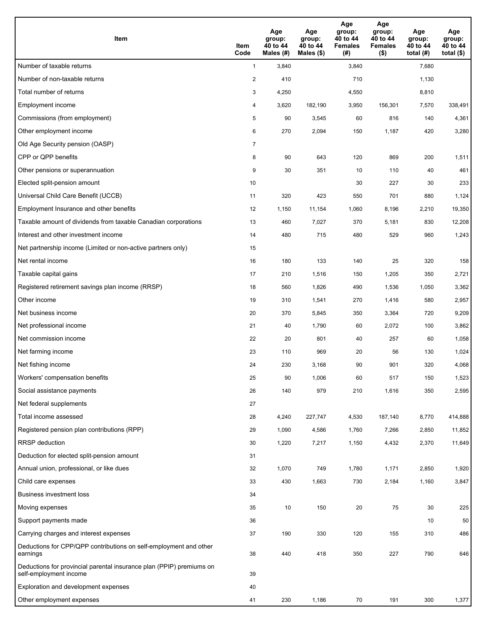| Item                                                                                           | Item<br>Code   | Age<br>group:<br>40 to 44<br>Males (#) | Age<br>group:<br>40 to 44<br>Males (\$) | Age<br>group:<br>40 to 44<br><b>Females</b><br>(# ) | Age<br>group:<br>40 to 44<br><b>Females</b><br>$($ \$) | Age<br>group:<br>40 to 44<br>total $(#)$ | Age<br>group:<br>40 to 44<br>total $($)$ |
|------------------------------------------------------------------------------------------------|----------------|----------------------------------------|-----------------------------------------|-----------------------------------------------------|--------------------------------------------------------|------------------------------------------|------------------------------------------|
| Number of taxable returns                                                                      | $\mathbf{1}$   | 3,840                                  |                                         | 3,840                                               |                                                        | 7,680                                    |                                          |
| Number of non-taxable returns                                                                  | $\overline{2}$ | 410                                    |                                         | 710                                                 |                                                        | 1,130                                    |                                          |
| Total number of returns                                                                        | 3              | 4,250                                  |                                         | 4,550                                               |                                                        | 8,810                                    |                                          |
| Employment income                                                                              | 4              | 3,620                                  | 182,190                                 | 3,950                                               | 156,301                                                | 7,570                                    | 338,491                                  |
| Commissions (from employment)                                                                  | 5              | 90                                     | 3,545                                   | 60                                                  | 816                                                    | 140                                      | 4,361                                    |
| Other employment income                                                                        | 6              | 270                                    | 2,094                                   | 150                                                 | 1,187                                                  | 420                                      | 3,280                                    |
| Old Age Security pension (OASP)                                                                | $\overline{7}$ |                                        |                                         |                                                     |                                                        |                                          |                                          |
| CPP or QPP benefits                                                                            | 8              | 90                                     | 643                                     | 120                                                 | 869                                                    | 200                                      | 1,511                                    |
| Other pensions or superannuation                                                               | 9              | 30                                     | 351                                     | 10                                                  | 110                                                    | 40                                       | 461                                      |
| Elected split-pension amount                                                                   | 10             |                                        |                                         | 30                                                  | 227                                                    | 30                                       | 233                                      |
| Universal Child Care Benefit (UCCB)                                                            | 11             | 320                                    | 423                                     | 550                                                 | 701                                                    | 880                                      | 1,124                                    |
| Employment Insurance and other benefits                                                        | 12             | 1,150                                  | 11,154                                  | 1,060                                               | 8,196                                                  | 2,210                                    | 19,350                                   |
| Taxable amount of dividends from taxable Canadian corporations                                 | 13             | 460                                    | 7,027                                   | 370                                                 | 5,181                                                  | 830                                      | 12,208                                   |
| Interest and other investment income                                                           | 14             | 480                                    | 715                                     | 480                                                 | 529                                                    | 960                                      | 1,243                                    |
| Net partnership income (Limited or non-active partners only)                                   | 15             |                                        |                                         |                                                     |                                                        |                                          |                                          |
| Net rental income                                                                              | 16             | 180                                    | 133                                     | 140                                                 | 25                                                     | 320                                      | 158                                      |
| Taxable capital gains                                                                          | 17             | 210                                    | 1,516                                   | 150                                                 | 1,205                                                  | 350                                      | 2,721                                    |
| Registered retirement savings plan income (RRSP)                                               | 18             | 560                                    | 1,826                                   | 490                                                 | 1,536                                                  | 1,050                                    | 3,362                                    |
| Other income                                                                                   | 19             | 310                                    | 1,541                                   | 270                                                 | 1,416                                                  | 580                                      | 2,957                                    |
| Net business income                                                                            | 20             | 370                                    | 5,845                                   | 350                                                 | 3,364                                                  | 720                                      | 9,209                                    |
| Net professional income                                                                        | 21             | 40                                     | 1,790                                   | 60                                                  | 2,072                                                  | 100                                      | 3,862                                    |
| Net commission income                                                                          | 22             | 20                                     | 801                                     | 40                                                  | 257                                                    | 60                                       | 1,058                                    |
| Net farming income                                                                             | 23             | 110                                    | 969                                     | 20                                                  | 56                                                     | 130                                      | 1,024                                    |
| Net fishing income                                                                             | 24             | 230                                    | 3,168                                   | 90                                                  | 901                                                    | 320                                      | 4,068                                    |
| Workers' compensation benefits                                                                 | 25             | 90                                     | 1,006                                   | 60                                                  | 517                                                    | 150                                      | 1,523                                    |
| Social assistance payments                                                                     | 26             | 140                                    | 979                                     | 210                                                 | 1,616                                                  | 350                                      | 2,595                                    |
| Net federal supplements                                                                        | 27             |                                        |                                         |                                                     |                                                        |                                          |                                          |
| Total income assessed                                                                          | 28             | 4,240                                  | 227,747                                 | 4,530                                               | 187,140                                                | 8,770                                    | 414,888                                  |
| Registered pension plan contributions (RPP)                                                    | 29             | 1,090                                  | 4,586                                   | 1,760                                               | 7,266                                                  | 2,850                                    | 11,852                                   |
| <b>RRSP</b> deduction                                                                          | 30             | 1,220                                  | 7,217                                   | 1,150                                               | 4,432                                                  | 2,370                                    | 11,649                                   |
| Deduction for elected split-pension amount                                                     | 31             |                                        |                                         |                                                     |                                                        |                                          |                                          |
| Annual union, professional, or like dues                                                       | 32             | 1,070                                  | 749                                     | 1,780                                               | 1,171                                                  | 2,850                                    | 1,920                                    |
| Child care expenses                                                                            | 33             | 430                                    | 1,663                                   | 730                                                 | 2,184                                                  | 1,160                                    | 3,847                                    |
| <b>Business investment loss</b>                                                                | 34             |                                        |                                         |                                                     |                                                        |                                          |                                          |
| Moving expenses                                                                                | 35             | 10                                     | 150                                     | 20                                                  | 75                                                     | 30                                       | 225                                      |
| Support payments made                                                                          | 36             |                                        |                                         |                                                     |                                                        | 10                                       | 50                                       |
| Carrying charges and interest expenses                                                         | 37             | 190                                    | 330                                     | 120                                                 | 155                                                    | 310                                      | 486                                      |
| Deductions for CPP/QPP contributions on self-employment and other<br>earnings                  | 38             | 440                                    | 418                                     | 350                                                 | 227                                                    | 790                                      | 646                                      |
| Deductions for provincial parental insurance plan (PPIP) premiums on<br>self-employment income | 39             |                                        |                                         |                                                     |                                                        |                                          |                                          |
| Exploration and development expenses                                                           | 40             |                                        |                                         |                                                     |                                                        |                                          |                                          |
| Other employment expenses                                                                      | 41             | 230                                    | 1,186                                   | 70                                                  | 191                                                    | 300                                      | 1,377                                    |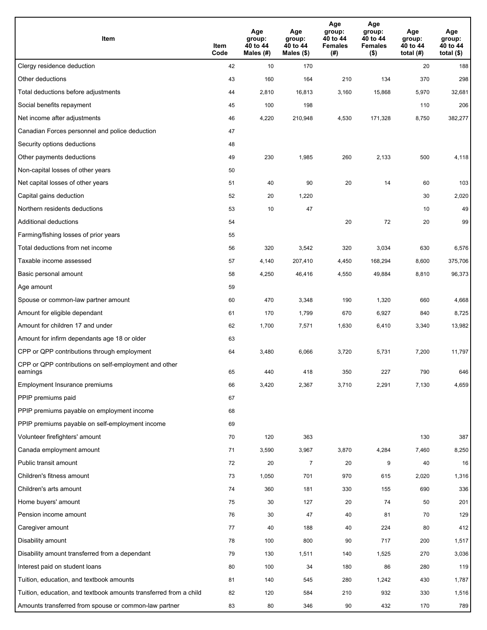| Item                                                              | Item<br>Code | Age<br>group:<br>40 to 44<br>Males (#) | Age<br>group:<br>40 to 44<br>Males $(\$)$ | Age<br>group:<br>40 to 44<br><b>Females</b><br>(# ) | Age<br>group:<br>40 to 44<br>Females<br>$($ \$) | Age<br>group:<br>40 to 44<br>total $(H)$ | Age<br>group:<br>40 to 44<br>total $($)$ |
|-------------------------------------------------------------------|--------------|----------------------------------------|-------------------------------------------|-----------------------------------------------------|-------------------------------------------------|------------------------------------------|------------------------------------------|
| Clergy residence deduction                                        | 42           | 10                                     | 170                                       |                                                     |                                                 | 20                                       | 188                                      |
| Other deductions                                                  | 43           | 160                                    | 164                                       | 210                                                 | 134                                             | 370                                      | 298                                      |
| Total deductions before adjustments                               | 44           | 2,810                                  | 16,813                                    | 3,160                                               | 15,868                                          | 5,970                                    | 32,681                                   |
| Social benefits repayment                                         | 45           | 100                                    | 198                                       |                                                     |                                                 | 110                                      | 206                                      |
| Net income after adjustments                                      | 46           | 4,220                                  | 210,948                                   | 4,530                                               | 171,328                                         | 8,750                                    | 382,277                                  |
| Canadian Forces personnel and police deduction                    | 47           |                                        |                                           |                                                     |                                                 |                                          |                                          |
| Security options deductions                                       | 48           |                                        |                                           |                                                     |                                                 |                                          |                                          |
| Other payments deductions                                         | 49           | 230                                    | 1,985                                     | 260                                                 | 2,133                                           | 500                                      | 4,118                                    |
| Non-capital losses of other years                                 | 50           |                                        |                                           |                                                     |                                                 |                                          |                                          |
| Net capital losses of other years                                 | 51           | 40                                     | 90                                        | 20                                                  | 14                                              | 60                                       | 103                                      |
| Capital gains deduction                                           | 52           | 20                                     | 1,220                                     |                                                     |                                                 | 30                                       | 2,020                                    |
| Northern residents deductions                                     | 53           | 10                                     | 47                                        |                                                     |                                                 | 10                                       | 49                                       |
| Additional deductions                                             | 54           |                                        |                                           | 20                                                  | 72                                              | 20                                       | 99                                       |
| Farming/fishing losses of prior years                             | 55           |                                        |                                           |                                                     |                                                 |                                          |                                          |
| Total deductions from net income                                  | 56           | 320                                    | 3,542                                     | 320                                                 | 3,034                                           | 630                                      | 6,576                                    |
| Taxable income assessed                                           | 57           | 4,140                                  | 207,410                                   | 4,450                                               | 168,294                                         | 8,600                                    | 375,706                                  |
| Basic personal amount                                             | 58           | 4,250                                  | 46,416                                    | 4,550                                               | 49,884                                          | 8,810                                    | 96,373                                   |
| Age amount                                                        | 59           |                                        |                                           |                                                     |                                                 |                                          |                                          |
| Spouse or common-law partner amount                               | 60           | 470                                    | 3,348                                     | 190                                                 | 1,320                                           | 660                                      | 4,668                                    |
| Amount for eligible dependant                                     | 61           | 170                                    | 1,799                                     | 670                                                 | 6,927                                           | 840                                      | 8,725                                    |
| Amount for children 17 and under                                  | 62           | 1,700                                  | 7,571                                     | 1,630                                               | 6,410                                           | 3,340                                    | 13,982                                   |
| Amount for infirm dependants age 18 or older                      | 63           |                                        |                                           |                                                     |                                                 |                                          |                                          |
| CPP or QPP contributions through employment                       | 64           | 3,480                                  | 6,066                                     | 3,720                                               | 5,731                                           | 7,200                                    | 11,797                                   |
| CPP or QPP contributions on self-employment and other<br>earnings | 65           | 440                                    | 418                                       | 350                                                 | 227                                             | 790                                      | 646                                      |
| Employment Insurance premiums                                     | 66           | 3,420                                  | 2,367                                     | 3,710                                               | 2,291                                           | 7,130                                    | 4,659                                    |
| PPIP premiums paid                                                | 67           |                                        |                                           |                                                     |                                                 |                                          |                                          |
| PPIP premiums payable on employment income                        | 68           |                                        |                                           |                                                     |                                                 |                                          |                                          |
| PPIP premiums payable on self-employment income                   | 69           |                                        |                                           |                                                     |                                                 |                                          |                                          |
| Volunteer firefighters' amount                                    | 70           | 120                                    | 363                                       |                                                     |                                                 | 130                                      | 387                                      |
| Canada employment amount                                          | 71           | 3,590                                  | 3,967                                     | 3,870                                               | 4,284                                           | 7,460                                    | 8,250                                    |
| Public transit amount                                             | 72           | 20                                     | $\overline{7}$                            | 20                                                  | 9                                               | 40                                       | 16                                       |
| Children's fitness amount                                         | 73           | 1,050                                  | 701                                       | 970                                                 | 615                                             | 2,020                                    | 1,316                                    |
| Children's arts amount                                            | 74           | 360                                    | 181                                       | 330                                                 | 155                                             | 690                                      | 336                                      |
| Home buyers' amount                                               | 75           | 30                                     | 127                                       | 20                                                  | 74                                              | 50                                       | 201                                      |
| Pension income amount                                             | 76           | 30                                     | 47                                        | 40                                                  | 81                                              | 70                                       | 129                                      |
| Caregiver amount                                                  | 77           | 40                                     | 188                                       | 40                                                  | 224                                             | 80                                       | 412                                      |
| Disability amount                                                 | 78           | 100                                    | 800                                       | 90                                                  | 717                                             | 200                                      | 1,517                                    |
| Disability amount transferred from a dependant                    | 79           | 130                                    | 1,511                                     | 140                                                 | 1,525                                           | 270                                      | 3,036                                    |
| Interest paid on student loans                                    | 80           | 100                                    | 34                                        | 180                                                 | 86                                              | 280                                      | 119                                      |
| Tuition, education, and textbook amounts                          | 81           | 140                                    | 545                                       | 280                                                 | 1,242                                           | 430                                      | 1,787                                    |
| Tuition, education, and textbook amounts transferred from a child | 82           | 120                                    | 584                                       | 210                                                 | 932                                             | 330                                      | 1,516                                    |
| Amounts transferred from spouse or common-law partner             | 83           | 80                                     | 346                                       | 90                                                  | 432                                             | 170                                      | 789                                      |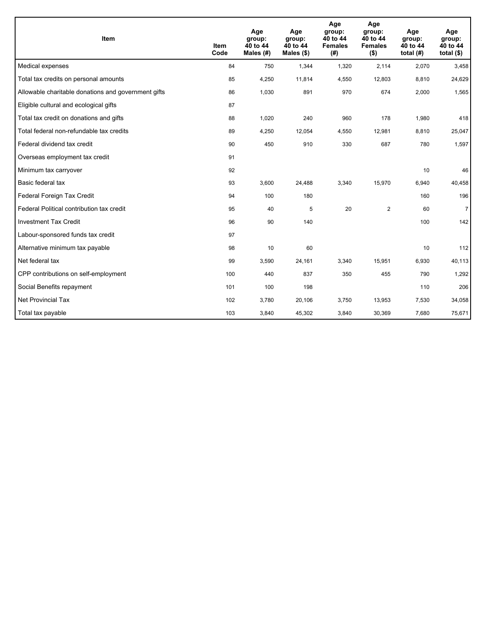| Item                                                | <b>Item</b><br>Code | Age<br>group:<br>40 to 44<br>Males (#) | Age<br>group:<br>40 to 44<br>Males $(\$)$ | Age<br>group:<br>40 to 44<br><b>Females</b><br>(#) | Age<br>group:<br>40 to 44<br><b>Females</b><br>$($ \$) | Age<br>group:<br>40 to 44<br>total $(H)$ | Age<br>group:<br>40 to 44<br>total $($)$ |
|-----------------------------------------------------|---------------------|----------------------------------------|-------------------------------------------|----------------------------------------------------|--------------------------------------------------------|------------------------------------------|------------------------------------------|
| Medical expenses                                    | 84                  | 750                                    | 1,344                                     | 1,320                                              | 2,114                                                  | 2,070                                    | 3,458                                    |
| Total tax credits on personal amounts               | 85                  | 4,250                                  | 11,814                                    | 4,550                                              | 12,803                                                 | 8,810                                    | 24,629                                   |
| Allowable charitable donations and government gifts | 86                  | 1,030                                  | 891                                       | 970                                                | 674                                                    | 2,000                                    | 1,565                                    |
| Eligible cultural and ecological gifts              | 87                  |                                        |                                           |                                                    |                                                        |                                          |                                          |
| Total tax credit on donations and gifts             | 88                  | 1,020                                  | 240                                       | 960                                                | 178                                                    | 1,980                                    | 418                                      |
| Total federal non-refundable tax credits            | 89                  | 4,250                                  | 12,054                                    | 4,550                                              | 12,981                                                 | 8,810                                    | 25,047                                   |
| Federal dividend tax credit                         | 90                  | 450                                    | 910                                       | 330                                                | 687                                                    | 780                                      | 1,597                                    |
| Overseas employment tax credit                      | 91                  |                                        |                                           |                                                    |                                                        |                                          |                                          |
| Minimum tax carryover                               | 92                  |                                        |                                           |                                                    |                                                        | 10                                       | 46                                       |
| Basic federal tax                                   | 93                  | 3,600                                  | 24,488                                    | 3,340                                              | 15,970                                                 | 6,940                                    | 40,458                                   |
| Federal Foreign Tax Credit                          | 94                  | 100                                    | 180                                       |                                                    |                                                        | 160                                      | 196                                      |
| Federal Political contribution tax credit           | 95                  | 40                                     | 5                                         | 20                                                 | $\overline{2}$                                         | 60                                       | $\overline{7}$                           |
| <b>Investment Tax Credit</b>                        | 96                  | 90                                     | 140                                       |                                                    |                                                        | 100                                      | 142                                      |
| Labour-sponsored funds tax credit                   | 97                  |                                        |                                           |                                                    |                                                        |                                          |                                          |
| Alternative minimum tax payable                     | 98                  | 10                                     | 60                                        |                                                    |                                                        | 10                                       | 112                                      |
| Net federal tax                                     | 99                  | 3,590                                  | 24,161                                    | 3,340                                              | 15,951                                                 | 6,930                                    | 40,113                                   |
| CPP contributions on self-employment                | 100                 | 440                                    | 837                                       | 350                                                | 455                                                    | 790                                      | 1,292                                    |
| Social Benefits repayment                           | 101                 | 100                                    | 198                                       |                                                    |                                                        | 110                                      | 206                                      |
| Net Provincial Tax                                  | 102                 | 3,780                                  | 20,106                                    | 3,750                                              | 13,953                                                 | 7,530                                    | 34,058                                   |
| Total tax payable                                   | 103                 | 3,840                                  | 45,302                                    | 3,840                                              | 30,369                                                 | 7,680                                    | 75,671                                   |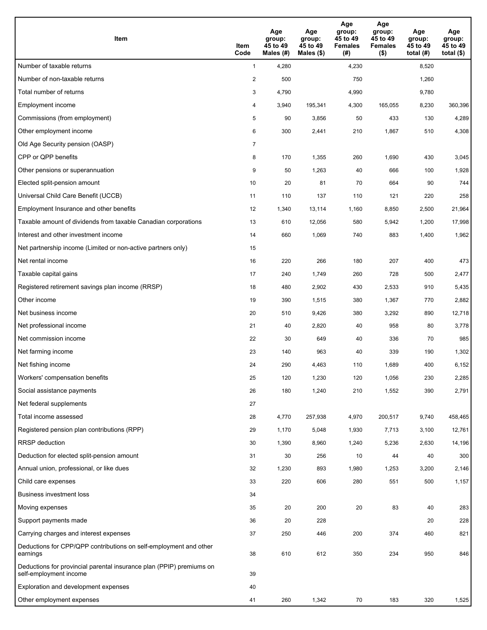| Item                                                                                           | Item<br>Code   | Age<br>group:<br>45 to 49<br>Males (#) | Age<br>group:<br>45 to 49<br>Males $(\$)$ | Age<br>group:<br>45 to 49<br><b>Females</b><br>(# ) | Age<br>group:<br>45 to 49<br><b>Females</b><br>$($ \$) | Age<br>group:<br>45 to 49<br>total $(#)$ | Age<br>group:<br>45 to 49<br>total $($)$ |
|------------------------------------------------------------------------------------------------|----------------|----------------------------------------|-------------------------------------------|-----------------------------------------------------|--------------------------------------------------------|------------------------------------------|------------------------------------------|
| Number of taxable returns                                                                      | $\mathbf{1}$   | 4,280                                  |                                           | 4,230                                               |                                                        | 8,520                                    |                                          |
| Number of non-taxable returns                                                                  | $\overline{2}$ | 500                                    |                                           | 750                                                 |                                                        | 1,260                                    |                                          |
| Total number of returns                                                                        | 3              | 4,790                                  |                                           | 4,990                                               |                                                        | 9,780                                    |                                          |
| <b>Employment income</b>                                                                       | 4              | 3,940                                  | 195,341                                   | 4,300                                               | 165,055                                                | 8,230                                    | 360,396                                  |
| Commissions (from employment)                                                                  | 5              | 90                                     | 3,856                                     | 50                                                  | 433                                                    | 130                                      | 4,289                                    |
| Other employment income                                                                        | 6              | 300                                    | 2,441                                     | 210                                                 | 1,867                                                  | 510                                      | 4,308                                    |
| Old Age Security pension (OASP)                                                                | $\overline{7}$ |                                        |                                           |                                                     |                                                        |                                          |                                          |
| CPP or QPP benefits                                                                            | 8              | 170                                    | 1,355                                     | 260                                                 | 1,690                                                  | 430                                      | 3,045                                    |
| Other pensions or superannuation                                                               | 9              | 50                                     | 1,263                                     | 40                                                  | 666                                                    | 100                                      | 1,928                                    |
| Elected split-pension amount                                                                   | 10             | 20                                     | 81                                        | 70                                                  | 664                                                    | 90                                       | 744                                      |
| Universal Child Care Benefit (UCCB)                                                            | 11             | 110                                    | 137                                       | 110                                                 | 121                                                    | 220                                      | 258                                      |
| Employment Insurance and other benefits                                                        | 12             | 1,340                                  | 13,114                                    | 1,160                                               | 8,850                                                  | 2,500                                    | 21,964                                   |
| Taxable amount of dividends from taxable Canadian corporations                                 | 13             | 610                                    | 12,056                                    | 580                                                 | 5,942                                                  | 1,200                                    | 17,998                                   |
| Interest and other investment income                                                           | 14             | 660                                    | 1,069                                     | 740                                                 | 883                                                    | 1,400                                    | 1,962                                    |
| Net partnership income (Limited or non-active partners only)                                   | 15             |                                        |                                           |                                                     |                                                        |                                          |                                          |
| Net rental income                                                                              | 16             | 220                                    | 266                                       | 180                                                 | 207                                                    | 400                                      | 473                                      |
| Taxable capital gains                                                                          | 17             | 240                                    | 1,749                                     | 260                                                 | 728                                                    | 500                                      | 2,477                                    |
| Registered retirement savings plan income (RRSP)                                               | 18             | 480                                    | 2,902                                     | 430                                                 | 2,533                                                  | 910                                      | 5,435                                    |
| Other income                                                                                   | 19             | 390                                    | 1,515                                     | 380                                                 | 1,367                                                  | 770                                      | 2,882                                    |
| Net business income                                                                            | 20             | 510                                    | 9,426                                     | 380                                                 | 3,292                                                  | 890                                      | 12,718                                   |
| Net professional income                                                                        | 21             | 40                                     | 2,820                                     | 40                                                  | 958                                                    | 80                                       | 3,778                                    |
| Net commission income                                                                          | 22             | 30                                     | 649                                       | 40                                                  | 336                                                    | 70                                       | 985                                      |
| Net farming income                                                                             | 23             | 140                                    | 963                                       | 40                                                  | 339                                                    | 190                                      | 1,302                                    |
| Net fishing income                                                                             | 24             | 290                                    | 4,463                                     | 110                                                 | 1,689                                                  | 400                                      | 6,152                                    |
| Workers' compensation benefits                                                                 | 25             | 120                                    | 1,230                                     | 120                                                 | 1,056                                                  | 230                                      | 2,285                                    |
| Social assistance payments                                                                     | 26             | 180                                    | 1,240                                     | 210                                                 | 1,552                                                  | 390                                      | 2,791                                    |
| Net federal supplements                                                                        | 27             |                                        |                                           |                                                     |                                                        |                                          |                                          |
| Total income assessed                                                                          | 28             | 4,770                                  | 257,938                                   | 4,970                                               | 200,517                                                | 9,740                                    | 458,465                                  |
| Registered pension plan contributions (RPP)                                                    | 29             | 1,170                                  | 5,048                                     | 1,930                                               | 7,713                                                  | 3,100                                    | 12,761                                   |
| <b>RRSP</b> deduction                                                                          | 30             | 1,390                                  | 8,960                                     | 1,240                                               | 5,236                                                  | 2,630                                    | 14,196                                   |
| Deduction for elected split-pension amount                                                     | 31             | 30                                     | 256                                       | 10                                                  | 44                                                     | 40                                       | 300                                      |
| Annual union, professional, or like dues                                                       | 32             | 1,230                                  | 893                                       | 1,980                                               | 1,253                                                  | 3,200                                    | 2,146                                    |
| Child care expenses                                                                            | 33             | 220                                    | 606                                       | 280                                                 | 551                                                    | 500                                      | 1,157                                    |
| <b>Business investment loss</b>                                                                | 34             |                                        |                                           |                                                     |                                                        |                                          |                                          |
| Moving expenses                                                                                | 35             | 20                                     | 200                                       | 20                                                  | 83                                                     | 40                                       | 283                                      |
| Support payments made                                                                          | 36             | 20                                     | 228                                       |                                                     |                                                        | 20                                       | 228                                      |
| Carrying charges and interest expenses                                                         | 37             | 250                                    | 446                                       | 200                                                 | 374                                                    | 460                                      | 821                                      |
| Deductions for CPP/QPP contributions on self-employment and other<br>earnings                  | 38             | 610                                    | 612                                       | 350                                                 | 234                                                    | 950                                      | 846                                      |
| Deductions for provincial parental insurance plan (PPIP) premiums on<br>self-employment income | 39             |                                        |                                           |                                                     |                                                        |                                          |                                          |
| Exploration and development expenses                                                           | 40             |                                        |                                           |                                                     |                                                        |                                          |                                          |
| Other employment expenses                                                                      | 41             | 260                                    | 1,342                                     | 70                                                  | 183                                                    | 320                                      | 1,525                                    |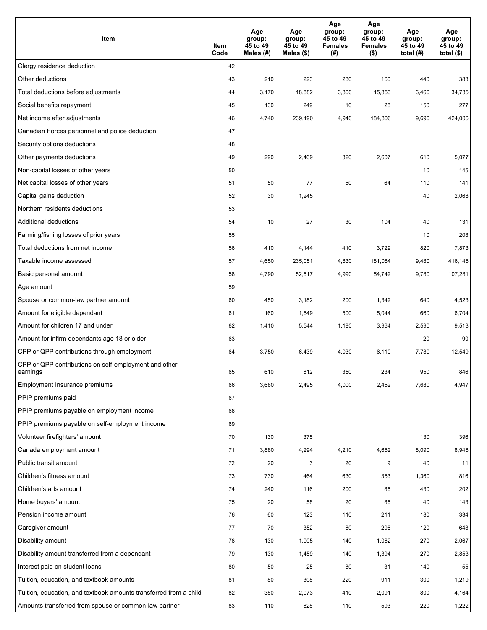| Item                                                              | Item<br>Code | Age<br>group:<br>45 to 49<br>Males (#) | Age<br>group:<br>45 to 49<br>Males (\$) | Age<br>group:<br>45 to 49<br><b>Females</b><br>(#) | Age<br>group:<br>45 to 49<br><b>Females</b><br>$($ \$) | Age<br>group:<br>45 to 49<br>total $(H)$ | Age<br>group:<br>45 to 49<br>total $($)$ |
|-------------------------------------------------------------------|--------------|----------------------------------------|-----------------------------------------|----------------------------------------------------|--------------------------------------------------------|------------------------------------------|------------------------------------------|
| Clergy residence deduction                                        | 42           |                                        |                                         |                                                    |                                                        |                                          |                                          |
| Other deductions                                                  | 43           | 210                                    | 223                                     | 230                                                | 160                                                    | 440                                      | 383                                      |
| Total deductions before adjustments                               | 44           | 3,170                                  | 18,882                                  | 3,300                                              | 15,853                                                 | 6,460                                    | 34,735                                   |
| Social benefits repayment                                         | 45           | 130                                    | 249                                     | 10                                                 | 28                                                     | 150                                      | 277                                      |
| Net income after adjustments                                      | 46           | 4,740                                  | 239,190                                 | 4,940                                              | 184,806                                                | 9,690                                    | 424,006                                  |
| Canadian Forces personnel and police deduction                    | 47           |                                        |                                         |                                                    |                                                        |                                          |                                          |
| Security options deductions                                       | 48           |                                        |                                         |                                                    |                                                        |                                          |                                          |
| Other payments deductions                                         | 49           | 290                                    | 2,469                                   | 320                                                | 2,607                                                  | 610                                      | 5,077                                    |
| Non-capital losses of other years                                 | 50           |                                        |                                         |                                                    |                                                        | 10                                       | 145                                      |
| Net capital losses of other years                                 | 51           | 50                                     | 77                                      | 50                                                 | 64                                                     | 110                                      | 141                                      |
| Capital gains deduction                                           | 52           | 30                                     | 1,245                                   |                                                    |                                                        | 40                                       | 2,068                                    |
| Northern residents deductions                                     | 53           |                                        |                                         |                                                    |                                                        |                                          |                                          |
| Additional deductions                                             | 54           | 10                                     | 27                                      | 30                                                 | 104                                                    | 40                                       | 131                                      |
| Farming/fishing losses of prior years                             | 55           |                                        |                                         |                                                    |                                                        | 10                                       | 208                                      |
| Total deductions from net income                                  | 56           | 410                                    | 4,144                                   | 410                                                | 3,729                                                  | 820                                      | 7,873                                    |
| Taxable income assessed                                           | 57           | 4,650                                  | 235,051                                 | 4,830                                              | 181,084                                                | 9,480                                    | 416,145                                  |
| Basic personal amount                                             | 58           | 4,790                                  | 52,517                                  | 4,990                                              | 54,742                                                 | 9,780                                    | 107,281                                  |
| Age amount                                                        | 59           |                                        |                                         |                                                    |                                                        |                                          |                                          |
| Spouse or common-law partner amount                               | 60           | 450                                    | 3,182                                   | 200                                                | 1,342                                                  | 640                                      | 4,523                                    |
| Amount for eligible dependant                                     | 61           | 160                                    | 1,649                                   | 500                                                | 5,044                                                  | 660                                      | 6,704                                    |
| Amount for children 17 and under                                  | 62           | 1,410                                  | 5,544                                   | 1,180                                              | 3,964                                                  | 2,590                                    | 9,513                                    |
| Amount for infirm dependants age 18 or older                      | 63           |                                        |                                         |                                                    |                                                        | 20                                       | 90                                       |
| CPP or QPP contributions through employment                       | 64           | 3,750                                  | 6,439                                   | 4,030                                              | 6,110                                                  | 7,780                                    | 12,549                                   |
| CPP or QPP contributions on self-employment and other<br>earnings | 65           | 610                                    | 612                                     | 350                                                | 234                                                    | 950                                      | 846                                      |
| Employment Insurance premiums                                     | 66           | 3,680                                  | 2,495                                   | 4,000                                              | 2,452                                                  | 7,680                                    | 4,947                                    |
| PPIP premiums paid                                                | 67           |                                        |                                         |                                                    |                                                        |                                          |                                          |
| PPIP premiums payable on employment income                        | 68           |                                        |                                         |                                                    |                                                        |                                          |                                          |
| PPIP premiums payable on self-employment income                   | 69           |                                        |                                         |                                                    |                                                        |                                          |                                          |
| Volunteer firefighters' amount                                    | 70           | 130                                    | 375                                     |                                                    |                                                        | 130                                      | 396                                      |
| Canada employment amount                                          | 71           | 3,880                                  | 4,294                                   | 4,210                                              | 4,652                                                  | 8,090                                    | 8,946                                    |
| Public transit amount                                             | 72           | 20                                     | 3                                       | 20                                                 | 9                                                      | 40                                       | 11                                       |
| Children's fitness amount                                         | 73           | 730                                    | 464                                     | 630                                                | 353                                                    | 1,360                                    | 816                                      |
| Children's arts amount                                            | 74           | 240                                    | 116                                     | 200                                                | 86                                                     | 430                                      | 202                                      |
| Home buyers' amount                                               | 75           | 20                                     | 58                                      | 20                                                 | 86                                                     | 40                                       | 143                                      |
| Pension income amount                                             | 76           | 60                                     | 123                                     | 110                                                | 211                                                    | 180                                      | 334                                      |
| Caregiver amount                                                  | 77           | 70                                     | 352                                     | 60                                                 | 296                                                    | 120                                      | 648                                      |
| Disability amount                                                 | 78           | 130                                    | 1,005                                   | 140                                                | 1,062                                                  | 270                                      | 2,067                                    |
| Disability amount transferred from a dependant                    | 79           | 130                                    | 1,459                                   | 140                                                | 1,394                                                  | 270                                      | 2,853                                    |
| Interest paid on student loans                                    | 80           | 50                                     | 25                                      | 80                                                 | 31                                                     | 140                                      | 55                                       |
| Tuition, education, and textbook amounts                          | 81           | 80                                     | 308                                     | 220                                                | 911                                                    | 300                                      | 1,219                                    |
| Tuition, education, and textbook amounts transferred from a child | 82           | 380                                    | 2,073                                   | 410                                                | 2,091                                                  | 800                                      | 4,164                                    |
| Amounts transferred from spouse or common-law partner             | 83           | 110                                    | 628                                     | 110                                                | 593                                                    | 220                                      | 1,222                                    |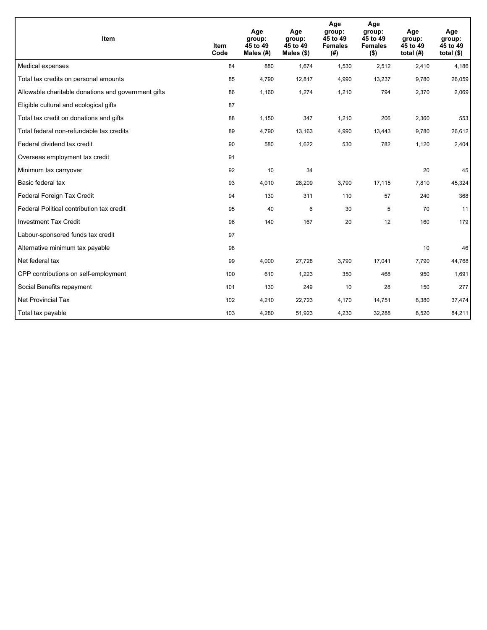| Item                                                | <b>Item</b><br>Code | Age<br>group:<br>45 to 49<br>Males $(H)$ | Age<br>group:<br>45 to 49<br>Males $(\$)$ | Age<br>group:<br>45 to 49<br><b>Females</b><br>(# ) | Age<br>group:<br>45 to 49<br><b>Females</b><br>$($ \$) | Age<br>group:<br>45 to 49<br>total $(H)$ | Age<br>group:<br>45 to 49<br>total $($)$ |
|-----------------------------------------------------|---------------------|------------------------------------------|-------------------------------------------|-----------------------------------------------------|--------------------------------------------------------|------------------------------------------|------------------------------------------|
| Medical expenses                                    | 84                  | 880                                      | 1.674                                     | 1,530                                               | 2,512                                                  | 2.410                                    | 4,186                                    |
| Total tax credits on personal amounts               | 85                  | 4,790                                    | 12,817                                    | 4,990                                               | 13,237                                                 | 9,780                                    | 26,059                                   |
| Allowable charitable donations and government gifts | 86                  | 1,160                                    | 1,274                                     | 1,210                                               | 794                                                    | 2,370                                    | 2,069                                    |
| Eligible cultural and ecological gifts              | 87                  |                                          |                                           |                                                     |                                                        |                                          |                                          |
| Total tax credit on donations and gifts             | 88                  | 1,150                                    | 347                                       | 1,210                                               | 206                                                    | 2,360                                    | 553                                      |
| Total federal non-refundable tax credits            | 89                  | 4,790                                    | 13,163                                    | 4,990                                               | 13,443                                                 | 9,780                                    | 26,612                                   |
| Federal dividend tax credit                         | 90                  | 580                                      | 1,622                                     | 530                                                 | 782                                                    | 1,120                                    | 2,404                                    |
| Overseas employment tax credit                      | 91                  |                                          |                                           |                                                     |                                                        |                                          |                                          |
| Minimum tax carryover                               | 92                  | 10                                       | 34                                        |                                                     |                                                        | 20                                       | 45                                       |
| Basic federal tax                                   | 93                  | 4,010                                    | 28,209                                    | 3,790                                               | 17,115                                                 | 7,810                                    | 45,324                                   |
| Federal Foreign Tax Credit                          | 94                  | 130                                      | 311                                       | 110                                                 | 57                                                     | 240                                      | 368                                      |
| Federal Political contribution tax credit           | 95                  | 40                                       | 6                                         | 30                                                  | 5                                                      | 70                                       | 11                                       |
| <b>Investment Tax Credit</b>                        | 96                  | 140                                      | 167                                       | 20                                                  | 12                                                     | 160                                      | 179                                      |
| Labour-sponsored funds tax credit                   | 97                  |                                          |                                           |                                                     |                                                        |                                          |                                          |
| Alternative minimum tax payable                     | 98                  |                                          |                                           |                                                     |                                                        | 10                                       | 46                                       |
| Net federal tax                                     | 99                  | 4,000                                    | 27,728                                    | 3,790                                               | 17,041                                                 | 7,790                                    | 44,768                                   |
| CPP contributions on self-employment                | 100                 | 610                                      | 1,223                                     | 350                                                 | 468                                                    | 950                                      | 1,691                                    |
| Social Benefits repayment                           | 101                 | 130                                      | 249                                       | 10                                                  | 28                                                     | 150                                      | 277                                      |
| <b>Net Provincial Tax</b>                           | 102                 | 4,210                                    | 22,723                                    | 4,170                                               | 14,751                                                 | 8,380                                    | 37,474                                   |
| Total tax payable                                   | 103                 | 4,280                                    | 51,923                                    | 4,230                                               | 32,288                                                 | 8,520                                    | 84,211                                   |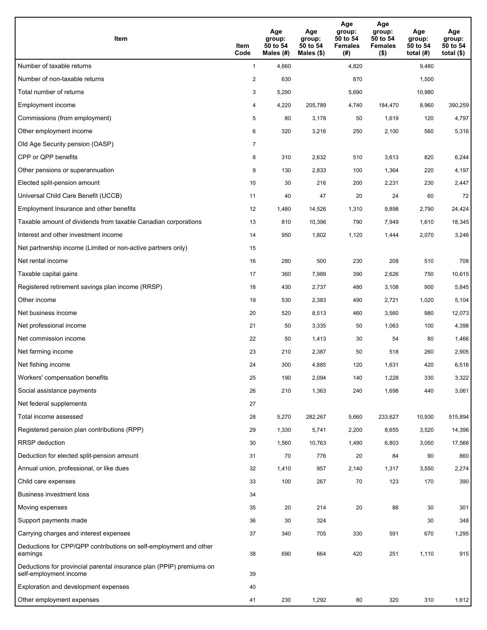| <b>Item</b>                                                                                    | Item<br>Code            | Age<br>group:<br>50 to 54<br>Males (#) | Age<br>group:<br>50 to 54<br>Males $(\$)$ | Age<br>group:<br>50 to 54<br><b>Females</b><br>(#) | Age<br>group:<br>50 to 54<br><b>Females</b><br>$($ \$) | Age<br>group:<br>50 to 54<br>total $(H)$ | Age<br>group:<br>50 to 54<br>total $($)$ |
|------------------------------------------------------------------------------------------------|-------------------------|----------------------------------------|-------------------------------------------|----------------------------------------------------|--------------------------------------------------------|------------------------------------------|------------------------------------------|
| Number of taxable returns                                                                      | $\mathbf{1}$            | 4,660                                  |                                           | 4,820                                              |                                                        | 9,480                                    |                                          |
| Number of non-taxable returns                                                                  | $\overline{\mathbf{c}}$ | 630                                    |                                           | 870                                                |                                                        | 1,500                                    |                                          |
| Total number of returns                                                                        | 3                       | 5,290                                  |                                           | 5,690                                              |                                                        | 10,980                                   |                                          |
| Employment income                                                                              | 4                       | 4,220                                  | 205,789                                   | 4,740                                              | 184,470                                                | 8,960                                    | 390,259                                  |
| Commissions (from employment)                                                                  | 5                       | 80                                     | 3,178                                     | 50                                                 | 1,619                                                  | 120                                      | 4,797                                    |
| Other employment income                                                                        | 6                       | 320                                    | 3,216                                     | 250                                                | 2,100                                                  | 560                                      | 5,316                                    |
| Old Age Security pension (OASP)                                                                | $\overline{7}$          |                                        |                                           |                                                    |                                                        |                                          |                                          |
| CPP or QPP benefits                                                                            | 8                       | 310                                    | 2,632                                     | 510                                                | 3,613                                                  | 820                                      | 6,244                                    |
| Other pensions or superannuation                                                               | 9                       | 130                                    | 2,833                                     | 100                                                | 1,364                                                  | 220                                      | 4,197                                    |
| Elected split-pension amount                                                                   | 10                      | 30                                     | 216                                       | 200                                                | 2,231                                                  | 230                                      | 2,447                                    |
| Universal Child Care Benefit (UCCB)                                                            | 11                      | 40                                     | 47                                        | 20                                                 | 24                                                     | 60                                       | 72                                       |
| Employment Insurance and other benefits                                                        | 12                      | 1,480                                  | 14,526                                    | 1,310                                              | 9,898                                                  | 2,790                                    | 24,424                                   |
| Taxable amount of dividends from taxable Canadian corporations                                 | 13                      | 810                                    | 10,396                                    | 790                                                | 7,949                                                  | 1,610                                    | 18,345                                   |
| Interest and other investment income                                                           | 14                      | 950                                    | 1,802                                     | 1,120                                              | 1,444                                                  | 2,070                                    | 3,246                                    |
| Net partnership income (Limited or non-active partners only)                                   | 15                      |                                        |                                           |                                                    |                                                        |                                          |                                          |
| Net rental income                                                                              | 16                      | 280                                    | 500                                       | 230                                                | 208                                                    | 510                                      | 708                                      |
| Taxable capital gains                                                                          | 17                      | 360                                    | 7,989                                     | 390                                                | 2,626                                                  | 750                                      | 10,615                                   |
| Registered retirement savings plan income (RRSP)                                               | 18                      | 430                                    | 2,737                                     | 480                                                | 3,108                                                  | 900                                      | 5,845                                    |
| Other income                                                                                   | 19                      | 530                                    | 2,383                                     | 490                                                | 2,721                                                  | 1,020                                    | 5,104                                    |
| Net business income                                                                            | 20                      | 520                                    | 8,513                                     | 460                                                | 3,560                                                  | 980                                      | 12,073                                   |
| Net professional income                                                                        | 21                      | 50                                     | 3,335                                     | 50                                                 | 1,063                                                  | 100                                      | 4,398                                    |
| Net commission income                                                                          | 22                      | 50                                     | 1,413                                     | 30                                                 | 54                                                     | 80                                       | 1,466                                    |
| Net farming income                                                                             | 23                      | 210                                    | 2,387                                     | 50                                                 | 518                                                    | 260                                      | 2,905                                    |
| Net fishing income                                                                             | 24                      | 300                                    | 4,885                                     | 120                                                | 1,631                                                  | 420                                      | 6,516                                    |
| Workers' compensation benefits                                                                 | 25                      | 190                                    | 2,094                                     | 140                                                | 1,228                                                  | 330                                      | 3,322                                    |
| Social assistance payments                                                                     | 26                      | 210                                    | 1,363                                     | 240                                                | 1,698                                                  | 440                                      | 3,061                                    |
| Net federal supplements                                                                        | 27                      |                                        |                                           |                                                    |                                                        |                                          |                                          |
| Total income assessed                                                                          | 28                      | 5,270                                  | 282,267                                   | 5,660                                              | 233,627                                                | 10,930                                   | 515,894                                  |
| Registered pension plan contributions (RPP)                                                    | 29                      | 1,330                                  | 5,741                                     | 2,200                                              | 8,655                                                  | 3,520                                    | 14,396                                   |
| RRSP deduction                                                                                 | 30                      | 1,560                                  | 10,763                                    | 1,490                                              | 6,803                                                  | 3,050                                    | 17,566                                   |
| Deduction for elected split-pension amount                                                     | 31                      | 70                                     | 776                                       | 20                                                 | 84                                                     | 90                                       | 860                                      |
| Annual union, professional, or like dues                                                       | 32                      | 1,410                                  | 957                                       | 2,140                                              | 1,317                                                  | 3,550                                    | 2,274                                    |
| Child care expenses                                                                            | 33                      | 100                                    | 267                                       | 70                                                 | 123                                                    | 170                                      | 390                                      |
| <b>Business investment loss</b>                                                                | 34                      |                                        |                                           |                                                    |                                                        |                                          |                                          |
| Moving expenses                                                                                | 35                      | 20                                     | 214                                       | 20                                                 | 88                                                     | 30                                       | 301                                      |
| Support payments made                                                                          | 36                      | 30                                     | 324                                       |                                                    |                                                        | 30                                       | 348                                      |
| Carrying charges and interest expenses                                                         | 37                      | 340                                    | 705                                       | 330                                                | 591                                                    | 670                                      | 1,295                                    |
| Deductions for CPP/QPP contributions on self-employment and other<br>earnings                  | 38                      | 690                                    | 664                                       | 420                                                | 251                                                    | 1,110                                    | 915                                      |
| Deductions for provincial parental insurance plan (PPIP) premiums on<br>self-employment income | 39                      |                                        |                                           |                                                    |                                                        |                                          |                                          |
| Exploration and development expenses                                                           | 40                      |                                        |                                           |                                                    |                                                        |                                          |                                          |
| Other employment expenses                                                                      | 41                      | 230                                    | 1,292                                     | 80                                                 | 320                                                    | 310                                      | 1,612                                    |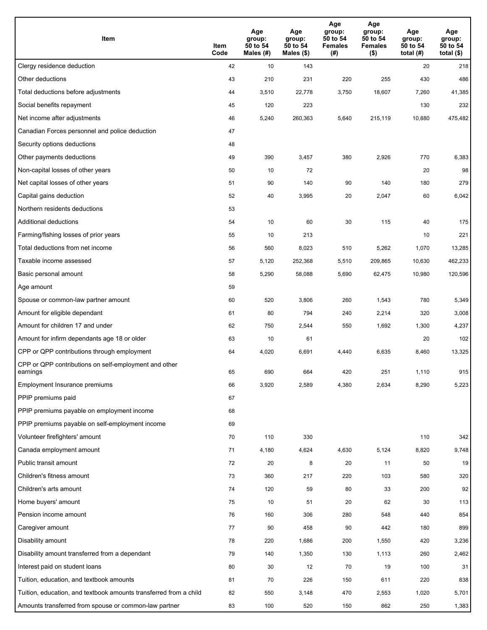| Item                                                              | Item<br>Code | Age<br>group:<br>50 to 54<br>Males (#) | Age<br>group:<br>50 to 54<br>Males $(\$)$ | Age<br>group:<br>50 to 54<br><b>Females</b><br>(# ) | Age<br>group:<br>50 to 54<br>Females<br>$($ \$) | Age<br>group:<br>50 to 54<br>total $(H)$ | Age<br>group:<br>50 to 54<br>total $($)$ |
|-------------------------------------------------------------------|--------------|----------------------------------------|-------------------------------------------|-----------------------------------------------------|-------------------------------------------------|------------------------------------------|------------------------------------------|
| Clergy residence deduction                                        | 42           | 10                                     | 143                                       |                                                     |                                                 | 20                                       | 218                                      |
| Other deductions                                                  | 43           | 210                                    | 231                                       | 220                                                 | 255                                             | 430                                      | 486                                      |
| Total deductions before adjustments                               | 44           | 3,510                                  | 22,778                                    | 3,750                                               | 18,607                                          | 7,260                                    | 41,385                                   |
| Social benefits repayment                                         | 45           | 120                                    | 223                                       |                                                     |                                                 | 130                                      | 232                                      |
| Net income after adjustments                                      | 46           | 5,240                                  | 260,363                                   | 5,640                                               | 215,119                                         | 10,880                                   | 475,482                                  |
| Canadian Forces personnel and police deduction                    | 47           |                                        |                                           |                                                     |                                                 |                                          |                                          |
| Security options deductions                                       | 48           |                                        |                                           |                                                     |                                                 |                                          |                                          |
| Other payments deductions                                         | 49           | 390                                    | 3,457                                     | 380                                                 | 2,926                                           | 770                                      | 6,383                                    |
| Non-capital losses of other years                                 | 50           | 10                                     | 72                                        |                                                     |                                                 | 20                                       | 98                                       |
| Net capital losses of other years                                 | 51           | 90                                     | 140                                       | 90                                                  | 140                                             | 180                                      | 279                                      |
| Capital gains deduction                                           | 52           | 40                                     | 3,995                                     | 20                                                  | 2,047                                           | 60                                       | 6,042                                    |
| Northern residents deductions                                     | 53           |                                        |                                           |                                                     |                                                 |                                          |                                          |
| Additional deductions                                             | 54           | 10                                     | 60                                        | 30                                                  | 115                                             | 40                                       | 175                                      |
| Farming/fishing losses of prior years                             | 55           | 10                                     | 213                                       |                                                     |                                                 | 10                                       | 221                                      |
| Total deductions from net income                                  | 56           | 560                                    | 8,023                                     | 510                                                 | 5,262                                           | 1,070                                    | 13,285                                   |
| Taxable income assessed                                           | 57           | 5,120                                  | 252,368                                   | 5,510                                               | 209,865                                         | 10,630                                   | 462,233                                  |
| Basic personal amount                                             | 58           | 5,290                                  | 58,088                                    | 5,690                                               | 62,475                                          | 10,980                                   | 120,596                                  |
| Age amount                                                        | 59           |                                        |                                           |                                                     |                                                 |                                          |                                          |
| Spouse or common-law partner amount                               | 60           | 520                                    | 3,806                                     | 260                                                 | 1,543                                           | 780                                      | 5,349                                    |
| Amount for eligible dependant                                     | 61           | 80                                     | 794                                       | 240                                                 | 2,214                                           | 320                                      | 3,008                                    |
| Amount for children 17 and under                                  | 62           | 750                                    | 2,544                                     | 550                                                 | 1,692                                           | 1,300                                    | 4,237                                    |
| Amount for infirm dependants age 18 or older                      | 63           | 10                                     | 61                                        |                                                     |                                                 | 20                                       | 102                                      |
| CPP or QPP contributions through employment                       | 64           | 4,020                                  | 6,691                                     | 4,440                                               | 6,635                                           | 8,460                                    | 13,325                                   |
| CPP or QPP contributions on self-employment and other<br>earnings | 65           | 690                                    | 664                                       | 420                                                 | 251                                             | 1.110                                    | 915                                      |
| Employment Insurance premiums                                     | 66           | 3,920                                  | 2,589                                     | 4,380                                               | 2,634                                           | 8,290                                    | 5,223                                    |
| PPIP premiums paid                                                | 67           |                                        |                                           |                                                     |                                                 |                                          |                                          |
| PPIP premiums payable on employment income                        | 68           |                                        |                                           |                                                     |                                                 |                                          |                                          |
| PPIP premiums payable on self-employment income                   | 69           |                                        |                                           |                                                     |                                                 |                                          |                                          |
| Volunteer firefighters' amount                                    | 70           | 110                                    | 330                                       |                                                     |                                                 | 110                                      | 342                                      |
| Canada employment amount                                          | 71           | 4,180                                  | 4,624                                     | 4,630                                               | 5,124                                           | 8,820                                    | 9,748                                    |
| Public transit amount                                             | 72           | 20                                     | 8                                         | 20                                                  | 11                                              | 50                                       | 19                                       |
| Children's fitness amount                                         | 73           | 360                                    | 217                                       | 220                                                 | 103                                             | 580                                      | 320                                      |
| Children's arts amount                                            | 74           | 120                                    | 59                                        | 80                                                  | 33                                              | 200                                      | 92                                       |
| Home buyers' amount                                               | 75           | 10                                     | 51                                        | 20                                                  | 62                                              | 30                                       | 113                                      |
| Pension income amount                                             | 76           | 160                                    | 306                                       | 280                                                 | 548                                             | 440                                      | 854                                      |
| Caregiver amount                                                  | 77           | 90                                     | 458                                       | 90                                                  | 442                                             | 180                                      | 899                                      |
| Disability amount                                                 | 78           | 220                                    | 1,686                                     | 200                                                 | 1,550                                           | 420                                      | 3,236                                    |
| Disability amount transferred from a dependant                    | 79           | 140                                    | 1,350                                     | 130                                                 | 1,113                                           | 260                                      | 2,462                                    |
| Interest paid on student loans                                    | 80           | 30                                     | 12                                        | 70                                                  | 19                                              | 100                                      | 31                                       |
| Tuition, education, and textbook amounts                          | 81           | 70                                     | 226                                       | 150                                                 | 611                                             | 220                                      | 838                                      |
| Tuition, education, and textbook amounts transferred from a child | 82           | 550                                    | 3,148                                     | 470                                                 | 2,553                                           | 1,020                                    | 5,701                                    |
| Amounts transferred from spouse or common-law partner             | 83           | 100                                    | 520                                       | 150                                                 | 862                                             | 250                                      | 1,383                                    |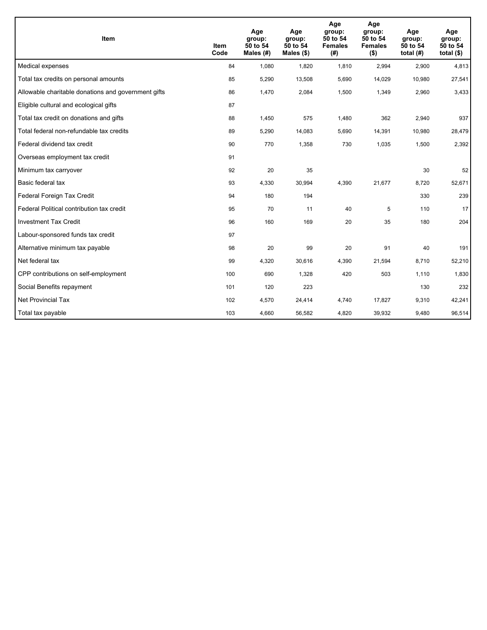| Item                                                | <b>Item</b><br>Code | Age<br>group:<br>50 to 54<br>Males (#) | Age<br>group:<br>50 to 54<br>Males $(\$)$ | Age<br>group:<br>50 to 54<br><b>Females</b><br>(#) | Age<br>group:<br>50 to 54<br><b>Females</b><br>$($ \$) | Age<br>group:<br>50 to 54<br>total $(H)$ | Age<br>group:<br>50 to 54<br>total $($)$ |
|-----------------------------------------------------|---------------------|----------------------------------------|-------------------------------------------|----------------------------------------------------|--------------------------------------------------------|------------------------------------------|------------------------------------------|
| Medical expenses                                    | 84                  | 1,080                                  | 1,820                                     | 1,810                                              | 2,994                                                  | 2,900                                    | 4,813                                    |
| Total tax credits on personal amounts               | 85                  | 5,290                                  | 13,508                                    | 5,690                                              | 14,029                                                 | 10,980                                   | 27,541                                   |
| Allowable charitable donations and government gifts | 86                  | 1,470                                  | 2,084                                     | 1.500                                              | 1,349                                                  | 2,960                                    | 3,433                                    |
| Eligible cultural and ecological gifts              | 87                  |                                        |                                           |                                                    |                                                        |                                          |                                          |
| Total tax credit on donations and gifts             | 88                  | 1,450                                  | 575                                       | 1,480                                              | 362                                                    | 2,940                                    | 937                                      |
| Total federal non-refundable tax credits            | 89                  | 5,290                                  | 14,083                                    | 5,690                                              | 14,391                                                 | 10,980                                   | 28,479                                   |
| Federal dividend tax credit                         | 90                  | 770                                    | 1,358                                     | 730                                                | 1,035                                                  | 1,500                                    | 2,392                                    |
| Overseas employment tax credit                      | 91                  |                                        |                                           |                                                    |                                                        |                                          |                                          |
| Minimum tax carryover                               | 92                  | 20                                     | 35                                        |                                                    |                                                        | 30                                       | 52                                       |
| Basic federal tax                                   | 93                  | 4,330                                  | 30,994                                    | 4,390                                              | 21,677                                                 | 8,720                                    | 52,671                                   |
| Federal Foreign Tax Credit                          | 94                  | 180                                    | 194                                       |                                                    |                                                        | 330                                      | 239                                      |
| Federal Political contribution tax credit           | 95                  | 70                                     | 11                                        | 40                                                 | 5                                                      | 110                                      | 17                                       |
| <b>Investment Tax Credit</b>                        | 96                  | 160                                    | 169                                       | 20                                                 | 35                                                     | 180                                      | 204                                      |
| Labour-sponsored funds tax credit                   | 97                  |                                        |                                           |                                                    |                                                        |                                          |                                          |
| Alternative minimum tax payable                     | 98                  | 20                                     | 99                                        | 20                                                 | 91                                                     | 40                                       | 191                                      |
| Net federal tax                                     | 99                  | 4,320                                  | 30,616                                    | 4,390                                              | 21,594                                                 | 8,710                                    | 52,210                                   |
| CPP contributions on self-employment                | 100                 | 690                                    | 1,328                                     | 420                                                | 503                                                    | 1,110                                    | 1,830                                    |
| Social Benefits repayment                           | 101                 | 120                                    | 223                                       |                                                    |                                                        | 130                                      | 232                                      |
| Net Provincial Tax                                  | 102                 | 4,570                                  | 24,414                                    | 4,740                                              | 17,827                                                 | 9,310                                    | 42,241                                   |
| Total tax payable                                   | 103                 | 4,660                                  | 56,582                                    | 4,820                                              | 39,932                                                 | 9,480                                    | 96,514                                   |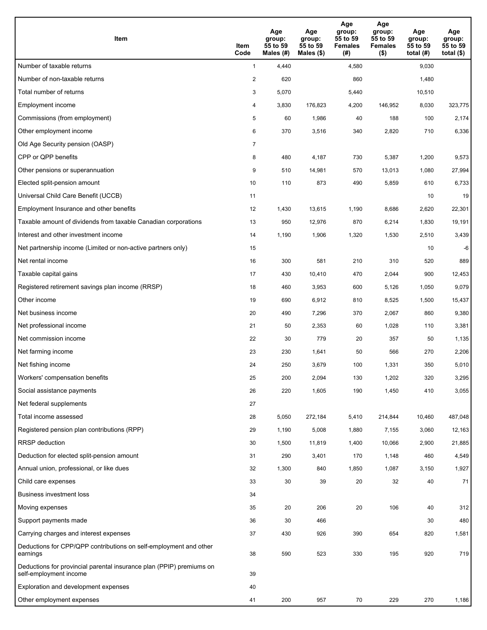| <b>Item</b>                                                                                    | Item<br>Code            | Age<br>group:<br>55 to 59<br>Males (#) | Age<br>group:<br>55 to 59<br>Males $(\$)$ | Age<br>group:<br>55 to 59<br><b>Females</b><br>(#) | Age<br>group:<br>55 to 59<br><b>Females</b><br>$($ \$) | Age<br>group:<br>55 to 59<br>total (#) | Age<br>group:<br>55 to 59<br>total $($)$ |
|------------------------------------------------------------------------------------------------|-------------------------|----------------------------------------|-------------------------------------------|----------------------------------------------------|--------------------------------------------------------|----------------------------------------|------------------------------------------|
| Number of taxable returns                                                                      | $\mathbf{1}$            | 4,440                                  |                                           | 4,580                                              |                                                        | 9,030                                  |                                          |
| Number of non-taxable returns                                                                  | $\overline{\mathbf{c}}$ | 620                                    |                                           | 860                                                |                                                        | 1,480                                  |                                          |
| Total number of returns                                                                        | 3                       | 5,070                                  |                                           | 5,440                                              |                                                        | 10,510                                 |                                          |
| Employment income                                                                              | 4                       | 3,830                                  | 176,823                                   | 4,200                                              | 146,952                                                | 8,030                                  | 323,775                                  |
| Commissions (from employment)                                                                  | 5                       | 60                                     | 1,986                                     | 40                                                 | 188                                                    | 100                                    | 2,174                                    |
| Other employment income                                                                        | 6                       | 370                                    | 3,516                                     | 340                                                | 2,820                                                  | 710                                    | 6,336                                    |
| Old Age Security pension (OASP)                                                                | $\overline{7}$          |                                        |                                           |                                                    |                                                        |                                        |                                          |
| CPP or QPP benefits                                                                            | 8                       | 480                                    | 4,187                                     | 730                                                | 5,387                                                  | 1,200                                  | 9,573                                    |
| Other pensions or superannuation                                                               | 9                       | 510                                    | 14,981                                    | 570                                                | 13,013                                                 | 1,080                                  | 27,994                                   |
| Elected split-pension amount                                                                   | 10                      | 110                                    | 873                                       | 490                                                | 5,859                                                  | 610                                    | 6,733                                    |
| Universal Child Care Benefit (UCCB)                                                            | 11                      |                                        |                                           |                                                    |                                                        | 10                                     | 19                                       |
| Employment Insurance and other benefits                                                        | 12                      | 1,430                                  | 13,615                                    | 1,190                                              | 8,686                                                  | 2,620                                  | 22,301                                   |
| Taxable amount of dividends from taxable Canadian corporations                                 | 13                      | 950                                    | 12,976                                    | 870                                                | 6,214                                                  | 1,830                                  | 19,191                                   |
| Interest and other investment income                                                           | 14                      | 1,190                                  | 1,906                                     | 1,320                                              | 1,530                                                  | 2,510                                  | 3,439                                    |
| Net partnership income (Limited or non-active partners only)                                   | 15                      |                                        |                                           |                                                    |                                                        | 10                                     | -6                                       |
| Net rental income                                                                              | 16                      | 300                                    | 581                                       | 210                                                | 310                                                    | 520                                    | 889                                      |
| Taxable capital gains                                                                          | 17                      | 430                                    | 10,410                                    | 470                                                | 2,044                                                  | 900                                    | 12,453                                   |
| Registered retirement savings plan income (RRSP)                                               | 18                      | 460                                    | 3,953                                     | 600                                                | 5,126                                                  | 1,050                                  | 9,079                                    |
| Other income                                                                                   | 19                      | 690                                    | 6,912                                     | 810                                                | 8,525                                                  | 1,500                                  | 15,437                                   |
| Net business income                                                                            | 20                      | 490                                    | 7,296                                     | 370                                                | 2,067                                                  | 860                                    | 9,380                                    |
| Net professional income                                                                        | 21                      | 50                                     | 2,353                                     | 60                                                 | 1,028                                                  | 110                                    | 3,381                                    |
| Net commission income                                                                          | 22                      | 30                                     | 779                                       | 20                                                 | 357                                                    | 50                                     | 1,135                                    |
| Net farming income                                                                             | 23                      | 230                                    | 1,641                                     | 50                                                 | 566                                                    | 270                                    | 2,206                                    |
| Net fishing income                                                                             | 24                      | 250                                    | 3,679                                     | 100                                                | 1,331                                                  | 350                                    | 5,010                                    |
| Workers' compensation benefits                                                                 | 25                      | 200                                    | 2,094                                     | 130                                                | 1,202                                                  | 320                                    | 3,295                                    |
| Social assistance payments                                                                     | 26                      | 220                                    | 1,605                                     | 190                                                | 1,450                                                  | 410                                    | 3,055                                    |
| Net federal supplements                                                                        | 27                      |                                        |                                           |                                                    |                                                        |                                        |                                          |
| Total income assessed                                                                          | 28                      | 5,050                                  | 272,184                                   | 5,410                                              | 214,844                                                | 10,460                                 | 487,048                                  |
| Registered pension plan contributions (RPP)                                                    | 29                      | 1,190                                  | 5,008                                     | 1,880                                              | 7,155                                                  | 3,060                                  | 12,163                                   |
| RRSP deduction                                                                                 | 30                      | 1,500                                  | 11,819                                    | 1,400                                              | 10,066                                                 | 2,900                                  | 21,885                                   |
| Deduction for elected split-pension amount                                                     | 31                      | 290                                    | 3,401                                     | 170                                                | 1,148                                                  | 460                                    | 4,549                                    |
| Annual union, professional, or like dues                                                       | 32                      | 1,300                                  | 840                                       | 1,850                                              | 1,087                                                  | 3,150                                  | 1,927                                    |
| Child care expenses                                                                            | 33                      | 30                                     | 39                                        | 20                                                 | 32                                                     | 40                                     | 71                                       |
| <b>Business investment loss</b>                                                                | 34                      |                                        |                                           |                                                    |                                                        |                                        |                                          |
| Moving expenses                                                                                | 35                      | 20                                     | 206                                       | 20                                                 | 106                                                    | 40                                     | 312                                      |
| Support payments made                                                                          | 36                      | 30                                     | 466                                       |                                                    |                                                        | 30                                     | 480                                      |
| Carrying charges and interest expenses                                                         | 37                      | 430                                    | 926                                       | 390                                                | 654                                                    | 820                                    | 1,581                                    |
| Deductions for CPP/QPP contributions on self-employment and other<br>earnings                  | 38                      | 590                                    | 523                                       | 330                                                | 195                                                    | 920                                    | 719                                      |
| Deductions for provincial parental insurance plan (PPIP) premiums on<br>self-employment income | 39                      |                                        |                                           |                                                    |                                                        |                                        |                                          |
| Exploration and development expenses                                                           | 40                      |                                        |                                           |                                                    |                                                        |                                        |                                          |
| Other employment expenses                                                                      | 41                      | 200                                    | 957                                       | 70                                                 | 229                                                    | 270                                    | 1,186                                    |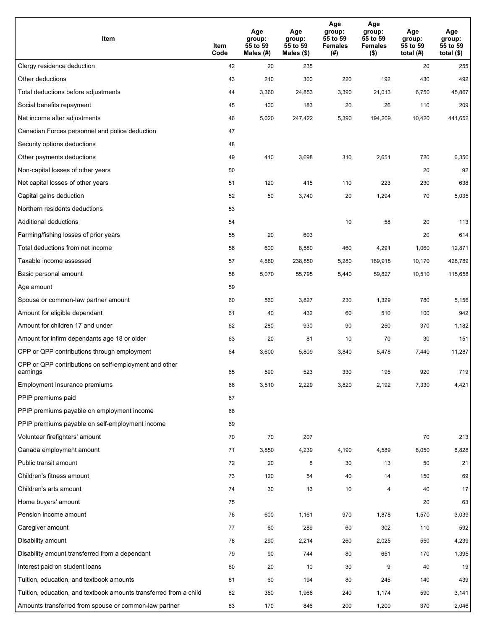| Item                                                              | Item<br>Code | Age<br>group:<br>55 to 59<br>Males (#) | Age<br>group:<br>55 to 59<br>Males (\$) | Age<br>group:<br>55 to 59<br><b>Females</b><br>(#) | Age<br>group:<br>55 to 59<br>Females<br>$($ \$) | Age<br>group:<br>55 to 59<br>total $(H)$ | Age<br>group:<br>55 to 59<br>total $($)$ |
|-------------------------------------------------------------------|--------------|----------------------------------------|-----------------------------------------|----------------------------------------------------|-------------------------------------------------|------------------------------------------|------------------------------------------|
| Clergy residence deduction                                        | 42           | 20                                     | 235                                     |                                                    |                                                 | 20                                       | 255                                      |
| Other deductions                                                  | 43           | 210                                    | 300                                     | 220                                                | 192                                             | 430                                      | 492                                      |
| Total deductions before adjustments                               | 44           | 3,360                                  | 24,853                                  | 3,390                                              | 21,013                                          | 6,750                                    | 45,867                                   |
| Social benefits repayment                                         | 45           | 100                                    | 183                                     | 20                                                 | 26                                              | 110                                      | 209                                      |
| Net income after adjustments                                      | 46           | 5,020                                  | 247,422                                 | 5,390                                              | 194,209                                         | 10,420                                   | 441,652                                  |
| Canadian Forces personnel and police deduction                    | 47           |                                        |                                         |                                                    |                                                 |                                          |                                          |
| Security options deductions                                       | 48           |                                        |                                         |                                                    |                                                 |                                          |                                          |
| Other payments deductions                                         | 49           | 410                                    | 3,698                                   | 310                                                | 2,651                                           | 720                                      | 6,350                                    |
| Non-capital losses of other years                                 | 50           |                                        |                                         |                                                    |                                                 | 20                                       | 92                                       |
| Net capital losses of other years                                 | 51           | 120                                    | 415                                     | 110                                                | 223                                             | 230                                      | 638                                      |
| Capital gains deduction                                           | 52           | 50                                     | 3,740                                   | 20                                                 | 1,294                                           | 70                                       | 5,035                                    |
| Northern residents deductions                                     | 53           |                                        |                                         |                                                    |                                                 |                                          |                                          |
| Additional deductions                                             | 54           |                                        |                                         | 10                                                 | 58                                              | 20                                       | 113                                      |
| Farming/fishing losses of prior years                             | 55           | 20                                     | 603                                     |                                                    |                                                 | 20                                       | 614                                      |
| Total deductions from net income                                  | 56           | 600                                    | 8,580                                   | 460                                                | 4,291                                           | 1,060                                    | 12,871                                   |
| Taxable income assessed                                           | 57           | 4,880                                  | 238,850                                 | 5,280                                              | 189,918                                         | 10,170                                   | 428,789                                  |
| Basic personal amount                                             | 58           | 5,070                                  | 55,795                                  | 5,440                                              | 59,827                                          | 10,510                                   | 115,658                                  |
| Age amount                                                        | 59           |                                        |                                         |                                                    |                                                 |                                          |                                          |
| Spouse or common-law partner amount                               | 60           | 560                                    | 3,827                                   | 230                                                | 1,329                                           | 780                                      | 5,156                                    |
| Amount for eligible dependant                                     | 61           | 40                                     | 432                                     | 60                                                 | 510                                             | 100                                      | 942                                      |
| Amount for children 17 and under                                  | 62           | 280                                    | 930                                     | 90                                                 | 250                                             | 370                                      | 1,182                                    |
| Amount for infirm dependants age 18 or older                      | 63           | 20                                     | 81                                      | 10                                                 | 70                                              | 30                                       | 151                                      |
| CPP or QPP contributions through employment                       | 64           | 3,600                                  | 5,809                                   | 3,840                                              | 5,478                                           | 7,440                                    | 11,287                                   |
| CPP or QPP contributions on self-employment and other<br>earnings | 65           | 590                                    | 523                                     | 330                                                | 195                                             | 920                                      | 719                                      |
| Employment Insurance premiums                                     | 66           | 3,510                                  | 2,229                                   | 3,820                                              | 2,192                                           | 7,330                                    | 4,421                                    |
| PPIP premiums paid                                                | 67           |                                        |                                         |                                                    |                                                 |                                          |                                          |
| PPIP premiums payable on employment income                        | 68           |                                        |                                         |                                                    |                                                 |                                          |                                          |
| PPIP premiums payable on self-employment income                   | 69           |                                        |                                         |                                                    |                                                 |                                          |                                          |
| Volunteer firefighters' amount                                    | 70           | 70                                     | 207                                     |                                                    |                                                 | 70                                       | 213                                      |
| Canada employment amount                                          | 71           | 3,850                                  | 4,239                                   | 4,190                                              | 4,589                                           | 8,050                                    | 8,828                                    |
| Public transit amount                                             | 72           | 20                                     | 8                                       | 30                                                 | 13                                              | 50                                       | 21                                       |
| Children's fitness amount                                         | 73           | 120                                    | 54                                      | 40                                                 | 14                                              | 150                                      | 69                                       |
| Children's arts amount                                            | 74           | 30                                     | 13                                      | 10                                                 | 4                                               | 40                                       | 17                                       |
| Home buyers' amount                                               | 75           |                                        |                                         |                                                    |                                                 | 20                                       | 63                                       |
| Pension income amount                                             | 76           | 600                                    | 1,161                                   | 970                                                | 1,878                                           | 1,570                                    | 3,039                                    |
| Caregiver amount                                                  | 77           | 60                                     | 289                                     | 60                                                 | 302                                             | 110                                      | 592                                      |
| Disability amount                                                 | 78           | 290                                    | 2,214                                   | 260                                                | 2,025                                           | 550                                      | 4,239                                    |
| Disability amount transferred from a dependant                    | 79           | 90                                     | 744                                     | 80                                                 | 651                                             | 170                                      | 1,395                                    |
| Interest paid on student loans                                    | 80           | 20                                     | 10                                      | 30                                                 | 9                                               | 40                                       | 19                                       |
| Tuition, education, and textbook amounts                          | 81           | 60                                     | 194                                     | 80                                                 | 245                                             | 140                                      | 439                                      |
| Tuition, education, and textbook amounts transferred from a child | 82           | 350                                    | 1,966                                   | 240                                                | 1,174                                           | 590                                      | 3,141                                    |
| Amounts transferred from spouse or common-law partner             | 83           | 170                                    | 846                                     | 200                                                | 1,200                                           | 370                                      | 2,046                                    |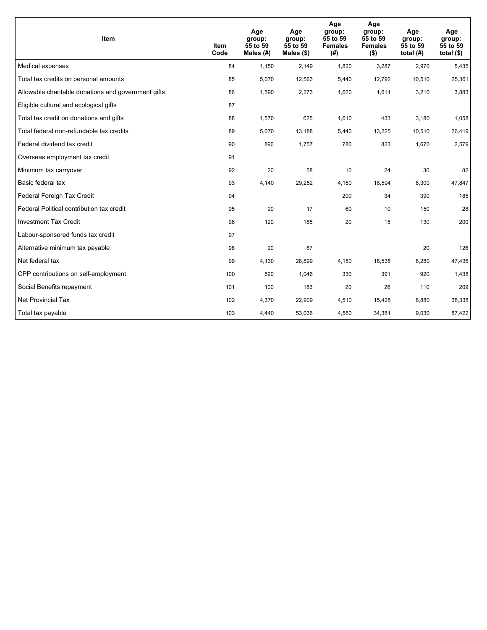| <b>Item</b>                                         | Item<br>Code | Age<br>group:<br>55 to 59<br>Males $(H)$ | Age<br>group:<br>55 to 59<br>Males $(\$)$ | Age<br>group:<br>55 to 59<br><b>Females</b><br>(#) | Age<br>group:<br>55 to 59<br><b>Females</b><br>$($ \$) | Age<br>group:<br>55 to 59<br>total $(H)$ | Age<br>group:<br>55 to 59<br>total $($)$ |
|-----------------------------------------------------|--------------|------------------------------------------|-------------------------------------------|----------------------------------------------------|--------------------------------------------------------|------------------------------------------|------------------------------------------|
| Medical expenses                                    | 84           | 1,150                                    | 2,149                                     | 1,820                                              | 3,287                                                  | 2,970                                    | 5,435                                    |
| Total tax credits on personal amounts               | 85           | 5,070                                    | 12,563                                    | 5,440                                              | 12,792                                                 | 10,510                                   | 25,361                                   |
| Allowable charitable donations and government gifts | 86           | 1,590                                    | 2,273                                     | 1,620                                              | 1,611                                                  | 3,210                                    | 3,883                                    |
| Eligible cultural and ecological gifts              | 87           |                                          |                                           |                                                    |                                                        |                                          |                                          |
| Total tax credit on donations and gifts             | 88           | 1,570                                    | 625                                       | 1,610                                              | 433                                                    | 3,180                                    | 1,058                                    |
| Total federal non-refundable tax credits            | 89           | 5,070                                    | 13,188                                    | 5,440                                              | 13,225                                                 | 10,510                                   | 26,419                                   |
| Federal dividend tax credit                         | 90           | 890                                      | 1,757                                     | 780                                                | 823                                                    | 1,670                                    | 2,579                                    |
| Overseas employment tax credit                      | 91           |                                          |                                           |                                                    |                                                        |                                          |                                          |
| Minimum tax carryover                               | 92           | 20                                       | 58                                        | 10                                                 | 24                                                     | 30                                       | 82                                       |
| Basic federal tax                                   | 93           | 4,140                                    | 29,252                                    | 4.150                                              | 18,594                                                 | 8,300                                    | 47,847                                   |
| Federal Foreign Tax Credit                          | 94           |                                          |                                           | 200                                                | 34                                                     | 390                                      | 185                                      |
| Federal Political contribution tax credit           | 95           | 90                                       | 17                                        | 60                                                 | 10                                                     | 150                                      | 28                                       |
| <b>Investment Tax Credit</b>                        | 96           | 120                                      | 185                                       | 20                                                 | 15                                                     | 130                                      | 200                                      |
| Labour-sponsored funds tax credit                   | 97           |                                          |                                           |                                                    |                                                        |                                          |                                          |
| Alternative minimum tax payable                     | 98           | 20                                       | 67                                        |                                                    |                                                        | 20                                       | 126                                      |
| Net federal tax                                     | 99           | 4,130                                    | 28,899                                    | 4,150                                              | 18,535                                                 | 8,280                                    | 47,436                                   |
| CPP contributions on self-employment                | 100          | 590                                      | 1,046                                     | 330                                                | 391                                                    | 920                                      | 1,438                                    |
| Social Benefits repayment                           | 101          | 100                                      | 183                                       | 20                                                 | 26                                                     | 110                                      | 209                                      |
| <b>Net Provincial Tax</b>                           | 102          | 4,370                                    | 22,909                                    | 4,510                                              | 15,428                                                 | 8,880                                    | 38,338                                   |
| Total tax payable                                   | 103          | 4,440                                    | 53,036                                    | 4,580                                              | 34,381                                                 | 9,030                                    | 87,422                                   |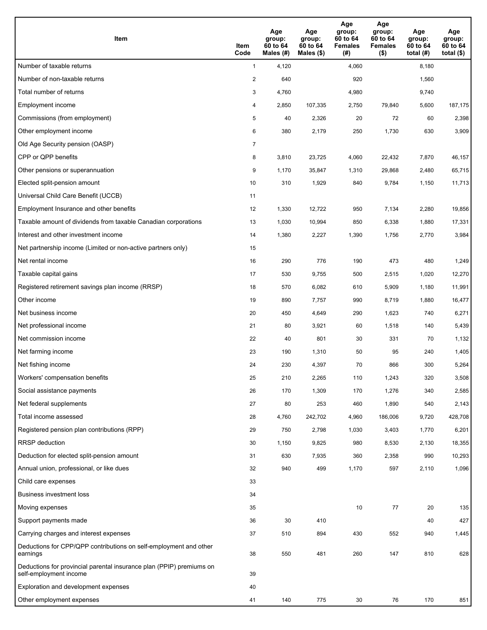| <b>Item</b>                                                                                    | Item<br>Code   | Age<br>group:<br>60 to 64<br>Males (#) | Age<br>group:<br>60 to 64<br>Males $(\$)$ | Age<br>group:<br>60 to 64<br><b>Females</b><br>(#) | Age<br>group:<br>60 to 64<br><b>Females</b><br>$($ \$) | Age<br>group:<br>60 to 64<br>total (#) | Age<br>group:<br>60 to 64<br>total $($)$ |
|------------------------------------------------------------------------------------------------|----------------|----------------------------------------|-------------------------------------------|----------------------------------------------------|--------------------------------------------------------|----------------------------------------|------------------------------------------|
| Number of taxable returns                                                                      | $\mathbf{1}$   | 4,120                                  |                                           | 4,060                                              |                                                        | 8,180                                  |                                          |
| Number of non-taxable returns                                                                  | $\overline{2}$ | 640                                    |                                           | 920                                                |                                                        | 1,560                                  |                                          |
| Total number of returns                                                                        | 3              | 4,760                                  |                                           | 4,980                                              |                                                        | 9,740                                  |                                          |
| Employment income                                                                              | 4              | 2,850                                  | 107,335                                   | 2,750                                              | 79,840                                                 | 5,600                                  | 187,175                                  |
| Commissions (from employment)                                                                  | 5              | 40                                     | 2,326                                     | 20                                                 | 72                                                     | 60                                     | 2,398                                    |
| Other employment income                                                                        | 6              | 380                                    | 2,179                                     | 250                                                | 1,730                                                  | 630                                    | 3,909                                    |
| Old Age Security pension (OASP)                                                                | $\overline{7}$ |                                        |                                           |                                                    |                                                        |                                        |                                          |
| CPP or QPP benefits                                                                            | 8              | 3,810                                  | 23,725                                    | 4,060                                              | 22,432                                                 | 7,870                                  | 46,157                                   |
| Other pensions or superannuation                                                               | 9              | 1,170                                  | 35,847                                    | 1,310                                              | 29,868                                                 | 2,480                                  | 65,715                                   |
| Elected split-pension amount                                                                   | 10             | 310                                    | 1,929                                     | 840                                                | 9,784                                                  | 1,150                                  | 11,713                                   |
| Universal Child Care Benefit (UCCB)                                                            | 11             |                                        |                                           |                                                    |                                                        |                                        |                                          |
| Employment Insurance and other benefits                                                        | 12             | 1,330                                  | 12,722                                    | 950                                                | 7,134                                                  | 2,280                                  | 19,856                                   |
| Taxable amount of dividends from taxable Canadian corporations                                 | 13             | 1,030                                  | 10,994                                    | 850                                                | 6,338                                                  | 1,880                                  | 17,331                                   |
| Interest and other investment income                                                           | 14             | 1,380                                  | 2,227                                     | 1,390                                              | 1,756                                                  | 2,770                                  | 3,984                                    |
| Net partnership income (Limited or non-active partners only)                                   | 15             |                                        |                                           |                                                    |                                                        |                                        |                                          |
| Net rental income                                                                              | 16             | 290                                    | 776                                       | 190                                                | 473                                                    | 480                                    | 1,249                                    |
| Taxable capital gains                                                                          | 17             | 530                                    | 9,755                                     | 500                                                | 2,515                                                  | 1,020                                  | 12,270                                   |
| Registered retirement savings plan income (RRSP)                                               | 18             | 570                                    | 6,082                                     | 610                                                | 5,909                                                  | 1,180                                  | 11,991                                   |
| Other income                                                                                   | 19             | 890                                    | 7,757                                     | 990                                                | 8,719                                                  | 1,880                                  | 16,477                                   |
| Net business income                                                                            | 20             | 450                                    | 4,649                                     | 290                                                | 1,623                                                  | 740                                    | 6,271                                    |
| Net professional income                                                                        | 21             | 80                                     | 3,921                                     | 60                                                 | 1,518                                                  | 140                                    | 5,439                                    |
| Net commission income                                                                          | 22             | 40                                     | 801                                       | 30                                                 | 331                                                    | 70                                     | 1,132                                    |
| Net farming income                                                                             | 23             | 190                                    | 1,310                                     | 50                                                 | 95                                                     | 240                                    | 1,405                                    |
| Net fishing income                                                                             | 24             | 230                                    | 4,397                                     | 70                                                 | 866                                                    | 300                                    | 5,264                                    |
| Workers' compensation benefits                                                                 | 25             | 210                                    | 2,265                                     | 110                                                | 1,243                                                  | 320                                    | 3,508                                    |
| Social assistance payments                                                                     | 26             | 170                                    | 1,309                                     | 170                                                | 1,276                                                  | 340                                    | 2,585                                    |
| Net federal supplements                                                                        | 27             | 80                                     | 253                                       | 460                                                | 1,890                                                  | 540                                    | 2,143                                    |
| Total income assessed                                                                          | 28             | 4,760                                  | 242,702                                   | 4,960                                              | 186,006                                                | 9,720                                  | 428,708                                  |
| Registered pension plan contributions (RPP)                                                    | 29             | 750                                    | 2,798                                     | 1,030                                              | 3,403                                                  | 1,770                                  | 6,201                                    |
| RRSP deduction                                                                                 | 30             | 1,150                                  | 9,825                                     | 980                                                | 8,530                                                  | 2,130                                  | 18,355                                   |
| Deduction for elected split-pension amount                                                     | 31             | 630                                    | 7,935                                     | 360                                                | 2,358                                                  | 990                                    | 10,293                                   |
| Annual union, professional, or like dues                                                       | 32             | 940                                    | 499                                       | 1,170                                              | 597                                                    | 2,110                                  | 1,096                                    |
| Child care expenses                                                                            | 33             |                                        |                                           |                                                    |                                                        |                                        |                                          |
| <b>Business investment loss</b>                                                                | 34             |                                        |                                           |                                                    |                                                        |                                        |                                          |
| Moving expenses                                                                                | 35             |                                        |                                           | 10                                                 | 77                                                     | 20                                     | 135                                      |
| Support payments made                                                                          | 36             | 30                                     | 410                                       |                                                    |                                                        | 40                                     | 427                                      |
| Carrying charges and interest expenses                                                         | 37             | 510                                    | 894                                       | 430                                                | 552                                                    | 940                                    | 1,445                                    |
| Deductions for CPP/QPP contributions on self-employment and other<br>earnings                  | 38             | 550                                    | 481                                       | 260                                                | 147                                                    | 810                                    | 628                                      |
| Deductions for provincial parental insurance plan (PPIP) premiums on<br>self-employment income | 39             |                                        |                                           |                                                    |                                                        |                                        |                                          |
| Exploration and development expenses                                                           | 40             |                                        |                                           |                                                    |                                                        |                                        |                                          |
| Other employment expenses                                                                      | 41             | 140                                    | 775                                       | 30                                                 | 76                                                     | 170                                    | 851                                      |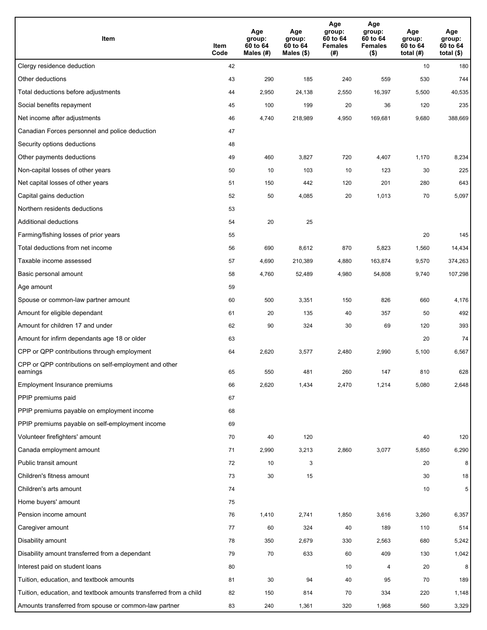| Item                                                              | Item<br>Code | Age<br>group:<br>60 to 64<br>Males (#) | Age<br>group:<br>60 to 64<br>Males (\$) | Age<br>group:<br>60 to 64<br><b>Females</b><br>(#) | Age<br>group:<br>60 to 64<br><b>Females</b><br>$($ \$) | Age<br>group:<br>60 to 64<br>total $(H)$ | Age<br>group:<br>60 to 64<br>total $($)$ |
|-------------------------------------------------------------------|--------------|----------------------------------------|-----------------------------------------|----------------------------------------------------|--------------------------------------------------------|------------------------------------------|------------------------------------------|
| Clergy residence deduction                                        | 42           |                                        |                                         |                                                    |                                                        | 10                                       | 180                                      |
| Other deductions                                                  | 43           | 290                                    | 185                                     | 240                                                | 559                                                    | 530                                      | 744                                      |
| Total deductions before adjustments                               | 44           | 2,950                                  | 24,138                                  | 2,550                                              | 16,397                                                 | 5,500                                    | 40,535                                   |
| Social benefits repayment                                         | 45           | 100                                    | 199                                     | 20                                                 | 36                                                     | 120                                      | 235                                      |
| Net income after adjustments                                      | 46           | 4,740                                  | 218,989                                 | 4,950                                              | 169,681                                                | 9,680                                    | 388,669                                  |
| Canadian Forces personnel and police deduction                    | 47           |                                        |                                         |                                                    |                                                        |                                          |                                          |
| Security options deductions                                       | 48           |                                        |                                         |                                                    |                                                        |                                          |                                          |
| Other payments deductions                                         | 49           | 460                                    | 3,827                                   | 720                                                | 4,407                                                  | 1,170                                    | 8,234                                    |
| Non-capital losses of other years                                 | 50           | 10                                     | 103                                     | 10                                                 | 123                                                    | 30                                       | 225                                      |
| Net capital losses of other years                                 | 51           | 150                                    | 442                                     | 120                                                | 201                                                    | 280                                      | 643                                      |
| Capital gains deduction                                           | 52           | 50                                     | 4,085                                   | 20                                                 | 1,013                                                  | 70                                       | 5,097                                    |
| Northern residents deductions                                     | 53           |                                        |                                         |                                                    |                                                        |                                          |                                          |
| Additional deductions                                             | 54           | 20                                     | 25                                      |                                                    |                                                        |                                          |                                          |
| Farming/fishing losses of prior years                             | 55           |                                        |                                         |                                                    |                                                        | 20                                       | 145                                      |
| Total deductions from net income                                  | 56           | 690                                    | 8,612                                   | 870                                                | 5,823                                                  | 1,560                                    | 14,434                                   |
| Taxable income assessed                                           | 57           | 4,690                                  | 210,389                                 | 4,880                                              | 163,874                                                | 9,570                                    | 374,263                                  |
| Basic personal amount                                             | 58           | 4,760                                  | 52,489                                  | 4,980                                              | 54,808                                                 | 9,740                                    | 107,298                                  |
| Age amount                                                        | 59           |                                        |                                         |                                                    |                                                        |                                          |                                          |
| Spouse or common-law partner amount                               | 60           | 500                                    | 3,351                                   | 150                                                | 826                                                    | 660                                      | 4,176                                    |
| Amount for eligible dependant                                     | 61           | 20                                     | 135                                     | 40                                                 | 357                                                    | 50                                       | 492                                      |
| Amount for children 17 and under                                  | 62           | 90                                     | 324                                     | 30                                                 | 69                                                     | 120                                      | 393                                      |
| Amount for infirm dependants age 18 or older                      | 63           |                                        |                                         |                                                    |                                                        | 20                                       | 74                                       |
| CPP or QPP contributions through employment                       | 64           | 2,620                                  | 3,577                                   | 2,480                                              | 2,990                                                  | 5,100                                    | 6,567                                    |
| CPP or QPP contributions on self-employment and other<br>earnings | 65           | 550                                    | 481                                     | 260                                                | 147                                                    | 810                                      | 628                                      |
| Employment Insurance premiums                                     | 66           | 2,620                                  | 1,434                                   | 2,470                                              | 1,214                                                  | 5,080                                    | 2,648                                    |
| PPIP premiums paid                                                | 67           |                                        |                                         |                                                    |                                                        |                                          |                                          |
| PPIP premiums payable on employment income                        | 68           |                                        |                                         |                                                    |                                                        |                                          |                                          |
| PPIP premiums payable on self-employment income                   | 69           |                                        |                                         |                                                    |                                                        |                                          |                                          |
| Volunteer firefighters' amount                                    | 70           | 40                                     | 120                                     |                                                    |                                                        | 40                                       | 120                                      |
| Canada employment amount                                          | 71           | 2,990                                  | 3,213                                   | 2,860                                              | 3,077                                                  | 5,850                                    | 6,290                                    |
| Public transit amount                                             | 72           | 10                                     | 3                                       |                                                    |                                                        | 20                                       | 8                                        |
| Children's fitness amount                                         | 73           | 30                                     | 15                                      |                                                    |                                                        | 30                                       | 18                                       |
| Children's arts amount                                            | 74           |                                        |                                         |                                                    |                                                        | 10                                       | 5                                        |
| Home buyers' amount                                               | 75           |                                        |                                         |                                                    |                                                        |                                          |                                          |
| Pension income amount                                             | 76           | 1,410                                  | 2,741                                   | 1,850                                              | 3,616                                                  | 3,260                                    | 6,357                                    |
| Caregiver amount                                                  | 77           | 60                                     | 324                                     | 40                                                 | 189                                                    | 110                                      | 514                                      |
| Disability amount                                                 | 78           | 350                                    | 2,679                                   | 330                                                | 2,563                                                  | 680                                      | 5,242                                    |
| Disability amount transferred from a dependant                    | 79           | 70                                     | 633                                     | 60                                                 | 409                                                    | 130                                      | 1,042                                    |
| Interest paid on student loans                                    | 80           |                                        |                                         | 10                                                 | 4                                                      | 20                                       | 8                                        |
| Tuition, education, and textbook amounts                          | 81           | 30                                     | 94                                      | 40                                                 | 95                                                     | 70                                       | 189                                      |
| Tuition, education, and textbook amounts transferred from a child | 82           | 150                                    | 814                                     | 70                                                 | 334                                                    | 220                                      | 1,148                                    |
| Amounts transferred from spouse or common-law partner             | 83           | 240                                    | 1,361                                   | 320                                                | 1,968                                                  | 560                                      | 3,329                                    |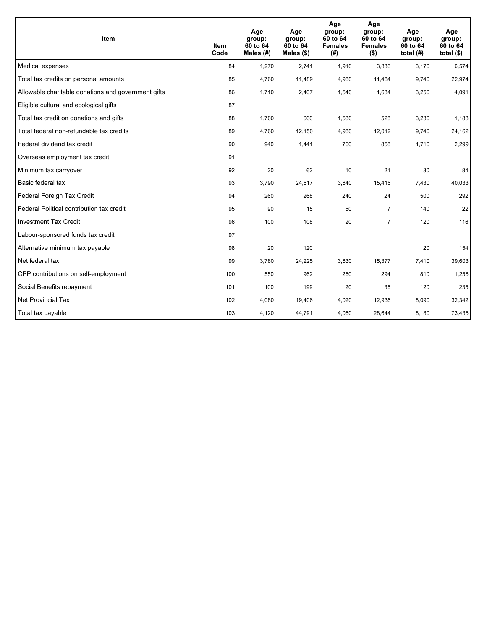| <b>Item</b>                                         | Item<br>Code | Age<br>group:<br>60 to 64<br>Males $(H)$ | Age<br>group:<br>60 to 64<br>Males $(\$)$ | Age<br>group:<br>60 to 64<br><b>Females</b><br>(#) | Age<br>group:<br>60 to 64<br><b>Females</b><br>$($ \$) | Age<br>group:<br>60 to 64<br>total $(H)$ | Age<br>group:<br>60 to 64<br>total $($)$ |
|-----------------------------------------------------|--------------|------------------------------------------|-------------------------------------------|----------------------------------------------------|--------------------------------------------------------|------------------------------------------|------------------------------------------|
| Medical expenses                                    | 84           | 1,270                                    | 2,741                                     | 1,910                                              | 3,833                                                  | 3,170                                    | 6,574                                    |
| Total tax credits on personal amounts               | 85           | 4,760                                    | 11,489                                    | 4,980                                              | 11,484                                                 | 9,740                                    | 22,974                                   |
| Allowable charitable donations and government gifts | 86           | 1,710                                    | 2,407                                     | 1,540                                              | 1,684                                                  | 3,250                                    | 4,091                                    |
| Eligible cultural and ecological gifts              | 87           |                                          |                                           |                                                    |                                                        |                                          |                                          |
| Total tax credit on donations and gifts             | 88           | 1,700                                    | 660                                       | 1,530                                              | 528                                                    | 3,230                                    | 1,188                                    |
| Total federal non-refundable tax credits            | 89           | 4,760                                    | 12,150                                    | 4,980                                              | 12,012                                                 | 9,740                                    | 24,162                                   |
| Federal dividend tax credit                         | 90           | 940                                      | 1,441                                     | 760                                                | 858                                                    | 1,710                                    | 2,299                                    |
| Overseas employment tax credit                      | 91           |                                          |                                           |                                                    |                                                        |                                          |                                          |
| Minimum tax carryover                               | 92           | 20                                       | 62                                        | 10                                                 | 21                                                     | 30                                       | 84                                       |
| Basic federal tax                                   | 93           | 3,790                                    | 24,617                                    | 3.640                                              | 15,416                                                 | 7,430                                    | 40,033                                   |
| Federal Foreign Tax Credit                          | 94           | 260                                      | 268                                       | 240                                                | 24                                                     | 500                                      | 292                                      |
| Federal Political contribution tax credit           | 95           | 90                                       | 15                                        | 50                                                 | $\overline{7}$                                         | 140                                      | 22                                       |
| <b>Investment Tax Credit</b>                        | 96           | 100                                      | 108                                       | 20                                                 | $\overline{7}$                                         | 120                                      | 116                                      |
| Labour-sponsored funds tax credit                   | 97           |                                          |                                           |                                                    |                                                        |                                          |                                          |
| Alternative minimum tax payable                     | 98           | 20                                       | 120                                       |                                                    |                                                        | 20                                       | 154                                      |
| Net federal tax                                     | 99           | 3,780                                    | 24,225                                    | 3,630                                              | 15,377                                                 | 7,410                                    | 39,603                                   |
| CPP contributions on self-employment                | 100          | 550                                      | 962                                       | 260                                                | 294                                                    | 810                                      | 1,256                                    |
| Social Benefits repayment                           | 101          | 100                                      | 199                                       | 20                                                 | 36                                                     | 120                                      | 235                                      |
| <b>Net Provincial Tax</b>                           | 102          | 4,080                                    | 19,406                                    | 4,020                                              | 12,936                                                 | 8,090                                    | 32,342                                   |
| Total tax payable                                   | 103          | 4,120                                    | 44,791                                    | 4,060                                              | 28,644                                                 | 8,180                                    | 73,435                                   |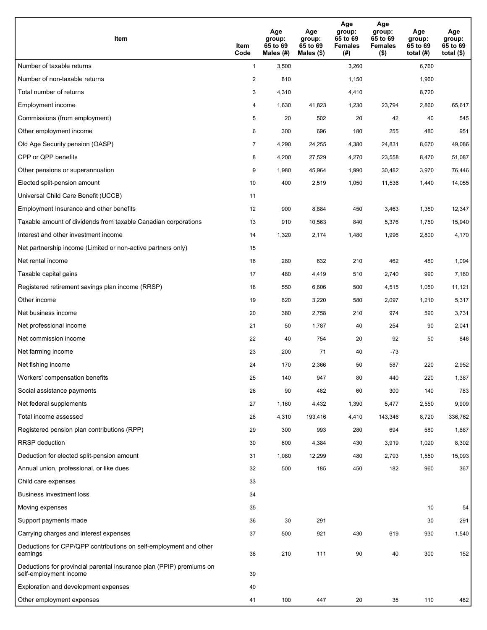| <b>Item</b>                                                                                    | Item<br>Code            | Age<br>group:<br>65 to 69<br>Males (#) | Age<br>group:<br>65 to 69<br>Males $(\$)$ | Age<br>group:<br>65 to 69<br><b>Females</b><br>(#) | Age<br>group:<br>65 to 69<br><b>Females</b><br>$($ \$) | Age<br>group:<br>65 to 69<br>total $(H)$ | Age<br>group:<br>65 to 69<br>total $($)$ |
|------------------------------------------------------------------------------------------------|-------------------------|----------------------------------------|-------------------------------------------|----------------------------------------------------|--------------------------------------------------------|------------------------------------------|------------------------------------------|
| Number of taxable returns                                                                      | $\mathbf{1}$            | 3,500                                  |                                           | 3,260                                              |                                                        | 6,760                                    |                                          |
| Number of non-taxable returns                                                                  | $\overline{\mathbf{c}}$ | 810                                    |                                           | 1,150                                              |                                                        | 1,960                                    |                                          |
| Total number of returns                                                                        | 3                       | 4,310                                  |                                           | 4,410                                              |                                                        | 8,720                                    |                                          |
| Employment income                                                                              | 4                       | 1,630                                  | 41,823                                    | 1,230                                              | 23,794                                                 | 2,860                                    | 65,617                                   |
| Commissions (from employment)                                                                  | 5                       | 20                                     | 502                                       | 20                                                 | 42                                                     | 40                                       | 545                                      |
| Other employment income                                                                        | 6                       | 300                                    | 696                                       | 180                                                | 255                                                    | 480                                      | 951                                      |
| Old Age Security pension (OASP)                                                                | $\overline{7}$          | 4,290                                  | 24,255                                    | 4,380                                              | 24,831                                                 | 8,670                                    | 49,086                                   |
| CPP or QPP benefits                                                                            | 8                       | 4,200                                  | 27,529                                    | 4,270                                              | 23,558                                                 | 8,470                                    | 51,087                                   |
| Other pensions or superannuation                                                               | 9                       | 1,980                                  | 45,964                                    | 1,990                                              | 30,482                                                 | 3,970                                    | 76,446                                   |
| Elected split-pension amount                                                                   | 10                      | 400                                    | 2,519                                     | 1,050                                              | 11,536                                                 | 1,440                                    | 14,055                                   |
| Universal Child Care Benefit (UCCB)                                                            | 11                      |                                        |                                           |                                                    |                                                        |                                          |                                          |
| Employment Insurance and other benefits                                                        | 12                      | 900                                    | 8,884                                     | 450                                                | 3,463                                                  | 1,350                                    | 12,347                                   |
| Taxable amount of dividends from taxable Canadian corporations                                 | 13                      | 910                                    | 10,563                                    | 840                                                | 5,376                                                  | 1,750                                    | 15,940                                   |
| Interest and other investment income                                                           | 14                      | 1,320                                  | 2,174                                     | 1,480                                              | 1,996                                                  | 2,800                                    | 4,170                                    |
| Net partnership income (Limited or non-active partners only)                                   | 15                      |                                        |                                           |                                                    |                                                        |                                          |                                          |
| Net rental income                                                                              | 16                      | 280                                    | 632                                       | 210                                                | 462                                                    | 480                                      | 1,094                                    |
| Taxable capital gains                                                                          | 17                      | 480                                    | 4,419                                     | 510                                                | 2,740                                                  | 990                                      | 7,160                                    |
| Registered retirement savings plan income (RRSP)                                               | 18                      | 550                                    | 6,606                                     | 500                                                | 4,515                                                  | 1,050                                    | 11,121                                   |
| Other income                                                                                   | 19                      | 620                                    | 3,220                                     | 580                                                | 2,097                                                  | 1,210                                    | 5,317                                    |
| Net business income                                                                            | 20                      | 380                                    | 2,758                                     | 210                                                | 974                                                    | 590                                      | 3,731                                    |
| Net professional income                                                                        | 21                      | 50                                     | 1,787                                     | 40                                                 | 254                                                    | 90                                       | 2,041                                    |
| Net commission income                                                                          | 22                      | 40                                     | 754                                       | 20                                                 | 92                                                     | 50                                       | 846                                      |
| Net farming income                                                                             | 23                      | 200                                    | 71                                        | 40                                                 | -73                                                    |                                          |                                          |
| Net fishing income                                                                             | 24                      | 170                                    | 2,366                                     | 50                                                 | 587                                                    | 220                                      | 2,952                                    |
| Workers' compensation benefits                                                                 | 25                      | 140                                    | 947                                       | 80                                                 | 440                                                    | 220                                      | 1,387                                    |
| Social assistance payments                                                                     | 26                      | 90                                     | 482                                       | 60                                                 | 300                                                    | 140                                      | 783                                      |
| Net federal supplements                                                                        | 27                      | 1,160                                  | 4,432                                     | 1,390                                              | 5,477                                                  | 2,550                                    | 9,909                                    |
| Total income assessed                                                                          | 28                      | 4,310                                  | 193,416                                   | 4,410                                              | 143,346                                                | 8,720                                    | 336,762                                  |
| Registered pension plan contributions (RPP)                                                    | 29                      | 300                                    | 993                                       | 280                                                | 694                                                    | 580                                      | 1,687                                    |
| RRSP deduction                                                                                 | 30                      | 600                                    | 4,384                                     | 430                                                | 3,919                                                  | 1,020                                    | 8,302                                    |
| Deduction for elected split-pension amount                                                     | 31                      | 1,080                                  | 12,299                                    | 480                                                | 2,793                                                  | 1,550                                    | 15,093                                   |
| Annual union, professional, or like dues                                                       | 32                      | 500                                    | 185                                       | 450                                                | 182                                                    | 960                                      | 367                                      |
| Child care expenses                                                                            | 33                      |                                        |                                           |                                                    |                                                        |                                          |                                          |
| <b>Business investment loss</b>                                                                | 34                      |                                        |                                           |                                                    |                                                        |                                          |                                          |
| Moving expenses                                                                                | 35                      |                                        |                                           |                                                    |                                                        | 10                                       | 54                                       |
| Support payments made                                                                          | 36                      | 30                                     | 291                                       |                                                    |                                                        | 30                                       | 291                                      |
| Carrying charges and interest expenses                                                         | 37                      | 500                                    | 921                                       | 430                                                | 619                                                    | 930                                      | 1,540                                    |
| Deductions for CPP/QPP contributions on self-employment and other<br>earnings                  | 38                      | 210                                    | 111                                       | 90                                                 | 40                                                     | 300                                      | 152                                      |
| Deductions for provincial parental insurance plan (PPIP) premiums on<br>self-employment income | 39                      |                                        |                                           |                                                    |                                                        |                                          |                                          |
| Exploration and development expenses                                                           | 40                      |                                        |                                           |                                                    |                                                        |                                          |                                          |
| Other employment expenses                                                                      | 41                      | 100                                    | 447                                       | 20                                                 | 35                                                     | 110                                      | 482                                      |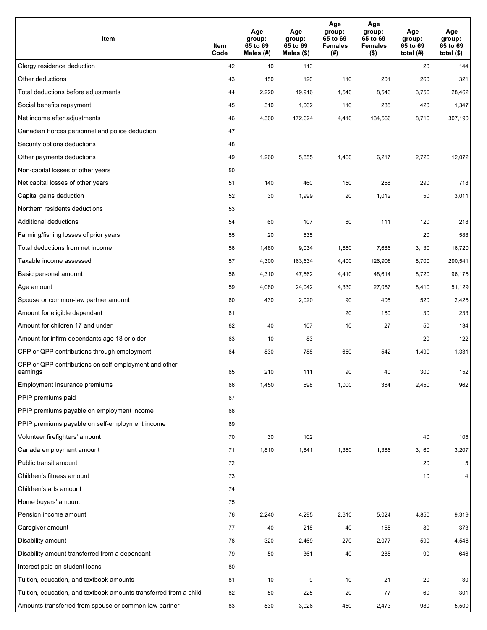| Item                                                              | Item<br>Code | Age<br>group:<br>65 to 69<br>Males (#) | Age<br>group:<br>65 to 69<br>Males (\$) | Age<br>group:<br>65 to 69<br><b>Females</b><br>(# ) | Age<br>group:<br>65 to 69<br>Females<br>$($ \$) | Age<br>group:<br>65 to 69<br>total $(#)$ | Age<br>group:<br>65 to 69<br>total $($)$ |
|-------------------------------------------------------------------|--------------|----------------------------------------|-----------------------------------------|-----------------------------------------------------|-------------------------------------------------|------------------------------------------|------------------------------------------|
| Clergy residence deduction                                        | 42           | 10                                     | 113                                     |                                                     |                                                 | 20                                       | 144                                      |
| Other deductions                                                  | 43           | 150                                    | 120                                     | 110                                                 | 201                                             | 260                                      | 321                                      |
| Total deductions before adjustments                               | 44           | 2,220                                  | 19,916                                  | 1,540                                               | 8,546                                           | 3,750                                    | 28,462                                   |
| Social benefits repayment                                         | 45           | 310                                    | 1,062                                   | 110                                                 | 285                                             | 420                                      | 1,347                                    |
| Net income after adjustments                                      | 46           | 4,300                                  | 172,624                                 | 4,410                                               | 134,566                                         | 8,710                                    | 307,190                                  |
| Canadian Forces personnel and police deduction                    | 47           |                                        |                                         |                                                     |                                                 |                                          |                                          |
| Security options deductions                                       | 48           |                                        |                                         |                                                     |                                                 |                                          |                                          |
| Other payments deductions                                         | 49           | 1,260                                  | 5,855                                   | 1,460                                               | 6,217                                           | 2,720                                    | 12,072                                   |
| Non-capital losses of other years                                 | 50           |                                        |                                         |                                                     |                                                 |                                          |                                          |
| Net capital losses of other years                                 | 51           | 140                                    | 460                                     | 150                                                 | 258                                             | 290                                      | 718                                      |
| Capital gains deduction                                           | 52           | 30                                     | 1,999                                   | 20                                                  | 1,012                                           | 50                                       | 3,011                                    |
| Northern residents deductions                                     | 53           |                                        |                                         |                                                     |                                                 |                                          |                                          |
| Additional deductions                                             | 54           | 60                                     | 107                                     | 60                                                  | 111                                             | 120                                      | 218                                      |
| Farming/fishing losses of prior years                             | 55           | 20                                     | 535                                     |                                                     |                                                 | 20                                       | 588                                      |
| Total deductions from net income                                  | 56           | 1,480                                  | 9,034                                   | 1,650                                               | 7,686                                           | 3,130                                    | 16,720                                   |
| Taxable income assessed                                           | 57           | 4,300                                  | 163,634                                 | 4,400                                               | 126,908                                         | 8,700                                    | 290,541                                  |
| Basic personal amount                                             | 58           | 4,310                                  | 47,562                                  | 4,410                                               | 48,614                                          | 8,720                                    | 96,175                                   |
| Age amount                                                        | 59           | 4,080                                  | 24,042                                  | 4,330                                               | 27,087                                          | 8,410                                    | 51,129                                   |
| Spouse or common-law partner amount                               | 60           | 430                                    | 2,020                                   | 90                                                  | 405                                             | 520                                      | 2,425                                    |
| Amount for eligible dependant                                     | 61           |                                        |                                         | 20                                                  | 160                                             | 30                                       | 233                                      |
| Amount for children 17 and under                                  | 62           | 40                                     | 107                                     | 10                                                  | 27                                              | 50                                       | 134                                      |
| Amount for infirm dependants age 18 or older                      | 63           | 10                                     | 83                                      |                                                     |                                                 | 20                                       | 122                                      |
| CPP or QPP contributions through employment                       | 64           | 830                                    | 788                                     | 660                                                 | 542                                             | 1,490                                    | 1,331                                    |
| CPP or QPP contributions on self-employment and other<br>earnings | 65           | 210                                    | 111                                     | 90                                                  | 40                                              | 300                                      | 152                                      |
| Employment Insurance premiums                                     | 66           | 1,450                                  | 598                                     | 1,000                                               | 364                                             | 2,450                                    | 962                                      |
| PPIP premiums paid                                                | 67           |                                        |                                         |                                                     |                                                 |                                          |                                          |
| PPIP premiums payable on employment income                        | 68           |                                        |                                         |                                                     |                                                 |                                          |                                          |
| PPIP premiums payable on self-employment income                   | 69           |                                        |                                         |                                                     |                                                 |                                          |                                          |
| Volunteer firefighters' amount                                    | 70           | 30                                     | 102                                     |                                                     |                                                 | 40                                       | 105                                      |
| Canada employment amount                                          | 71           | 1,810                                  | 1,841                                   | 1,350                                               | 1,366                                           | 3,160                                    | 3,207                                    |
| Public transit amount                                             | 72           |                                        |                                         |                                                     |                                                 | 20                                       | 5                                        |
| Children's fitness amount                                         | 73           |                                        |                                         |                                                     |                                                 | 10                                       | $\overline{4}$                           |
| Children's arts amount                                            | 74           |                                        |                                         |                                                     |                                                 |                                          |                                          |
| Home buyers' amount                                               | 75           |                                        |                                         |                                                     |                                                 |                                          |                                          |
| Pension income amount                                             | 76           | 2,240                                  | 4,295                                   | 2,610                                               | 5,024                                           | 4,850                                    | 9,319                                    |
| Caregiver amount                                                  | 77           | 40                                     | 218                                     | 40                                                  | 155                                             | 80                                       | 373                                      |
| Disability amount                                                 | 78           | 320                                    | 2,469                                   | 270                                                 | 2,077                                           | 590                                      | 4,546                                    |
| Disability amount transferred from a dependant                    | 79           | 50                                     | 361                                     | 40                                                  | 285                                             | 90                                       | 646                                      |
| Interest paid on student loans                                    | 80           |                                        |                                         |                                                     |                                                 |                                          |                                          |
| Tuition, education, and textbook amounts                          | 81           | 10                                     | 9                                       | 10                                                  | 21                                              | 20                                       | 30                                       |
| Tuition, education, and textbook amounts transferred from a child | 82           | 50                                     | 225                                     | 20                                                  | 77                                              | 60                                       | 301                                      |
| Amounts transferred from spouse or common-law partner             | 83           | 530                                    | 3,026                                   | 450                                                 | 2,473                                           | 980                                      | 5,500                                    |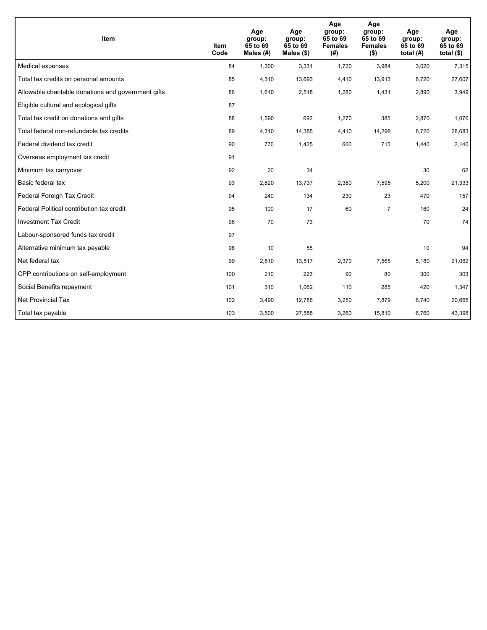| <b>Item</b>                                         | <b>Item</b><br>Code | Age<br>group:<br>65 to 69<br>Males $(H)$ | Age<br>group:<br>65 to 69<br>Males $(\$)$ | Age<br>group:<br>65 to 69<br><b>Females</b><br>(#) | Age<br>group:<br>65 to 69<br><b>Females</b><br>$($ \$) | Age<br>group:<br>65 to 69<br>total $(H)$ | Age<br>group:<br>65 to 69<br>total $($)$ |
|-----------------------------------------------------|---------------------|------------------------------------------|-------------------------------------------|----------------------------------------------------|--------------------------------------------------------|------------------------------------------|------------------------------------------|
| Medical expenses                                    | 84                  | 1,300                                    | 3,331                                     | 1.720                                              | 3,984                                                  | 3,020                                    | 7,315                                    |
| Total tax credits on personal amounts               | 85                  | 4,310                                    | 13,693                                    | 4,410                                              | 13,913                                                 | 8,720                                    | 27,607                                   |
| Allowable charitable donations and government gifts | 86                  | 1,610                                    | 2,518                                     | 1,280                                              | 1,431                                                  | 2,890                                    | 3,949                                    |
| Eligible cultural and ecological gifts              | 87                  |                                          |                                           |                                                    |                                                        |                                          |                                          |
| Total tax credit on donations and gifts             | 88                  | 1,590                                    | 692                                       | 1,270                                              | 385                                                    | 2,870                                    | 1,076                                    |
| Total federal non-refundable tax credits            | 89                  | 4,310                                    | 14,385                                    | 4,410                                              | 14,298                                                 | 8,720                                    | 28,683                                   |
| Federal dividend tax credit                         | 90                  | 770                                      | 1,425                                     | 660                                                | 715                                                    | 1,440                                    | 2,140                                    |
| Overseas employment tax credit                      | 91                  |                                          |                                           |                                                    |                                                        |                                          |                                          |
| Minimum tax carryover                               | 92                  | 20                                       | 34                                        |                                                    |                                                        | 30                                       | 62                                       |
| Basic federal tax                                   | 93                  | 2,820                                    | 13,737                                    | 2,380                                              | 7,595                                                  | 5,200                                    | 21,333                                   |
| Federal Foreign Tax Credit                          | 94                  | 240                                      | 134                                       | 230                                                | 23                                                     | 470                                      | 157                                      |
| Federal Political contribution tax credit           | 95                  | 100                                      | 17                                        | 60                                                 | $\overline{7}$                                         | 160                                      | 24                                       |
| <b>Investment Tax Credit</b>                        | 96                  | 70                                       | 73                                        |                                                    |                                                        | 70                                       | 74                                       |
| Labour-sponsored funds tax credit                   | 97                  |                                          |                                           |                                                    |                                                        |                                          |                                          |
| Alternative minimum tax payable                     | 98                  | 10                                       | 55                                        |                                                    |                                                        | 10                                       | 94                                       |
| Net federal tax                                     | 99                  | 2,810                                    | 13,517                                    | 2,370                                              | 7,565                                                  | 5,180                                    | 21,082                                   |
| CPP contributions on self-employment                | 100                 | 210                                      | 223                                       | 90                                                 | 80                                                     | 300                                      | 303                                      |
| Social Benefits repayment                           | 101                 | 310                                      | 1,062                                     | 110                                                | 285                                                    | 420                                      | 1,347                                    |
| Net Provincial Tax                                  | 102                 | 3,490                                    | 12,786                                    | 3,250                                              | 7,879                                                  | 6,740                                    | 20,665                                   |
| Total tax payable                                   | 103                 | 3,500                                    | 27,588                                    | 3,260                                              | 15,810                                                 | 6,760                                    | 43,398                                   |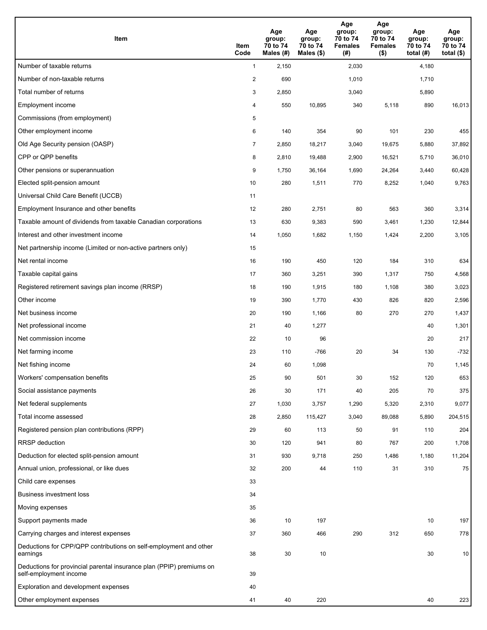| Item                                                                                           | Item<br>Code   | Age<br>group:<br>70 to 74<br>Males (#) | Age<br>group:<br>70 to 74<br>Males $(\$)$ | Age<br>group:<br>70 to 74<br><b>Females</b><br>(#) | Age<br>group:<br>70 to 74<br><b>Females</b><br>$($ \$) | Age<br>group:<br>70 to 74<br>total $(H)$ | Age<br>group:<br>70 to 74<br>total $($ |
|------------------------------------------------------------------------------------------------|----------------|----------------------------------------|-------------------------------------------|----------------------------------------------------|--------------------------------------------------------|------------------------------------------|----------------------------------------|
| Number of taxable returns                                                                      | $\mathbf{1}$   | 2,150                                  |                                           | 2,030                                              |                                                        | 4,180                                    |                                        |
| Number of non-taxable returns                                                                  | $\overline{2}$ | 690                                    |                                           | 1,010                                              |                                                        | 1,710                                    |                                        |
| Total number of returns                                                                        | 3              | 2,850                                  |                                           | 3,040                                              |                                                        | 5,890                                    |                                        |
| Employment income                                                                              | 4              | 550                                    | 10,895                                    | 340                                                | 5,118                                                  | 890                                      | 16,013                                 |
| Commissions (from employment)                                                                  | 5              |                                        |                                           |                                                    |                                                        |                                          |                                        |
| Other employment income                                                                        | 6              | 140                                    | 354                                       | 90                                                 | 101                                                    | 230                                      | 455                                    |
| Old Age Security pension (OASP)                                                                | $\overline{7}$ | 2,850                                  | 18,217                                    | 3,040                                              | 19,675                                                 | 5,880                                    | 37,892                                 |
| CPP or QPP benefits                                                                            | 8              | 2,810                                  | 19,488                                    | 2,900                                              | 16,521                                                 | 5,710                                    | 36,010                                 |
| Other pensions or superannuation                                                               | 9              | 1,750                                  | 36,164                                    | 1,690                                              | 24,264                                                 | 3,440                                    | 60,428                                 |
| Elected split-pension amount                                                                   | 10             | 280                                    | 1,511                                     | 770                                                | 8,252                                                  | 1,040                                    | 9,763                                  |
| Universal Child Care Benefit (UCCB)                                                            | 11             |                                        |                                           |                                                    |                                                        |                                          |                                        |
| Employment Insurance and other benefits                                                        | 12             | 280                                    | 2,751                                     | 80                                                 | 563                                                    | 360                                      | 3,314                                  |
| Taxable amount of dividends from taxable Canadian corporations                                 | 13             | 630                                    | 9,383                                     | 590                                                | 3,461                                                  | 1,230                                    | 12,844                                 |
| Interest and other investment income                                                           | 14             | 1,050                                  | 1,682                                     | 1,150                                              | 1,424                                                  | 2,200                                    | 3,105                                  |
| Net partnership income (Limited or non-active partners only)                                   | 15             |                                        |                                           |                                                    |                                                        |                                          |                                        |
| Net rental income                                                                              | 16             | 190                                    | 450                                       | 120                                                | 184                                                    | 310                                      | 634                                    |
| Taxable capital gains                                                                          | 17             | 360                                    | 3,251                                     | 390                                                | 1,317                                                  | 750                                      | 4,568                                  |
| Registered retirement savings plan income (RRSP)                                               | 18             | 190                                    | 1,915                                     | 180                                                | 1,108                                                  | 380                                      | 3,023                                  |
| Other income                                                                                   | 19             | 390                                    | 1,770                                     | 430                                                | 826                                                    | 820                                      | 2,596                                  |
| Net business income                                                                            | 20             | 190                                    | 1,166                                     | 80                                                 | 270                                                    | 270                                      | 1,437                                  |
| Net professional income                                                                        | 21             | 40                                     | 1,277                                     |                                                    |                                                        | 40                                       | 1,301                                  |
| Net commission income                                                                          | 22             | 10                                     | 96                                        |                                                    |                                                        | 20                                       | 217                                    |
| Net farming income                                                                             | 23             | 110                                    | $-766$                                    | 20                                                 | 34                                                     | 130                                      | $-732$                                 |
| Net fishing income                                                                             | 24             | 60                                     | 1,098                                     |                                                    |                                                        | 70                                       | 1,145                                  |
| Workers' compensation benefits                                                                 | 25             | 90                                     | 501                                       | 30                                                 | 152                                                    | 120                                      | 653                                    |
| Social assistance payments                                                                     | 26             | 30                                     | 171                                       | 40                                                 | 205                                                    | 70                                       | 375                                    |
| Net federal supplements                                                                        | 27             | 1,030                                  | 3,757                                     | 1,290                                              | 5,320                                                  | 2,310                                    | 9,077                                  |
| Total income assessed                                                                          | 28             | 2,850                                  | 115,427                                   | 3,040                                              | 89,088                                                 | 5,890                                    | 204,515                                |
| Registered pension plan contributions (RPP)                                                    | 29             | 60                                     | 113                                       | 50                                                 | 91                                                     | 110                                      | 204                                    |
| <b>RRSP</b> deduction                                                                          | 30             | 120                                    | 941                                       | 80                                                 | 767                                                    | 200                                      | 1,708                                  |
| Deduction for elected split-pension amount                                                     | 31             | 930                                    | 9,718                                     | 250                                                | 1,486                                                  | 1,180                                    | 11,204                                 |
| Annual union, professional, or like dues                                                       | 32             | 200                                    | 44                                        | 110                                                | 31                                                     | 310                                      | 75                                     |
| Child care expenses                                                                            | 33             |                                        |                                           |                                                    |                                                        |                                          |                                        |
| <b>Business investment loss</b>                                                                | 34             |                                        |                                           |                                                    |                                                        |                                          |                                        |
| Moving expenses                                                                                | 35             |                                        |                                           |                                                    |                                                        |                                          |                                        |
| Support payments made                                                                          | 36             | 10                                     | 197                                       |                                                    |                                                        | 10                                       | 197                                    |
| Carrying charges and interest expenses                                                         | 37             | 360                                    | 466                                       | 290                                                | 312                                                    | 650                                      | 778                                    |
| Deductions for CPP/QPP contributions on self-employment and other<br>earnings                  | 38             | 30                                     | 10                                        |                                                    |                                                        | 30                                       | 10                                     |
| Deductions for provincial parental insurance plan (PPIP) premiums on<br>self-employment income | 39             |                                        |                                           |                                                    |                                                        |                                          |                                        |
| Exploration and development expenses                                                           | 40             |                                        |                                           |                                                    |                                                        |                                          |                                        |
| Other employment expenses                                                                      | 41             | 40                                     | 220                                       |                                                    |                                                        | 40                                       | 223                                    |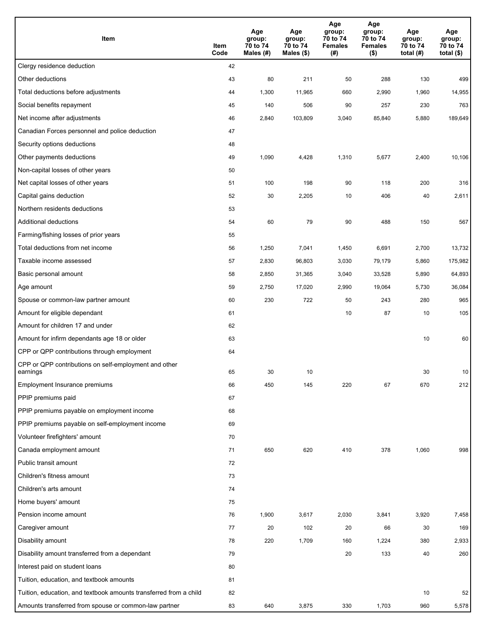| Item                                                              | Item<br>Code | Age<br>group:<br>70 to 74<br>Males (#) | Age<br>group:<br>70 to 74<br>Males (\$) | Age<br>group:<br>70 to 74<br><b>Females</b><br>(# ) | Age<br>group:<br>70 to 74<br><b>Females</b><br>$($ \$) | Age<br>group:<br>70 to 74<br>total $(H)$ | Age<br>group:<br>70 to 74<br>total $($)$ |
|-------------------------------------------------------------------|--------------|----------------------------------------|-----------------------------------------|-----------------------------------------------------|--------------------------------------------------------|------------------------------------------|------------------------------------------|
| Clergy residence deduction                                        | 42           |                                        |                                         |                                                     |                                                        |                                          |                                          |
| Other deductions                                                  | 43           | 80                                     | 211                                     | 50                                                  | 288                                                    | 130                                      | 499                                      |
| Total deductions before adjustments                               | 44           | 1,300                                  | 11,965                                  | 660                                                 | 2,990                                                  | 1,960                                    | 14,955                                   |
| Social benefits repayment                                         | 45           | 140                                    | 506                                     | 90                                                  | 257                                                    | 230                                      | 763                                      |
| Net income after adjustments                                      | 46           | 2,840                                  | 103,809                                 | 3,040                                               | 85,840                                                 | 5,880                                    | 189,649                                  |
| Canadian Forces personnel and police deduction                    | 47           |                                        |                                         |                                                     |                                                        |                                          |                                          |
| Security options deductions                                       | 48           |                                        |                                         |                                                     |                                                        |                                          |                                          |
| Other payments deductions                                         | 49           | 1,090                                  | 4,428                                   | 1,310                                               | 5,677                                                  | 2,400                                    | 10,106                                   |
| Non-capital losses of other years                                 | 50           |                                        |                                         |                                                     |                                                        |                                          |                                          |
| Net capital losses of other years                                 | 51           | 100                                    | 198                                     | 90                                                  | 118                                                    | 200                                      | 316                                      |
| Capital gains deduction                                           | 52           | 30                                     | 2,205                                   | 10                                                  | 406                                                    | 40                                       | 2,611                                    |
| Northern residents deductions                                     | 53           |                                        |                                         |                                                     |                                                        |                                          |                                          |
| Additional deductions                                             | 54           | 60                                     | 79                                      | 90                                                  | 488                                                    | 150                                      | 567                                      |
| Farming/fishing losses of prior years                             | 55           |                                        |                                         |                                                     |                                                        |                                          |                                          |
| Total deductions from net income                                  | 56           | 1,250                                  | 7,041                                   | 1,450                                               | 6,691                                                  | 2,700                                    | 13,732                                   |
| Taxable income assessed                                           | 57           | 2,830                                  | 96,803                                  | 3,030                                               | 79,179                                                 | 5,860                                    | 175,982                                  |
| Basic personal amount                                             | 58           | 2,850                                  | 31,365                                  | 3,040                                               | 33,528                                                 | 5,890                                    | 64,893                                   |
| Age amount                                                        | 59           | 2,750                                  | 17,020                                  | 2,990                                               | 19,064                                                 | 5,730                                    | 36,084                                   |
| Spouse or common-law partner amount                               | 60           | 230                                    | 722                                     | 50                                                  | 243                                                    | 280                                      | 965                                      |
| Amount for eligible dependant                                     | 61           |                                        |                                         | 10                                                  | 87                                                     | 10                                       | 105                                      |
| Amount for children 17 and under                                  | 62           |                                        |                                         |                                                     |                                                        |                                          |                                          |
| Amount for infirm dependants age 18 or older                      | 63           |                                        |                                         |                                                     |                                                        | 10                                       | 60                                       |
| CPP or QPP contributions through employment                       | 64           |                                        |                                         |                                                     |                                                        |                                          |                                          |
| CPP or QPP contributions on self-employment and other<br>earnings | 65           | 30                                     | 10                                      |                                                     |                                                        | 30                                       | 10                                       |
| Employment Insurance premiums                                     | 66           | 450                                    | 145                                     | 220                                                 | 67                                                     | 670                                      | 212                                      |
| PPIP premiums paid                                                | 67           |                                        |                                         |                                                     |                                                        |                                          |                                          |
| PPIP premiums payable on employment income                        | 68           |                                        |                                         |                                                     |                                                        |                                          |                                          |
| PPIP premiums payable on self-employment income                   | 69           |                                        |                                         |                                                     |                                                        |                                          |                                          |
| Volunteer firefighters' amount                                    | 70           |                                        |                                         |                                                     |                                                        |                                          |                                          |
| Canada employment amount                                          | 71           | 650                                    | 620                                     | 410                                                 | 378                                                    | 1,060                                    | 998                                      |
| Public transit amount                                             | 72           |                                        |                                         |                                                     |                                                        |                                          |                                          |
| Children's fitness amount                                         | 73           |                                        |                                         |                                                     |                                                        |                                          |                                          |
| Children's arts amount                                            | 74           |                                        |                                         |                                                     |                                                        |                                          |                                          |
| Home buyers' amount                                               | 75           |                                        |                                         |                                                     |                                                        |                                          |                                          |
| Pension income amount                                             | 76           | 1,900                                  | 3,617                                   | 2,030                                               | 3,841                                                  | 3,920                                    | 7,458                                    |
| Caregiver amount                                                  | 77           | 20                                     | 102                                     | 20                                                  | 66                                                     | 30                                       | 169                                      |
| Disability amount                                                 | 78           | 220                                    | 1,709                                   | 160                                                 | 1,224                                                  | 380                                      | 2,933                                    |
| Disability amount transferred from a dependant                    | 79           |                                        |                                         | 20                                                  | 133                                                    | 40                                       | 260                                      |
| Interest paid on student loans                                    | 80           |                                        |                                         |                                                     |                                                        |                                          |                                          |
| Tuition, education, and textbook amounts                          | 81           |                                        |                                         |                                                     |                                                        |                                          |                                          |
| Tuition, education, and textbook amounts transferred from a child | 82           |                                        |                                         |                                                     |                                                        | 10                                       | 52                                       |
| Amounts transferred from spouse or common-law partner             | 83           | 640                                    | 3,875                                   | 330                                                 | 1,703                                                  | 960                                      | 5,578                                    |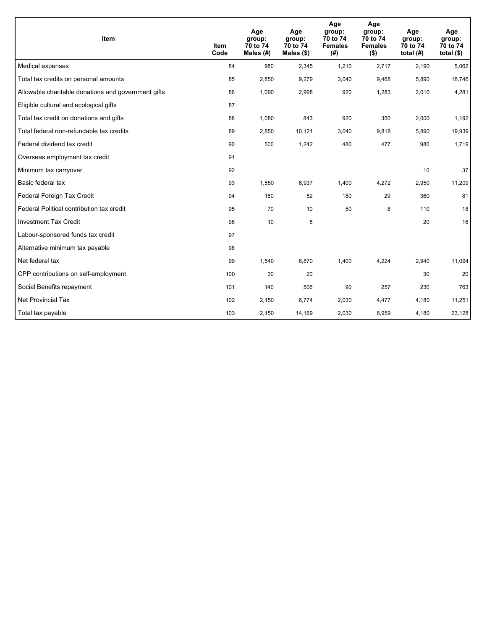| Item                                                | <b>Item</b><br>Code | Age<br>group:<br>70 to 74<br>Males (#) | Age<br>group:<br>70 to 74<br>Males $(\$)$ | Age<br>group:<br>70 to 74<br><b>Females</b><br>(#) | Age<br>group:<br>70 to 74<br><b>Females</b><br>$($ \$) | Age<br>group:<br>70 to 74<br>total $(H)$ | Age<br>group:<br>70 to 74<br>total $($)$ |
|-----------------------------------------------------|---------------------|----------------------------------------|-------------------------------------------|----------------------------------------------------|--------------------------------------------------------|------------------------------------------|------------------------------------------|
| Medical expenses                                    | 84                  | 980                                    | 2,345                                     | 1,210                                              | 2,717                                                  | 2,190                                    | 5,062                                    |
| Total tax credits on personal amounts               | 85                  | 2,850                                  | 9,279                                     | 3,040                                              | 9,468                                                  | 5,890                                    | 18,746                                   |
| Allowable charitable donations and government gifts | 86                  | 1,090                                  | 2,998                                     | 920                                                | 1,283                                                  | 2,010                                    | 4,281                                    |
| Eligible cultural and ecological gifts              | 87                  |                                        |                                           |                                                    |                                                        |                                          |                                          |
| Total tax credit on donations and gifts             | 88                  | 1,080                                  | 843                                       | 920                                                | 350                                                    | 2,000                                    | 1,192                                    |
| Total federal non-refundable tax credits            | 89                  | 2,850                                  | 10,121                                    | 3,040                                              | 9,818                                                  | 5,890                                    | 19,939                                   |
| Federal dividend tax credit                         | 90                  | 500                                    | 1,242                                     | 480                                                | 477                                                    | 980                                      | 1,719                                    |
| Overseas employment tax credit                      | 91                  |                                        |                                           |                                                    |                                                        |                                          |                                          |
| Minimum tax carryover                               | 92                  |                                        |                                           |                                                    |                                                        | 10                                       | 37                                       |
| Basic federal tax                                   | 93                  | 1,550                                  | 6,937                                     | 1,400                                              | 4,272                                                  | 2,950                                    | 11,209                                   |
| Federal Foreign Tax Credit                          | 94                  | 180                                    | 52                                        | 180                                                | 29                                                     | 360                                      | 81                                       |
| Federal Political contribution tax credit           | 95                  | 70                                     | 10                                        | 50                                                 | 8                                                      | 110                                      | 18                                       |
| <b>Investment Tax Credit</b>                        | 96                  | 10                                     | 5                                         |                                                    |                                                        | 20                                       | 16                                       |
| Labour-sponsored funds tax credit                   | 97                  |                                        |                                           |                                                    |                                                        |                                          |                                          |
| Alternative minimum tax payable                     | 98                  |                                        |                                           |                                                    |                                                        |                                          |                                          |
| Net federal tax                                     | 99                  | 1,540                                  | 6,870                                     | 1,400                                              | 4,224                                                  | 2,940                                    | 11,094                                   |
| CPP contributions on self-employment                | 100                 | 30                                     | 20                                        |                                                    |                                                        | 30                                       | 20                                       |
| Social Benefits repayment                           | 101                 | 140                                    | 506                                       | 90                                                 | 257                                                    | 230                                      | 763                                      |
| Net Provincial Tax                                  | 102                 | 2,150                                  | 6,774                                     | 2,030                                              | 4,477                                                  | 4,180                                    | 11,251                                   |
| Total tax payable                                   | 103                 | 2,150                                  | 14,169                                    | 2,030                                              | 8,959                                                  | 4,180                                    | 23,128                                   |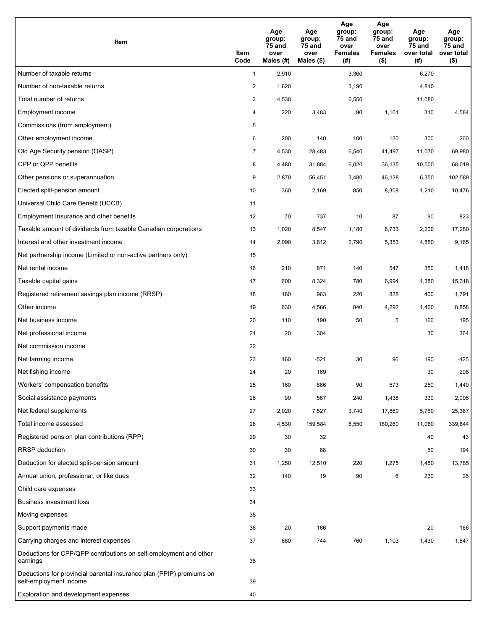| Item                                                                                           | Item<br>Code   | Age<br>group:<br>75 and<br>over<br>Males (#) | Age<br>group:<br>75 and<br>over<br>Males $($)$ | Age<br>group:<br>75 and<br>over<br><b>Females</b><br>(#) | Age<br>group:<br><b>75 and</b><br>over<br><b>Females</b><br>$($ \$) | Age<br>group:<br>75 and<br>over total<br>(#) | Age<br>group:<br>75 and<br>over total<br>$($ \$) |
|------------------------------------------------------------------------------------------------|----------------|----------------------------------------------|------------------------------------------------|----------------------------------------------------------|---------------------------------------------------------------------|----------------------------------------------|--------------------------------------------------|
| Number of taxable returns                                                                      | $\mathbf{1}$   | 2,910                                        |                                                | 3,360                                                    |                                                                     | 6,270                                        |                                                  |
| Number of non-taxable returns                                                                  | $\overline{2}$ | 1,620                                        |                                                | 3,190                                                    |                                                                     | 4,810                                        |                                                  |
| Total number of returns                                                                        | 3              | 4,530                                        |                                                | 6,550                                                    |                                                                     | 11,080                                       |                                                  |
| Employment income                                                                              | 4              | 220                                          | 3,483                                          | 90                                                       | 1,101                                                               | 310                                          | 4,584                                            |
| Commissions (from employment)                                                                  | 5              |                                              |                                                |                                                          |                                                                     |                                              |                                                  |
| Other employment income                                                                        | 6              | 200                                          | 140                                            | 100                                                      | 120                                                                 | 300                                          | 260                                              |
| Old Age Security pension (OASP)                                                                | $\overline{7}$ | 4,530                                        | 28,483                                         | 6,540                                                    | 41,497                                                              | 11,070                                       | 69,980                                           |
| CPP or QPP benefits                                                                            | 8              | 4,480                                        | 31,884                                         | 6,020                                                    | 36,135                                                              | 10,500                                       | 68,019                                           |
| Other pensions or superannuation                                                               | 9              | 2,870                                        | 56,451                                         | 3,480                                                    | 46,138                                                              | 6,350                                        | 102,589                                          |
| Elected split-pension amount                                                                   | 10             | 360                                          | 2,169                                          | 850                                                      | 8,308                                                               | 1,210                                        | 10,476                                           |
| Universal Child Care Benefit (UCCB)                                                            | 11             |                                              |                                                |                                                          |                                                                     |                                              |                                                  |
| Employment Insurance and other benefits                                                        | 12             | 70                                           | 737                                            | 10                                                       | 87                                                                  | 90                                           | 823                                              |
| Taxable amount of dividends from taxable Canadian corporations                                 | 13             | 1,020                                        | 8,547                                          | 1,180                                                    | 8,733                                                               | 2,200                                        | 17,280                                           |
| Interest and other investment income                                                           | 14             | 2,090                                        | 3,812                                          | 2,790                                                    | 5,353                                                               | 4,880                                        | 9,165                                            |
| Net partnership income (Limited or non-active partners only)                                   | 15             |                                              |                                                |                                                          |                                                                     |                                              |                                                  |
| Net rental income                                                                              | 16             | 210                                          | 871                                            | 140                                                      | 547                                                                 | 350                                          | 1,418                                            |
| Taxable capital gains                                                                          | 17             | 600                                          | 8,324                                          | 780                                                      | 6,994                                                               | 1,380                                        | 15,318                                           |
| Registered retirement savings plan income (RRSP)                                               | 18             | 180                                          | 963                                            | 220                                                      | 828                                                                 | 400                                          | 1,791                                            |
| Other income                                                                                   | 19             | 630                                          | 4,566                                          | 840                                                      | 4,292                                                               | 1,460                                        | 8,858                                            |
| Net business income                                                                            | 20             | 110                                          | 190                                            | 50                                                       | 5                                                                   | 160                                          | 195                                              |
| Net professional income                                                                        | 21             | 20                                           | 304                                            |                                                          |                                                                     | 30                                           | 364                                              |
| Net commission income                                                                          | 22             |                                              |                                                |                                                          |                                                                     |                                              |                                                  |
| Net farming income                                                                             | 23             | 160                                          | $-521$                                         | 30                                                       | 96                                                                  | 190                                          | $-425$                                           |
| Net fishing income                                                                             | 24             | 20                                           | 169                                            |                                                          |                                                                     | 30                                           | 208                                              |
| Workers' compensation benefits                                                                 | 25             | 160                                          | 866                                            | 90                                                       | 573                                                                 | 250                                          | 1,440                                            |
| Social assistance payments                                                                     | 26             | 90                                           | 567                                            | 240                                                      | 1,438                                                               | 330                                          | 2,006                                            |
| Net federal supplements                                                                        | 27             | 2,020                                        | 7,527                                          | 3,740                                                    | 17,860                                                              | 5,760                                        | 25,387                                           |
| Total income assessed                                                                          | 28             | 4,530                                        | 159,584                                        | 6,550                                                    | 180,260                                                             | 11,080                                       | 339,844                                          |
| Registered pension plan contributions (RPP)                                                    | 29             | 30                                           | 32                                             |                                                          |                                                                     | 40                                           | 43                                               |
| <b>RRSP</b> deduction                                                                          | 30             | 30                                           | 88                                             |                                                          |                                                                     | 50                                           | 194                                              |
| Deduction for elected split-pension amount                                                     | 31             | 1,250                                        | 12,510                                         | 220                                                      | 1,275                                                               | 1,480                                        | 13,785                                           |
| Annual union, professional, or like dues                                                       | 32             | 140                                          | 19                                             | 90                                                       | $\,6\,$                                                             | 230                                          | 26                                               |
| Child care expenses                                                                            | 33             |                                              |                                                |                                                          |                                                                     |                                              |                                                  |
| <b>Business investment loss</b>                                                                | 34             |                                              |                                                |                                                          |                                                                     |                                              |                                                  |
| Moving expenses                                                                                | 35             |                                              |                                                |                                                          |                                                                     |                                              |                                                  |
| Support payments made                                                                          | 36             | 20                                           | 166                                            |                                                          |                                                                     | 20                                           | 166                                              |
| Carrying charges and interest expenses                                                         | 37             | 680                                          | 744                                            | 760                                                      | 1,103                                                               | 1,430                                        | 1,847                                            |
| Deductions for CPP/QPP contributions on self-employment and other<br>earnings                  | 38             |                                              |                                                |                                                          |                                                                     |                                              |                                                  |
| Deductions for provincial parental insurance plan (PPIP) premiums on<br>self-employment income | 39             |                                              |                                                |                                                          |                                                                     |                                              |                                                  |
| Exploration and development expenses                                                           | 40             |                                              |                                                |                                                          |                                                                     |                                              |                                                  |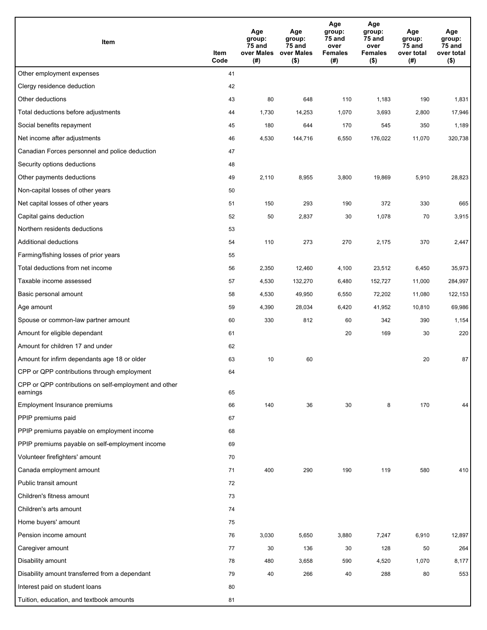| Item                                                              | Item<br>Code | Age<br>group:<br>75 and<br>over Males<br>(# ) | Age<br>group:<br>75 and<br>over Males<br>$($ \$) | Age<br>group:<br>75 and<br>over<br><b>Females</b><br>(#) | Age<br>group:<br>75 and<br>over<br><b>Females</b><br>$($ \$) | Age<br>group:<br>75 and<br>over total<br>(#) | Age<br>group:<br>75 and<br>over total<br>$($ \$) |
|-------------------------------------------------------------------|--------------|-----------------------------------------------|--------------------------------------------------|----------------------------------------------------------|--------------------------------------------------------------|----------------------------------------------|--------------------------------------------------|
| Other employment expenses                                         | 41           |                                               |                                                  |                                                          |                                                              |                                              |                                                  |
| Clergy residence deduction                                        | 42           |                                               |                                                  |                                                          |                                                              |                                              |                                                  |
| Other deductions                                                  | 43           | 80                                            | 648                                              | 110                                                      | 1,183                                                        | 190                                          | 1,831                                            |
| Total deductions before adjustments                               | 44           | 1,730                                         | 14,253                                           | 1,070                                                    | 3,693                                                        | 2,800                                        | 17,946                                           |
| Social benefits repayment                                         | 45           | 180                                           | 644                                              | 170                                                      | 545                                                          | 350                                          | 1,189                                            |
| Net income after adjustments                                      | 46           | 4,530                                         | 144,716                                          | 6,550                                                    | 176,022                                                      | 11,070                                       | 320,738                                          |
| Canadian Forces personnel and police deduction                    | 47           |                                               |                                                  |                                                          |                                                              |                                              |                                                  |
| Security options deductions                                       | 48           |                                               |                                                  |                                                          |                                                              |                                              |                                                  |
| Other payments deductions                                         | 49           | 2,110                                         | 8,955                                            | 3,800                                                    | 19,869                                                       | 5,910                                        | 28,823                                           |
| Non-capital losses of other years                                 | 50           |                                               |                                                  |                                                          |                                                              |                                              |                                                  |
| Net capital losses of other years                                 | 51           | 150                                           | 293                                              | 190                                                      | 372                                                          | 330                                          | 665                                              |
| Capital gains deduction                                           | 52           | 50                                            | 2,837                                            | 30                                                       | 1,078                                                        | 70                                           | 3,915                                            |
| Northern residents deductions                                     | 53           |                                               |                                                  |                                                          |                                                              |                                              |                                                  |
| Additional deductions                                             | 54           | 110                                           | 273                                              | 270                                                      | 2,175                                                        | 370                                          | 2,447                                            |
| Farming/fishing losses of prior years                             | 55           |                                               |                                                  |                                                          |                                                              |                                              |                                                  |
| Total deductions from net income                                  | 56           | 2,350                                         | 12,460                                           | 4,100                                                    | 23,512                                                       | 6,450                                        | 35,973                                           |
| Taxable income assessed                                           | 57           | 4,530                                         | 132,270                                          | 6,480                                                    | 152,727                                                      | 11,000                                       | 284,997                                          |
| Basic personal amount                                             | 58           | 4,530                                         | 49,950                                           | 6,550                                                    | 72,202                                                       | 11,080                                       | 122,153                                          |
| Age amount                                                        | 59           | 4,390                                         | 28,034                                           | 6,420                                                    | 41,952                                                       | 10,810                                       | 69,986                                           |
| Spouse or common-law partner amount                               | 60           | 330                                           | 812                                              | 60                                                       | 342                                                          | 390                                          | 1,154                                            |
| Amount for eligible dependant                                     | 61           |                                               |                                                  | 20                                                       | 169                                                          | 30                                           | 220                                              |
| Amount for children 17 and under                                  | 62           |                                               |                                                  |                                                          |                                                              |                                              |                                                  |
| Amount for infirm dependants age 18 or older                      | 63           | 10                                            | 60                                               |                                                          |                                                              | 20                                           | 87                                               |
| CPP or QPP contributions through employment                       | 64           |                                               |                                                  |                                                          |                                                              |                                              |                                                  |
| CPP or QPP contributions on self-employment and other<br>earnings | 65           |                                               |                                                  |                                                          |                                                              |                                              |                                                  |
| Employment Insurance premiums                                     | 66           | 140                                           | 36                                               | 30                                                       | 8                                                            | 170                                          | 44                                               |
| PPIP premiums paid                                                | 67           |                                               |                                                  |                                                          |                                                              |                                              |                                                  |
| PPIP premiums payable on employment income                        | 68           |                                               |                                                  |                                                          |                                                              |                                              |                                                  |
| PPIP premiums payable on self-employment income                   | 69           |                                               |                                                  |                                                          |                                                              |                                              |                                                  |
| Volunteer firefighters' amount                                    | 70           |                                               |                                                  |                                                          |                                                              |                                              |                                                  |
| Canada employment amount                                          | 71           | 400                                           | 290                                              | 190                                                      | 119                                                          | 580                                          | 410                                              |
| Public transit amount                                             | 72           |                                               |                                                  |                                                          |                                                              |                                              |                                                  |
| Children's fitness amount                                         | 73           |                                               |                                                  |                                                          |                                                              |                                              |                                                  |
| Children's arts amount                                            | 74           |                                               |                                                  |                                                          |                                                              |                                              |                                                  |
| Home buyers' amount                                               | 75           |                                               |                                                  |                                                          |                                                              |                                              |                                                  |
| Pension income amount                                             | 76           | 3,030                                         | 5,650                                            | 3,880                                                    | 7,247                                                        | 6,910                                        | 12,897                                           |
| Caregiver amount                                                  | 77           | 30                                            | 136                                              | 30                                                       | 128                                                          | 50                                           | 264                                              |
| Disability amount                                                 | 78           | 480                                           | 3,658                                            | 590                                                      | 4,520                                                        | 1,070                                        | 8,177                                            |
| Disability amount transferred from a dependant                    | 79           | 40                                            | 266                                              | 40                                                       | 288                                                          | 80                                           | 553                                              |
| Interest paid on student loans                                    | 80           |                                               |                                                  |                                                          |                                                              |                                              |                                                  |
| Tuition, education, and textbook amounts                          | 81           |                                               |                                                  |                                                          |                                                              |                                              |                                                  |